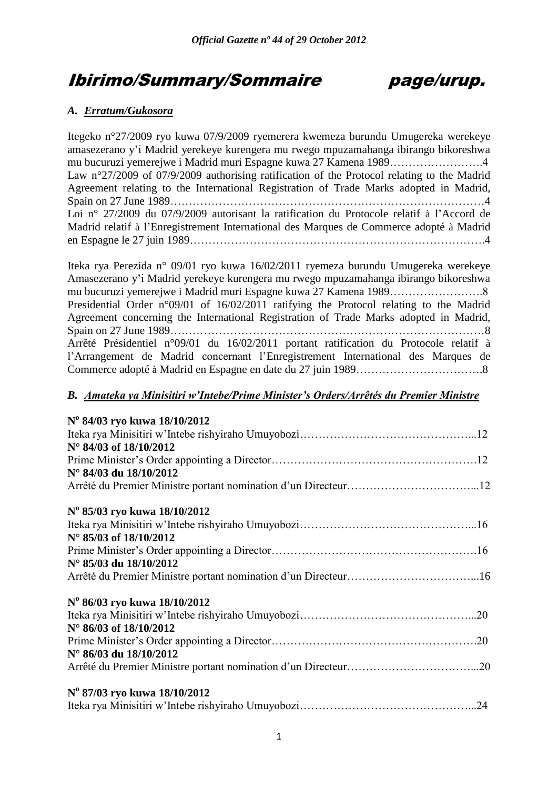# Ibirimo/Summary/Sommaire page/urup.

## *A. Erratum/Gukosora*

Itegeko n°27/2009 ryo kuwa 07/9/2009 ryemerera kwemeza burundu Umugereka werekeye amasezerano y"i Madrid yerekeye kurengera mu rwego mpuzamahanga ibirango bikoreshwa mu bucuruzi yemerejwe i Madrid muri Espagne kuwa 27 Kamena 1989…………………….4 Law n°27/2009 of 07/9/2009 authorising ratification of the Protocol relating to the Madrid Agreement relating to the International Registration of Trade Marks adopted in Madrid, Spain on 27 June 1989…………………………………………………………………………4 Loi n° 27/2009 du 07/9/2009 autorisant la ratification du Protocole relatif à l"Accord de Madrid relatif à l"Enregistrement International des Marques de Commerce adopté à Madrid en Espagne le 27 juin 1989…………………………………………………………………….4

Iteka rya Perezida n° 09/01 ryo kuwa 16/02/2011 ryemeza burundu Umugereka werekeye Amasezerano y"i Madrid yerekeye kurengera mu rwego mpuzamahanga ibirango bikoreshwa mu bucuruzi yemerejwe i Madrid muri Espagne kuwa 27 Kamena 1989…………………….8 Presidential Order n°09/01 of 16/02/2011 ratifying the Protocol relating to the Madrid Agreement concerning the International Registration of Trade Marks adopted in Madrid, Spain on 27 June 1989…………………………………………………………………………8 Arrêté Présidentiel n°09/01 du 16/02/2011 portant ratification du Protocole relatif à l"Arrangement de Madrid concernant l"Enregistrement International des Marques de Commerce adopté à Madrid en Espagne en date du 27 juin 1989…………………………….8

## *B. Amateka ya Minisitiri w'Intebe/Prime Minister's Orders/Arrêtés du Premier Ministre*

| N° 84/03 ryo kuwa 18/10/2012 |
|------------------------------|
|                              |
| N° 84/03 of 18/10/2012       |
|                              |
| N° 84/03 du 18/10/2012       |
|                              |
| N° 85/03 ryo kuwa 18/10/2012 |
|                              |
| N° 85/03 of 18/10/2012       |
|                              |
| N° 85/03 du 18/10/2012       |
|                              |
| N° 86/03 ryo kuwa 18/10/2012 |
|                              |
| N° 86/03 of 18/10/2012       |
|                              |
| N° 86/03 du 18/10/2012       |
|                              |
| N° 87/03 ryo kuwa 18/10/2012 |
|                              |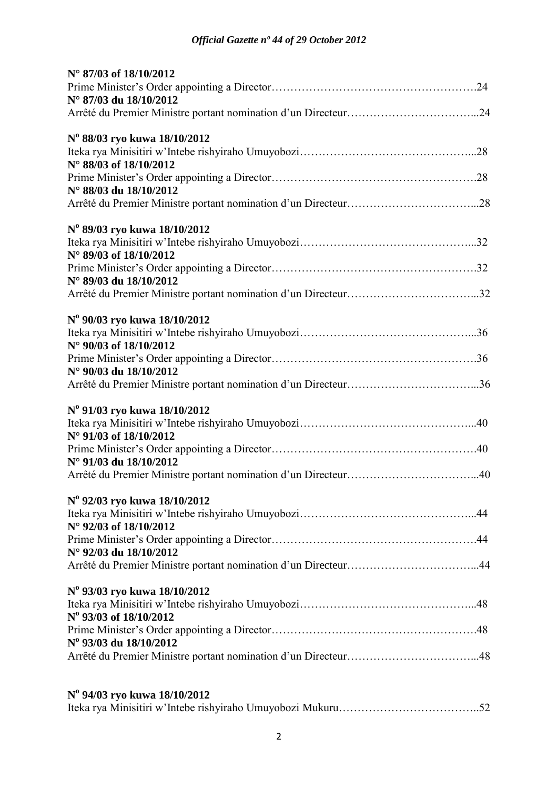| N° 87/03 of 18/10/2012       |  |
|------------------------------|--|
|                              |  |
| N° 87/03 du 18/10/2012       |  |
|                              |  |
| N° 88/03 ryo kuwa 18/10/2012 |  |
|                              |  |
| N° 88/03 of 18/10/2012       |  |
|                              |  |
| N° 88/03 du 18/10/2012       |  |
|                              |  |
| Nº 89/03 ryo kuwa 18/10/2012 |  |
|                              |  |
| N° 89/03 of 18/10/2012       |  |
|                              |  |
| N° 89/03 du 18/10/2012       |  |
|                              |  |
| N° 90/03 ryo kuwa 18/10/2012 |  |
|                              |  |
| N° 90/03 of 18/10/2012       |  |
|                              |  |
| N° 90/03 du 18/10/2012       |  |
|                              |  |
| N° 91/03 ryo kuwa 18/10/2012 |  |
|                              |  |
| N° 91/03 of 18/10/2012       |  |
|                              |  |
| N° 91/03 du 18/10/2012       |  |
|                              |  |
| N° 92/03 ryo kuwa 18/10/2012 |  |
|                              |  |
| N° 92/03 of 18/10/2012       |  |
|                              |  |
| N° 92/03 du 18/10/2012       |  |
|                              |  |
| Nº 93/03 ryo kuwa 18/10/2012 |  |
|                              |  |
| N° 93/03 of 18/10/2012       |  |
|                              |  |
| N° 93/03 du 18/10/2012       |  |
|                              |  |
|                              |  |
|                              |  |

| N° 94/03 ryo kuwa 18/10/2012 |  |
|------------------------------|--|
|                              |  |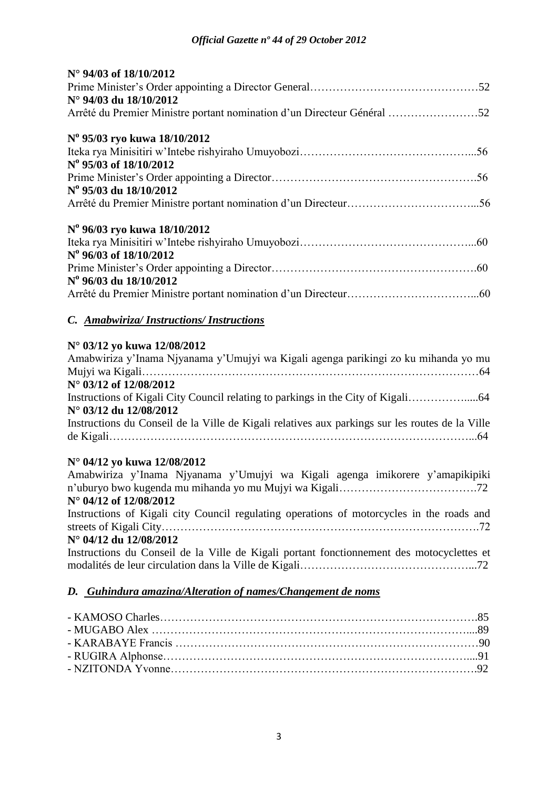| N° 94/03 of 18/10/2012                                                                          |
|-------------------------------------------------------------------------------------------------|
|                                                                                                 |
| N° 94/03 du 18/10/2012                                                                          |
| Arrêté du Premier Ministre portant nomination d'un Directeur Général 52                         |
| N° 95/03 ryo kuwa 18/10/2012                                                                    |
|                                                                                                 |
| N° 95/03 of 18/10/2012                                                                          |
|                                                                                                 |
| N° 95/03 du 18/10/2012                                                                          |
|                                                                                                 |
| N° 96/03 ryo kuwa 18/10/2012                                                                    |
|                                                                                                 |
| N° 96/03 of 18/10/2012                                                                          |
|                                                                                                 |
| N° 96/03 du 18/10/2012                                                                          |
|                                                                                                 |
| C. Amabwiriza/Instructions/Instructions                                                         |
| N° 03/12 yo kuwa 12/08/2012                                                                     |
| Amabwiriza y'Inama Njyanama y'Umujyi wa Kigali agenga parikingi zo ku mihanda yo mu             |
|                                                                                                 |
| N° 03/12 of 12/08/2012                                                                          |
|                                                                                                 |
| N° 03/12 du 12/08/2012                                                                          |
| Instructions du Conseil de la Ville de Kigali relatives aux parkings sur les routes de la Ville |
|                                                                                                 |
| N° 04/12 yo kuwa 12/08/2012                                                                     |
| Amabwiriza y'Inama Njyanama y'Umujyi wa Kigali agenga imikorere y'amapikipiki                   |
|                                                                                                 |
| N° 04/12 of 12/08/2012                                                                          |
| Instructions of Kigali city Council regulating operations of motorcycles in the roads and       |
|                                                                                                 |
|                                                                                                 |

### **N° 04/12 du 12/08/2012**

Instructions du Conseil de la Ville de Kigali portant fonctionnement des motocyclettes et modalités de leur circulation dans la Ville de Kigali………………………………………...72

## *D. Guhindura amazina/Alteration of names/Changement de noms*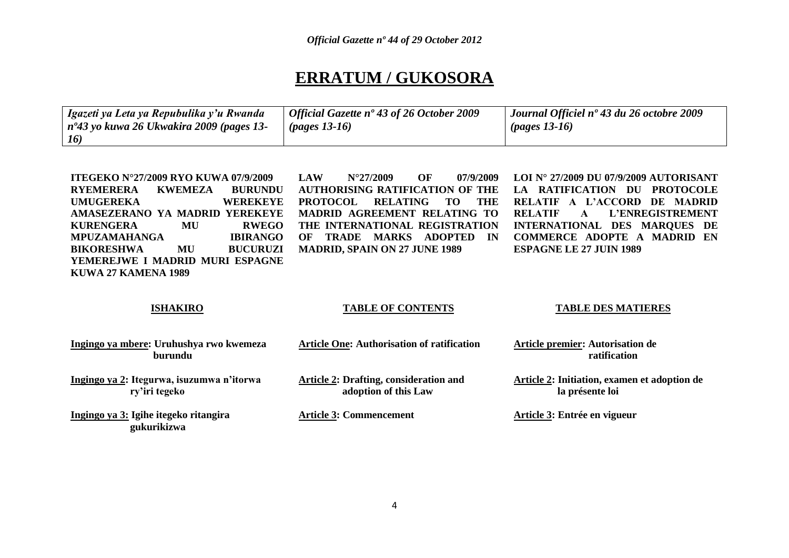## **ERRATUM / GUKOSORA**

| Igazeti ya Leta ya Repubulika y'u Rwanda                        | $\perp$ Official Gazette n° 43 of 26 October 2009 | Journal Officiel nº 43 du 26 octobre 2009 |
|-----------------------------------------------------------------|---------------------------------------------------|-------------------------------------------|
| $\mid n^{\circ}43 \text{ y}$ o kuwa 26 Ukwakira 2009 (pages 13- | $(pages 13-16)$                                   | $\mu$ (pages 13-16)                       |
| 16)                                                             |                                                   |                                           |

| <b>ITEGEKO N°27/2009 RYO KUWA 07/9/2009</b> |                 | OF<br>07/9/2009 LOI N° 27/2009 DU 07/9/2009 AUTORISANT<br><b>LAW</b><br>$N^{\circ}27/2009$ |
|---------------------------------------------|-----------------|--------------------------------------------------------------------------------------------|
| KWEMEZA<br><b>RYEMERERA</b>                 | <b>BURUNDU</b>  | AUTHORISING RATIFICATION OF THE LA RATIFICATION DU PROTOCOLE                               |
| <b>UMUGEREKA</b>                            | <b>WEREKEYE</b> | PROTOCOL RELATING TO THE<br>RELATIF A L'ACCORD DE MADRID                                   |
| AMASEZERANO YA MADRID YEREKEYE              |                 | MADRID AGREEMENT RELATING TO<br><b>RELATIF A L'ENREGISTREMENT</b>                          |
| <b>KURENGERA</b><br>MU                      | RWEGO           | THE INTERNATIONAL REGISTRATION INTERNATIONAL DES MAROUES DE                                |
| MPUZAMAHANGA                                | <b>IBIRANGO</b> | <b>COMMERCE ADOPTE A MADRID EN</b><br>OF TRADE MARKS ADOPTED<br><b>IN</b>                  |
| <b>BIKORESHWA</b><br>MU                     | <b>BUCURUZI</b> | MADRID, SPAIN ON 27 JUNE 1989<br><b>ESPAGNE LE 27 JUIN 1989</b>                            |
| YEMEREJWE I MADRID MURI ESPAGNE             |                 |                                                                                            |
| KUWA 27 KAMENA 1989                         |                 |                                                                                            |

### **ISHAKIRO**

### **TABLE OF CONTENTS**

### **TABLE DES MATIERES**

| Ingingo ya mbere: Uruhushya rwo kwemeza<br>burundu         | <b>Article One: Authorisation of ratification</b>                     | <b>Article premier: Autorisation de</b><br>ratification                |
|------------------------------------------------------------|-----------------------------------------------------------------------|------------------------------------------------------------------------|
| Ingingo ya 2: Itegurwa, isuzumwa n'itorwa<br>ry'iri tegeko | <b>Article 2: Drafting, consideration and</b><br>adoption of this Law | <b>Article 2: Initiation, examen et adoption de</b><br>la présente loi |
| Ingingo ya 3: Igihe itegeko ritangira<br>gukurikizwa       | <b>Article 3: Commencement</b>                                        | Article 3: Entrée en vigueur                                           |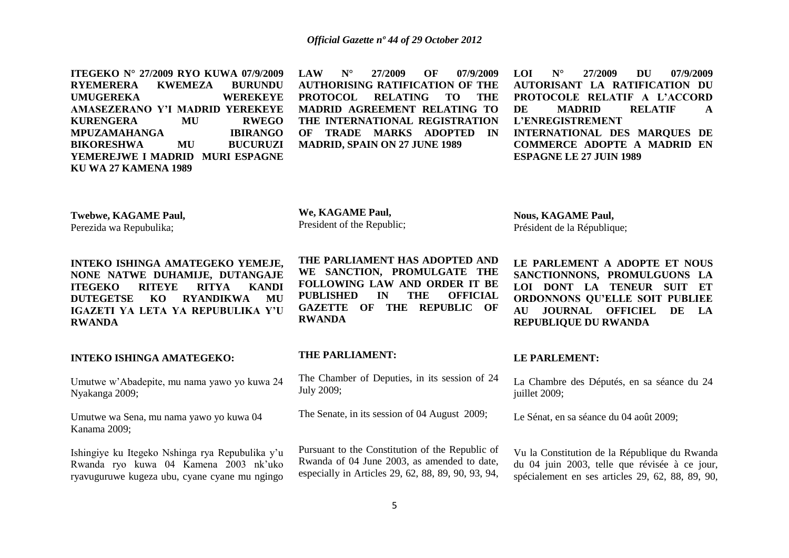**ITEGEKO N° 27/2009 RYO KUWA 07/9/2009 RYEMERERA KWEMEZA BURUNDU UMUGEREKA AMASEZERANO Y'I MADRID YEREKEYE KURENGERA MU RWEGO MPUZAMAHANGA IBIRANGO BIKORESHWA MU BUCURUZI YEMEREJWE I MADRID MURI ESPAGNE KU WA 27 KAMENA 1989**

**LAW N° 27/2009 OF 07/9/2009 AUTHORISING RATIFICATION OF THE PROTOCOL RELATING TO THE MADRID AGREEMENT RELATING TO THE INTERNATIONAL REGISTRATION OF TRADE MARKS ADOPTED IN MADRID, SPAIN ON 27 JUNE 1989** 

**LOI N° 27/2009 DU 07/9/2009 AUTORISANT LA RATIFICATION DU PROTOCOLE RELATIF A L'ACCORD DE MADRID RELATIF A L'ENREGISTREMENT INTERNATIONAL DES MARQUES DE COMMERCE ADOPTE A MADRID EN ESPAGNE LE 27 JUIN 1989**

**Twebwe, KAGAME Paul,** Perezida wa Repubulika;

**INTEKO ISHINGA AMATEGEKO YEMEJE, NONE NATWE DUHAMIJE, DUTANGAJE ITEGEKO RITEYE RITYA KANDI DUTEGETSE KO RYANDIKWA MU IGAZETI YA LETA YA REPUBULIKA Y'U RWANDA**

**INTEKO ISHINGA AMATEGEKO:**

Umutwe w"Abadepite, mu nama yawo yo kuwa 24 Nyakanga 2009;

Umutwe wa Sena, mu nama yawo yo kuwa 04 Kanama 2009;

Ishingiye ku Itegeko Nshinga rya Repubulika y"u Rwanda ryo kuwa 04 Kamena 2003 nk"uko ryavuguruwe kugeza ubu, cyane cyane mu ngingo

**THE PARLIAMENT HAS ADOPTED AND WE SANCTION, PROMULGATE THE FOLLOWING LAW AND ORDER IT BE PUBLISHED IN THE OFFICIAL GAZETTE OF THE REPUBLIC OF RWANDA**

### **THE PARLIAMENT:**

**We, KAGAME Paul,** President of the Republic;

The Chamber of Deputies, in its session of 24 July 2009;

The Senate, in its session of 04 August 2009;

Pursuant to the Constitution of the Republic of Rwanda of 04 June 2003, as amended to date, especially in Articles 29, 62, 88, 89, 90, 93, 94, **Nous, KAGAME Paul,** Président de la République;

**LE PARLEMENT A ADOPTE ET NOUS SANCTIONNONS, PROMULGUONS LA LOI DONT LA TENEUR SUIT ET ORDONNONS QU'ELLE SOIT PUBLIEE AU JOURNAL OFFICIEL DE LA REPUBLIQUE DU RWANDA**

### **LE PARLEMENT:**

La Chambre des Députés, en sa séance du 24 juillet 2009;

Le Sénat, en sa séance du 04 août 2009;

Vu la Constitution de la République du Rwanda du 04 juin 2003, telle que révisée à ce jour, spécialement en ses articles 29, 62, 88, 89, 90,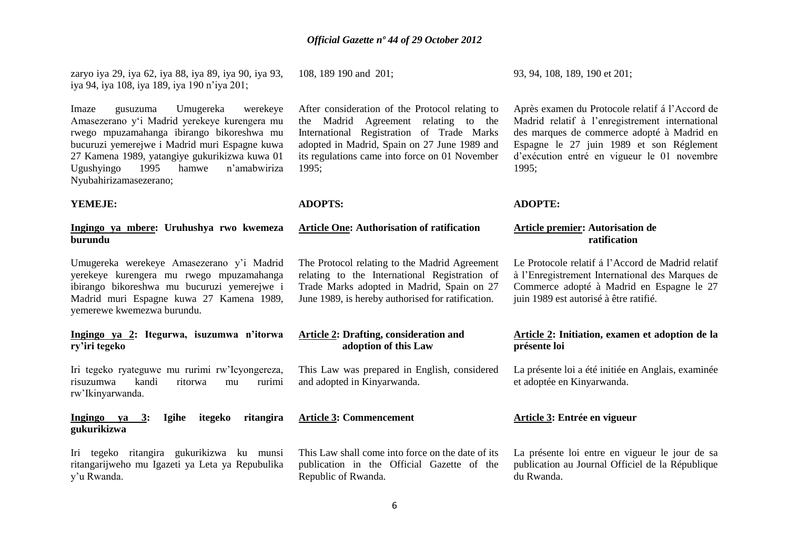zaryo iya 29, iya 62, iya 88, iya 89, iya 90, iya 93, iya 94, iya 108, iya 189, iya 190 n"iya 201;

Imaze gusuzuma Umugereka werekeye Amasezerano y"i Madrid yerekeye kurengera mu rwego mpuzamahanga ibirango bikoreshwa mu bucuruzi yemerejwe i Madrid muri Espagne kuwa 27 Kamena 1989, yatangiye gukurikizwa kuwa 01 Ugushyingo 1995 hamwe n"amabwiriza Nyubahirizamasezerano;

### **YEMEJE:**

### **Ingingo ya mbere: Uruhushya rwo kwemeza burundu**

Umugereka werekeye Amasezerano y"i Madrid yerekeye kurengera mu rwego mpuzamahanga ibirango bikoreshwa mu bucuruzi yemerejwe i Madrid muri Espagne kuwa 27 Kamena 1989, yemerewe kwemezwa burundu.

### **Ingingo ya 2: Itegurwa, isuzumwa n'itorwa ry'iri tegeko**

Iri tegeko ryateguwe mu rurimi rw"Icyongereza, risuzumwa kandi ritorwa mu rurimi rw"Ikinyarwanda.

### **Ingingo ya 3: Igihe itegeko ritangira gukurikizwa**

Iri tegeko ritangira gukurikizwa ku munsi ritangarijweho mu Igazeti ya Leta ya Repubulika y"u Rwanda.

108, 189 190 and 201;

After consideration of the Protocol relating to the Madrid Agreement relating to the International Registration of Trade Marks adopted in Madrid, Spain on 27 June 1989 and its regulations came into force on 01 November 1995;

### **ADOPTS:**

### **Article One: Authorisation of ratification**

The Protocol relating to the Madrid Agreement relating to the International Registration of Trade Marks adopted in Madrid, Spain on 27 June 1989, is hereby authorised for ratification.

### **Article 2: Drafting, consideration and adoption of this Law**

This Law was prepared in English, considered and adopted in Kinyarwanda.

### **Article 3: Commencement**

This Law shall come into force on the date of its publication in the Official Gazette of the Republic of Rwanda.

93, 94, 108, 189, 190 et 201;

Après examen du Protocole relatif á l"Accord de Madrid relatif à l"enregistrement international des marques de commerce adopté à Madrid en Espagne le 27 juin 1989 et son Réglement d"exécution entré en vigueur le 01 novembre 1995;

### **ADOPTE:**

### **Article premier: Autorisation de ratification**

Le Protocole relatif á l"Accord de Madrid relatif à l"Enregistrement International des Marques de Commerce adopté à Madrid en Espagne le 27 juin 1989 est autorisé à être ratifié.

### **Article 2: Initiation, examen et adoption de la présente loi**

La présente loi a été initiée en Anglais, examinée et adoptée en Kinyarwanda.

### **Article 3: Entrée en vigueur**

La présente loi entre en vigueur le jour de sa publication au Journal Officiel de la République du Rwanda.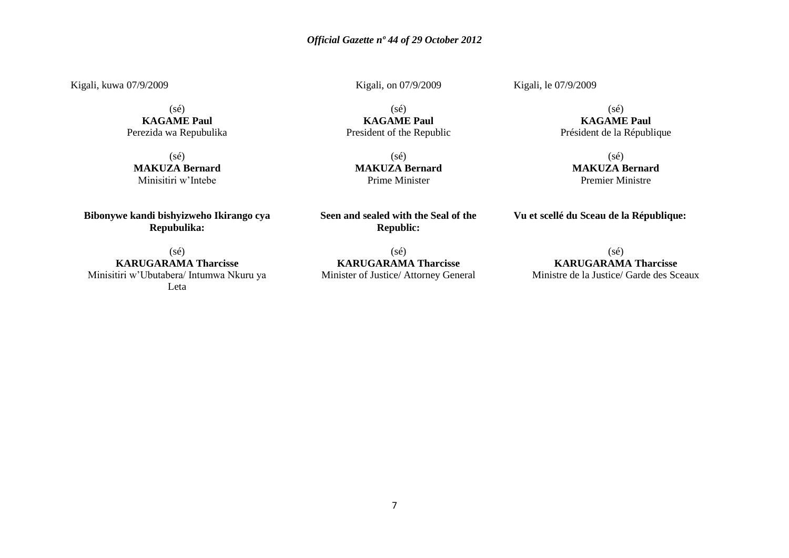Kigali, kuwa 07/9/2009

(sé) **KAGAME Paul** Perezida wa Repubulika

 $(sé)$ **MAKUZA Bernard** Minisitiri w"Intebe

**Bibonywe kandi bishyizweho Ikirango cya Repubulika:**

 $(sé)$ **KARUGARAMA Tharcisse** Minisitiri w"Ubutabera/ Intumwa Nkuru ya Leta

Kigali, on 07/9/2009

Kigali, le 07/9/2009

(sé) **KAGAME Paul** President of the Republic

(sé) **MAKUZA Bernard** Prime Minister

**Seen and sealed with the Seal of the Republic:**

(sé) **KARUGARAMA Tharcisse** Minister of Justice/ Attorney General

(sé) **KAGAME Paul** Président de la République

> $(sé)$ **MAKUZA Bernard** Premier Ministre

**Vu et scellé du Sceau de la République:**

 $(sé)$ **KARUGARAMA Tharcisse** Ministre de la Justice/ Garde des Sceaux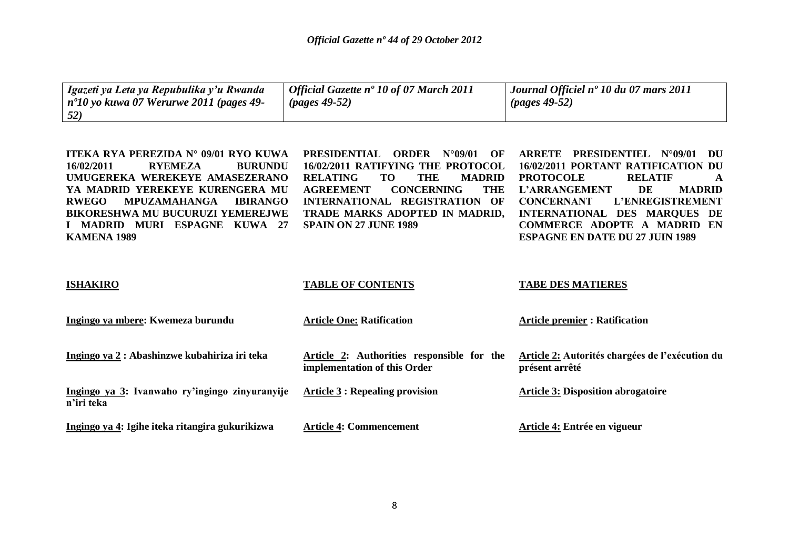| Igazeti ya Leta ya Repubulika y'u Rwanda<br>$n^{\circ}10$ yo kuwa 07 Werurwe 2011 (pages 49-<br>52) | Official Gazette nº 10 of 07 March 2011<br>$(\text{pages } 49-52)$ | Journal Officiel n° 10 du 07 mars 2011<br>$(pages 49-52)$ |
|-----------------------------------------------------------------------------------------------------|--------------------------------------------------------------------|-----------------------------------------------------------|
|-----------------------------------------------------------------------------------------------------|--------------------------------------------------------------------|-----------------------------------------------------------|

| ITEKA RYA PEREZIDA N° 09/01 RYO KUWA<br>16/02/2011<br><b>RYEMEZA</b><br><b>BURUNDU</b><br>UMUGEREKA WEREKEYE AMASEZERANO<br>YA MADRID YEREKEYE KURENGERA MU<br><b>RWEGO</b><br><b>MPUZAMAHANGA</b><br><b>IBIRANGO</b><br><b>BIKORESHWA MU BUCURUZI YEMEREJWE</b><br>I MADRID MURI ESPAGNE KUWA 27<br>KAMENA 1989 | <b>PRESIDENTIAL</b><br>ORDER<br>$N^{\circ}09/01$<br>OF<br>16/02/2011 RATIFYING THE PROTOCOL<br><b>THE</b><br><b>RELATING</b><br><b>TO</b><br><b>MADRID</b><br><b>THE</b><br><b>AGREEMENT</b><br><b>CONCERNING</b><br>INTERNATIONAL REGISTRATION OF<br>TRADE MARKS ADOPTED IN MADRID,<br><b>SPAIN ON 27 JUNE 1989</b> | PRESIDENTIEL<br>ARRETE<br>$N^{\circ}09/01$<br>DU<br>16/02/2011 PORTANT RATIFICATION DU<br><b>PROTOCOLE</b><br><b>RELATIF</b><br>A<br><b>L'ARRANGEMENT</b><br>DE<br><b>MADRID</b><br><b>CONCERNANT</b><br>L'ENREGISTREMENT<br>INTERNATIONAL DES MARQUES DE<br><b>COMMERCE ADOPTE A MADRID EN</b><br><b>ESPAGNE EN DATE DU 27 JUIN 1989</b> |
|------------------------------------------------------------------------------------------------------------------------------------------------------------------------------------------------------------------------------------------------------------------------------------------------------------------|----------------------------------------------------------------------------------------------------------------------------------------------------------------------------------------------------------------------------------------------------------------------------------------------------------------------|-------------------------------------------------------------------------------------------------------------------------------------------------------------------------------------------------------------------------------------------------------------------------------------------------------------------------------------------|
| <b>ISHAKIRO</b>                                                                                                                                                                                                                                                                                                  | <b>TABLE OF CONTENTS</b>                                                                                                                                                                                                                                                                                             | <b>TABE DES MATIERES</b>                                                                                                                                                                                                                                                                                                                  |
| Ingingo ya mbere: Kwemeza burundu                                                                                                                                                                                                                                                                                | <b>Article One: Ratification</b>                                                                                                                                                                                                                                                                                     | <b>Article premier : Ratification</b>                                                                                                                                                                                                                                                                                                     |
| Ingingo ya 2 : Abashinzwe kubahiriza iri teka                                                                                                                                                                                                                                                                    | Article 2: Authorities responsible for the<br>implementation of this Order                                                                                                                                                                                                                                           | Article 2: Autorités chargées de l'exécution du<br>présent arrêté                                                                                                                                                                                                                                                                         |
| Ingingo ya 3: Ivanwaho ry'ingingo zinyuranyije<br>n'iri teka                                                                                                                                                                                                                                                     | <b>Article 3 : Repealing provision</b>                                                                                                                                                                                                                                                                               | <b>Article 3: Disposition abrogatoire</b>                                                                                                                                                                                                                                                                                                 |
| Ingingo ya 4: Igihe iteka ritangira gukurikizwa                                                                                                                                                                                                                                                                  | <b>Article 4: Commencement</b>                                                                                                                                                                                                                                                                                       | Article 4: Entrée en vigueur                                                                                                                                                                                                                                                                                                              |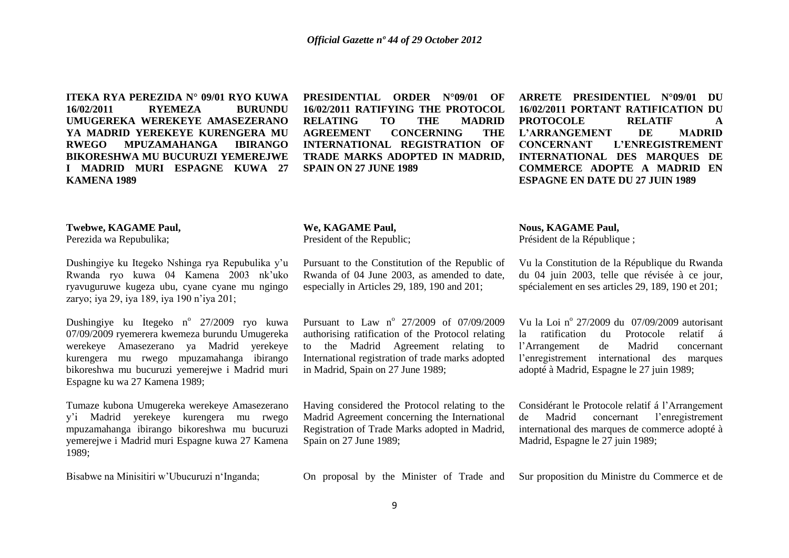**ITEKA RYA PEREZIDA N° 09/01 RYO KUWA 16/02/2011 RYEMEZA BURUNDU UMUGEREKA WEREKEYE AMASEZERANO YA MADRID YEREKEYE KURENGERA MU RWEGO MPUZAMAHANGA IBIRANGO BIKORESHWA MU BUCURUZI YEMEREJWE I MADRID MURI ESPAGNE KUWA 27 KAMENA 1989**

**PRESIDENTIAL ORDER N°09/01 OF 16/02/2011 RATIFYING THE PROTOCOL RELATING TO THE MADRID AGREEMENT CONCERNING THE INTERNATIONAL REGISTRATION OF TRADE MARKS ADOPTED IN MADRID, SPAIN ON 27 JUNE 1989**

**ARRETE PRESIDENTIEL N°09/01 DU 16/02/2011 PORTANT RATIFICATION DU PROTOCOLE RELATIF A L'ARRANGEMENT DE MADRID CONCERNANT L'ENREGISTREMENT INTERNATIONAL DES MARQUES DE COMMERCE ADOPTE A MADRID EN ESPAGNE EN DATE DU 27 JUIN 1989**

### **Twebwe, KAGAME Paul,**

Perezida wa Repubulika;

Dushingiye ku Itegeko Nshinga rya Repubulika y"u Rwanda ryo kuwa 04 Kamena 2003 nk"uko ryavuguruwe kugeza ubu, cyane cyane mu ngingo zaryo; iya 29, iya 189, iya 190 n"iya 201;

Dushingiye ku Itegeko n<sup>o</sup> 27/2009 ryo kuwa 07/09/2009 ryemerera kwemeza burundu Umugereka werekeye Amasezerano ya Madrid yerekeye kurengera mu rwego mpuzamahanga ibirango bikoreshwa mu bucuruzi yemerejwe i Madrid muri Espagne ku wa 27 Kamena 1989;

Tumaze kubona Umugereka werekeye Amasezerano y"i Madrid yerekeye kurengera mu rwego mpuzamahanga ibirango bikoreshwa mu bucuruzi yemerejwe i Madrid muri Espagne kuwa 27 Kamena 1989;

Bisabwe na Minisitiri w"Ubucuruzi n"Inganda;

### **We, KAGAME Paul,**

President of the Republic;

Pursuant to the Constitution of the Republic of Rwanda of 04 June 2003, as amended to date, especially in Articles 29, 189, 190 and 201;

Pursuant to Law n<sup>o</sup> 27/2009 of 07/09/2009 authorising ratification of the Protocol relating to the Madrid Agreement relating to International registration of trade marks adopted in Madrid, Spain on 27 June 1989;

Having considered the Protocol relating to the Madrid Agreement concerning the International Registration of Trade Marks adopted in Madrid, Spain on 27 June 1989;

### **Nous, KAGAME Paul,**

Président de la République ;

Vu la Constitution de la République du Rwanda du 04 juin 2003, telle que révisée à ce jour, spécialement en ses articles 29, 189, 190 et 201;

Vu la Loi nº 27/2009 du 07/09/2009 autorisant la ratification du Protocole relatif á l"Arrangement de Madrid concernant l"enregistrement international des marques adopté à Madrid, Espagne le 27 juin 1989;

Considérant le Protocole relatif á l"Arrangement de Madrid concernant l"enregistrement international des marques de commerce adopté à Madrid, Espagne le 27 juin 1989;

On proposal by the Minister of Trade and Sur proposition du Ministre du Commerce et de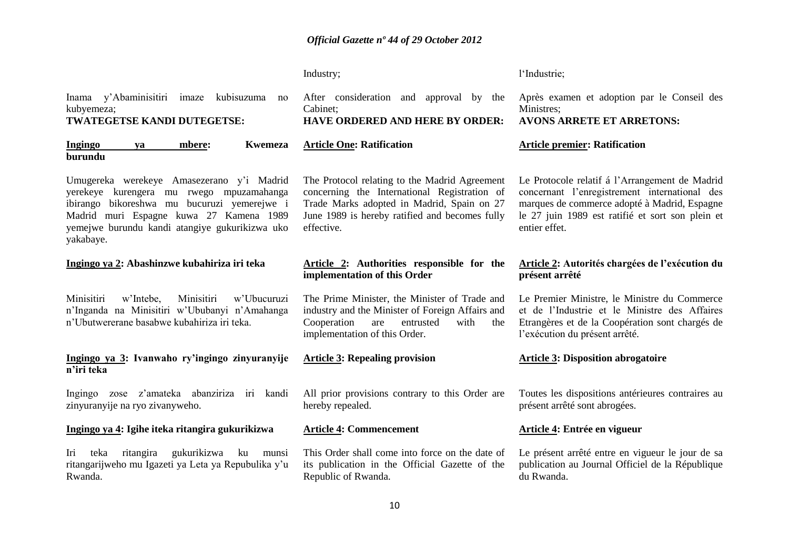|                                                                                                                                                                                                                                                | Industry;                                                                                                                                                                                                   | l'Industrie;                                                                                                                                                                                                         |
|------------------------------------------------------------------------------------------------------------------------------------------------------------------------------------------------------------------------------------------------|-------------------------------------------------------------------------------------------------------------------------------------------------------------------------------------------------------------|----------------------------------------------------------------------------------------------------------------------------------------------------------------------------------------------------------------------|
| Inama y'Abaminisitiri imaze<br>kubisuzuma<br>no<br>kubyemeza;<br>TWATEGETSE KANDI DUTEGETSE:                                                                                                                                                   | After consideration and approval by the<br>Cabinet;<br><b>HAVE ORDERED AND HERE BY ORDER:</b>                                                                                                               | Après examen et adoption par le Conseil des<br>Ministres;<br><b>AVONS ARRETE ET ARRETONS:</b>                                                                                                                        |
| <b>Ingingo</b><br><b>Kwemeza</b><br>mbere:<br>ya<br>burundu                                                                                                                                                                                    | <b>Article One: Ratification</b>                                                                                                                                                                            | <b>Article premier: Ratification</b>                                                                                                                                                                                 |
| Umugereka werekeye Amasezerano y'i Madrid<br>yerekeye kurengera mu rwego mpuzamahanga<br>ibirango bikoreshwa mu bucuruzi yemerejwe i<br>Madrid muri Espagne kuwa 27 Kamena 1989<br>yemejwe burundu kandi atangiye gukurikizwa uko<br>yakabaye. | The Protocol relating to the Madrid Agreement<br>concerning the International Registration of<br>Trade Marks adopted in Madrid, Spain on 27<br>June 1989 is hereby ratified and becomes fully<br>effective. | Le Protocole relatif á l'Arrangement de Madrid<br>concernant l'enregistrement international des<br>marques de commerce adopté à Madrid, Espagne<br>le 27 juin 1989 est ratifié et sort son plein et<br>entier effet. |
| Ingingo ya 2: Abashinzwe kubahiriza iri teka                                                                                                                                                                                                   | Article 2: Authorities responsible for the<br>implementation of this Order                                                                                                                                  | Article 2: Autorités chargées de l'exécution du<br>présent arrêté                                                                                                                                                    |
| w'Ubucuruzi<br>Minisitiri<br>w'Intebe,<br>Minisitiri<br>n'Inganda na Minisitiri w'Ububanyi n'Amahanga<br>n'Ubutwererane basabwe kubahiriza iri teka.                                                                                           | The Prime Minister, the Minister of Trade and<br>industry and the Minister of Foreign Affairs and<br>Cooperation<br>entrusted<br>with<br>the<br>are<br>implementation of this Order.                        | Le Premier Ministre, le Ministre du Commerce<br>et de l'Industrie et le Ministre des Affaires<br>Etrangères et de la Coopération sont chargés de<br>l'exécution du présent arrêté.                                   |
| Ingingo ya 3: Ivanwaho ry'ingingo zinyuranyije<br>n'iri teka                                                                                                                                                                                   | <b>Article 3: Repealing provision</b>                                                                                                                                                                       | <b>Article 3: Disposition abrogatoire</b>                                                                                                                                                                            |
| Ingingo zose z'amateka abanziriza iri kandi<br>zinyuranyije na ryo zivanyweho.                                                                                                                                                                 | All prior provisions contrary to this Order are<br>hereby repealed.                                                                                                                                         | Toutes les dispositions antérieures contraires au<br>présent arrêté sont abrogées.                                                                                                                                   |
| Ingingo ya 4: Igihe iteka ritangira gukurikizwa                                                                                                                                                                                                | <b>Article 4: Commencement</b>                                                                                                                                                                              | Article 4: Entrée en vigueur                                                                                                                                                                                         |
| ritangira<br>gukurikizwa<br>teka<br>ku<br>Iri<br>munsi<br>ritangarijweho mu Igazeti ya Leta ya Repubulika y'u<br>Rwanda.                                                                                                                       | This Order shall come into force on the date of<br>its publication in the Official Gazette of the<br>Republic of Rwanda.                                                                                    | Le présent arrêté entre en vigueur le jour de sa<br>publication au Journal Officiel de la République<br>du Rwanda.                                                                                                   |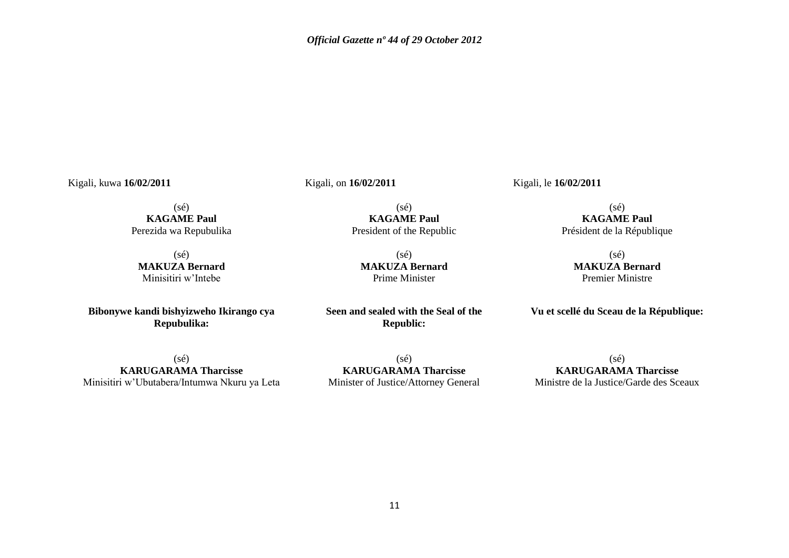Kigali, kuwa **16/02/2011**

Kigali, on **16/02/2011**

(sé) **KAGAME Paul** Perezida wa Repubulika

(sé) **MAKUZA Bernard** Minisitiri w"Intebe

**Bibonywe kandi bishyizweho Ikirango cya Repubulika:**

(sé) **KAGAME Paul** President of the Republic

(sé) **MAKUZA Bernard** Prime Minister

**Seen and sealed with the Seal of the Republic:**

(sé) **KARUGARAMA Tharcisse** Minisitiri w"Ubutabera/Intumwa Nkuru ya Leta

 $(sé)$ **KARUGARAMA Tharcisse** Minister of Justice/Attorney General Kigali, le **16/02/2011**

(sé) **KAGAME Paul** Président de la République

> (sé) **MAKUZA Bernard** Premier Ministre

**Vu et scellé du Sceau de la République:**

(sé) **KARUGARAMA Tharcisse** Ministre de la Justice/Garde des Sceaux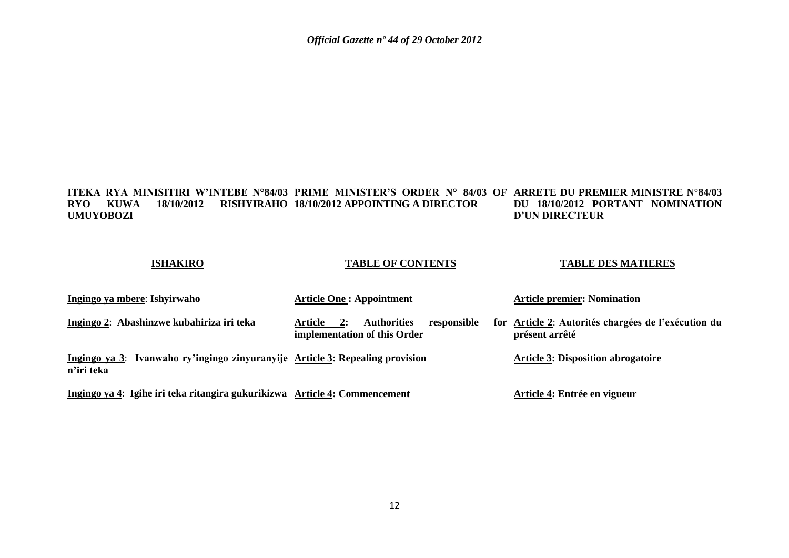### **ITEKA RYA MINISITIRI W'INTEBE N°84/03 PRIME MINISTER'S ORDER N° 84/03 OF ARRETE DU PREMIER MINISTRE N°84/03 RYO KUWA 18/10/2012 RISHYIRAHO 18/10/2012 APPOINTING A DIRECTOR UMUYOBOZI DU 18/10/2012 PORTANT NOMINATION D'UN DIRECTEUR**

### **ISHAKIRO**

### **TABLE OF CONTENTS**

### **TABLE DES MATIERES**

| Ingingo ya mbere: Ishyirwaho                                                                | <b>Article One: Appointment</b>                                                           | <b>Article premier: Nomination</b>                                    |
|---------------------------------------------------------------------------------------------|-------------------------------------------------------------------------------------------|-----------------------------------------------------------------------|
| Ingingo 2: Abashinzwe kubahiriza iri teka                                                   | <b>Authorities</b><br>responsible<br>Article<br><b>2:</b><br>implementation of this Order | for Article 2: Autorités chargées de l'exécution du<br>présent arrêté |
| Ingingo ya 3: Ivanwaho ry'ingingo zinyuranyije Article 3: Repealing provision<br>n'iri teka |                                                                                           | <b>Article 3: Disposition abrogatoire</b>                             |
| Ingingo ya 4: Igihe iri teka ritangira gukurikizwa Article 4: Commencement                  |                                                                                           | Article 4: Entrée en vigueur                                          |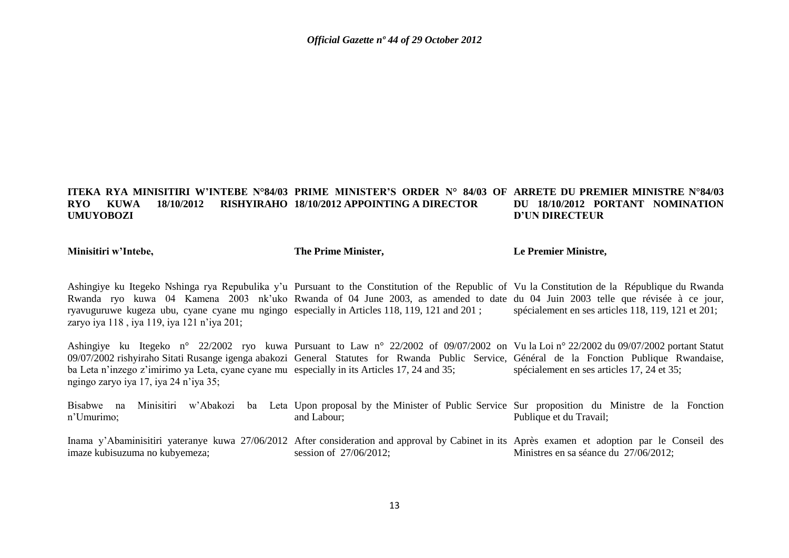#### **ITEKA RYA MINISITIRI W'INTEBE N°84/03 PRIME MINISTER'S ORDER N° 84/03 OF ARRETE DU PREMIER MINISTRE N°84/03 RYO KUWA 18/10/2012 UMUYOBOZI 18/10/2012 APPOINTING A DIRECTOR DU 18/10/2012 PORTANT NOMINATION D'UN DIRECTEUR**

**Minisitiri w'Intebe,**

**The Prime Minister,**

**Le Premier Ministre,**

Ashingiye ku Itegeko Nshinga rya Repubulika y"u Pursuant to the Constitution of the Republic of Vu la Constitution de la République du Rwanda Rwanda ryo kuwa 04 Kamena 2003 nk'uko Rwanda of 04 June 2003, as amended to date du 04 Juin 2003 telle que révisée à ce jour, ryavuguruwe kugeza ubu, cyane cyane mu ngingo especially in Articles 118, 119, 121 and 201 ; zaryo iya 118 , iya 119, iya 121 n"iya 201; spécialement en ses articles 118, 119, 121 et 201;

Ashingiye ku Itegeko n° 22/2002 ryo kuwa Pursuant to Law n° 22/2002 of 09/07/2002 on Vu la Loi n° 22/2002 du 09/07/2002 portant Statut 09/07/2002 rishyiraho Sitati Rusange igenga abakozi General Statutes for Rwanda Public Service, Général de la Fonction Publique Rwandaise, ba Leta n'inzego z'imirimo ya Leta, cyane cyane mu especially in its Articles 17, 24 and 35; ngingo zaryo iya 17, iya 24 n"iya 35; spécialement en ses articles 17, 24 et 35;

Bisabwe na Minisitiri w'Abakozi ba Leta Upon-proposal-by-the-Minister-of-Public-Service Sur-proposition du Ministre de la Fonction n"Umurimo; and Labour; Publique et du Travail;

Inama y'Abaminisitiri yateranye kuwa 27/06/2012 After consideration and approval by Cabinet in its Après examen et adoption par le Conseil des imaze kubisuzuma no kubyemeza; session of 27/06/2012; Ministres en sa séance du 27/06/2012;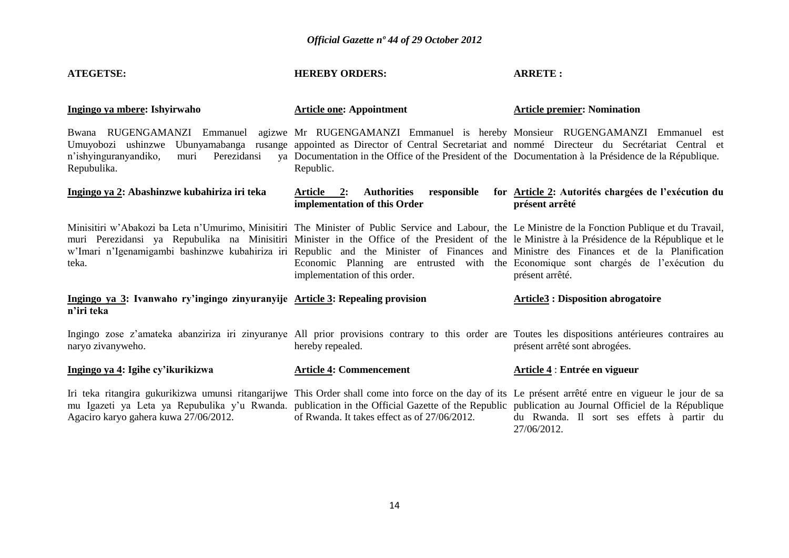| <b>ATEGETSE:</b>                                                                                                                                                                                                                                                                                                                                                                                                                                          | <b>HEREBY ORDERS:</b>                                                                                                                                                                                                                                                                                     | <b>ARRETE:</b>                                                                                        |  |  |  |  |
|-----------------------------------------------------------------------------------------------------------------------------------------------------------------------------------------------------------------------------------------------------------------------------------------------------------------------------------------------------------------------------------------------------------------------------------------------------------|-----------------------------------------------------------------------------------------------------------------------------------------------------------------------------------------------------------------------------------------------------------------------------------------------------------|-------------------------------------------------------------------------------------------------------|--|--|--|--|
| Ingingo ya mbere: Ishyirwaho                                                                                                                                                                                                                                                                                                                                                                                                                              | <b>Article one: Appointment</b>                                                                                                                                                                                                                                                                           | <b>Article premier: Nomination</b>                                                                    |  |  |  |  |
| Bwana RUGENGAMANZI Emmanuel<br>Ubunyamabanga<br>Umuyobozi ushinzwe<br>Perezidansi<br>n'ishyinguranyandiko,<br>muri<br>Repubulika.                                                                                                                                                                                                                                                                                                                         | agizwe Mr RUGENGAMANZI Emmanuel is hereby Monsieur RUGENGAMANZI Emmanuel est<br>rusange appointed as Director of Central Secretariat and nommé Directeur du Secretariat Central et<br>ya Documentation in the Office of the President of the Documentation à la Présidence de la République.<br>Republic. |                                                                                                       |  |  |  |  |
| Ingingo ya 2: Abashinzwe kubahiriza iri teka                                                                                                                                                                                                                                                                                                                                                                                                              | <b>Authorities</b><br>responsible<br>Article 2:<br>implementation of this Order                                                                                                                                                                                                                           | for Article 2: Autorités chargées de l'exécution du<br>présent arrêté                                 |  |  |  |  |
| Minisitiri w'Abakozi ba Leta n'Umurimo, Minisitiri The Minister of Public Service and Labour, the Le Ministre de la Fonction Publique et du Travail,<br>muri Perezidansi ya Repubulika na Minisitiri Minister in the Office of the President of the le Ministre à la Présidence de la République et le<br>w'Imari n'Igenamigambi bashinzwe kubahiriza iri Republic and the Minister of Finances and Ministre des Finances et de la Planification<br>teka. | implementation of this order.                                                                                                                                                                                                                                                                             | Economic Planning are entrusted with the Economique sont chargés de l'exécution du<br>présent arrêté. |  |  |  |  |
| Ingingo ya 3: Ivanwaho ry'ingingo zinyuranyije Article 3: Repealing provision<br>n'iri teka                                                                                                                                                                                                                                                                                                                                                               |                                                                                                                                                                                                                                                                                                           | <b>Article3 : Disposition abrogatoire</b>                                                             |  |  |  |  |
| Ingingo zose z'amateka abanziriza iri zinyuranye All prior provisions contrary to this order are Toutes les dispositions antérieures contraires au<br>naryo zivanyweho.                                                                                                                                                                                                                                                                                   | hereby repealed.                                                                                                                                                                                                                                                                                          | présent arrêté sont abrogées.                                                                         |  |  |  |  |
| Ingingo ya 4: Igihe cy'ikurikizwa                                                                                                                                                                                                                                                                                                                                                                                                                         | <b>Article 4: Commencement</b>                                                                                                                                                                                                                                                                            | Article 4 : Entrée en vigueur                                                                         |  |  |  |  |
| Iri teka ritangira gukurikizwa umunsi ritangarijwe This Order shall come into force on the day of its Le présent arrêté entre en vigueur le jour de sa<br>mu Igazeti ya Leta ya Repubulika y'u Rwanda. publication in the Official Gazette of the Republic publication au Journal Officiel de la République<br>Agaciro karyo gahera kuwa 27/06/2012.                                                                                                      | of Rwanda. It takes effect as of 27/06/2012.                                                                                                                                                                                                                                                              | du Rwanda. Il sort ses effets à partir du<br>27/06/2012.                                              |  |  |  |  |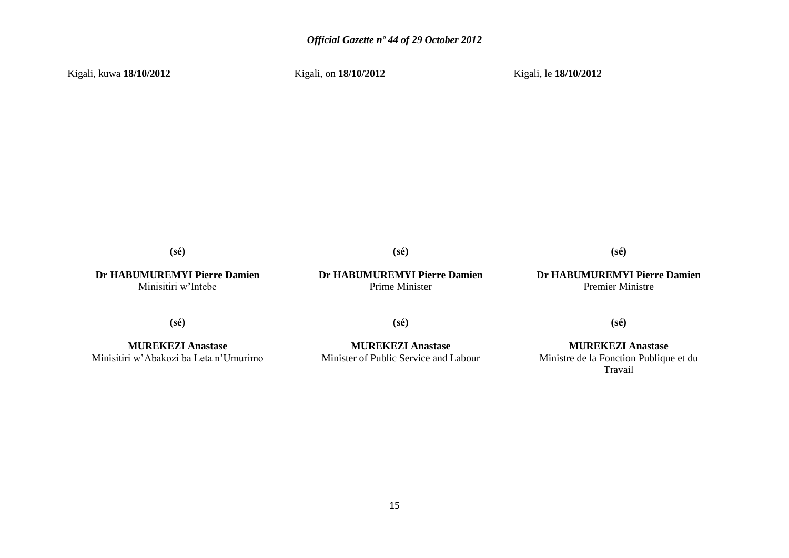Kigali, kuwa **18/10/2012**

Kigali, on **18/10/2012**

Kigali, le **18/10/2012**

**(sé)**

**Dr HABUMUREMYI Pierre Damien** Minisitiri w"Intebe

### **Dr HABUMUREMYI Pierre Damien** Prime Minister

**(sé)**

### **Dr HABUMUREMYI Pierre Damien** Premier Ministre

**(sé)**

**(sé)**

**MUREKEZI Anastase** Minisitiri w"Abakozi ba Leta n"Umurimo

**MUREKEZI Anastase** Minister of Public Service and Labour

**(sé)**

**(sé)**

**MUREKEZI Anastase** Ministre de la Fonction Publique et du Travail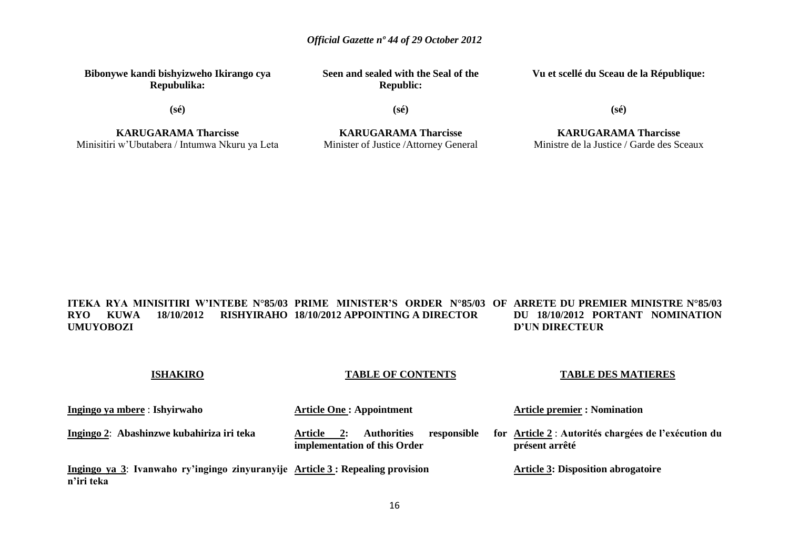**Bibonywe kandi bishyizweho Ikirango cya Repubulika:**

**(sé)**

**Seen and sealed with the Seal of the Republic:**

**Vu et scellé du Sceau de la République:**

**KARUGARAMA Tharcisse** Minisitiri w"Ubutabera / Intumwa Nkuru ya Leta

**ISHAKIRO**

**KARUGARAMA Tharcisse** Minister of Justice /Attorney General

**(sé)**

**KARUGARAMA Tharcisse** Ministre de la Justice / Garde des Sceaux

**TABLE DES MATIERES**

**(sé)**

**ITEKA RYA MINISITIRI W'INTEBE N°85/03 PRIME MINISTER'S ORDER N°85/03 OF ARRETE DU PREMIER MINISTRE N°85/03 RYO KUWA 18/10/2012 RISHYIRAHO 18/10/2012 APPOINTING A DIRECTOR UMUYOBOZI DU 18/10/2012 PORTANT NOMINATION D'UN DIRECTEUR**

| $\sim$                                                                                      |                                                                                    |                                                                        |
|---------------------------------------------------------------------------------------------|------------------------------------------------------------------------------------|------------------------------------------------------------------------|
| Ingingo ya mbere : Ishyirwaho                                                               | <b>Article One: Appointment</b>                                                    | <b>Article premier : Nomination</b>                                    |
| Ingingo 2: Abashinzwe kubahiriza iri teka                                                   | <b>Authorities</b><br>responsible<br>Article<br>2:<br>implementation of this Order | for Article 2 : Autorités chargées de l'exécution du<br>présent arrêté |
| Ingingo ya 3: Ivanwaho ry'ingingo zinyuranyije Article 3: Repealing provision<br>n'iri teka |                                                                                    | <b>Article 3: Disposition abrogatoire</b>                              |

**TABLE OF CONTENTS**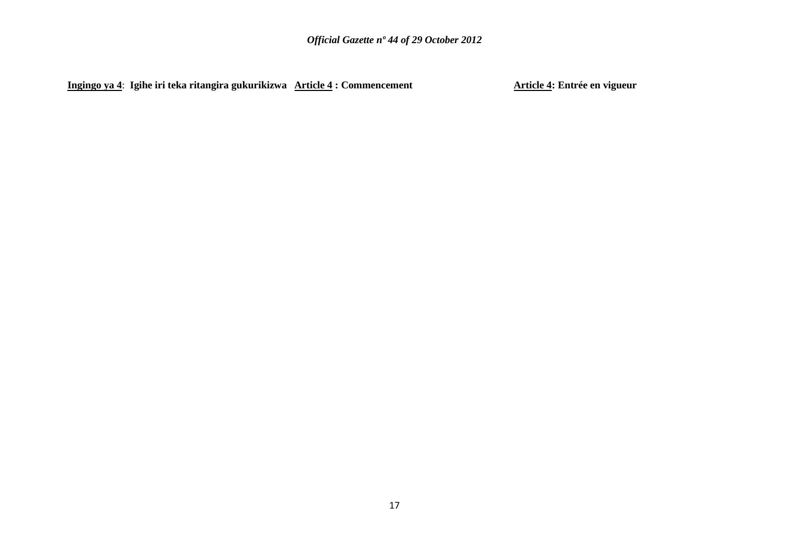**Ingingo ya 4**: **Igihe iri teka ritangira gukurikizwa Article 4 : Commencement Article 4: Entrée en vigueur**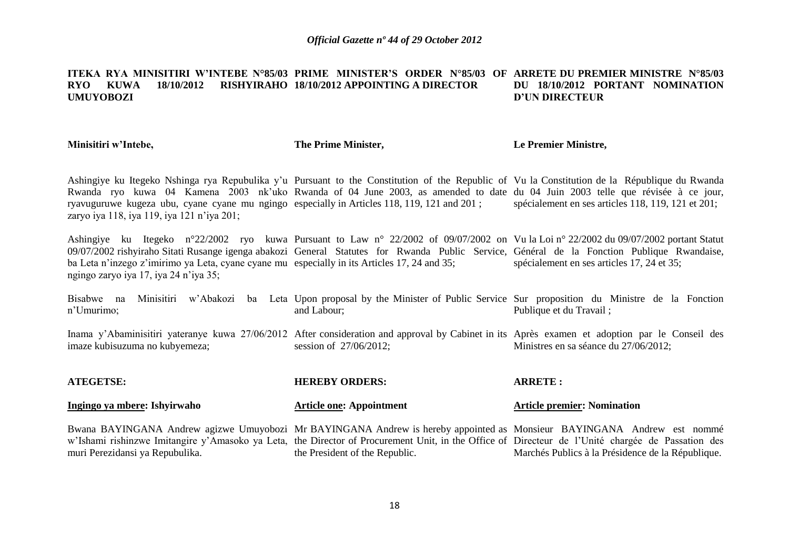#### **ITEKA RYA MINISITIRI W'INTEBE N°85/03 PRIME MINISTER'S ORDER N°85/03 OF ARRETE DU PREMIER MINISTRE N°85/03 RYO KUWA 18/10/2012 RISHYIRAHO 18/10/2012 APPOINTING A DIRECTOR UMUYOBOZI DU 18/10/2012 PORTANT NOMINATION D'UN DIRECTEUR**

**Minisitiri w'Intebe,**

**The Prime Minister,**

**Le Premier Ministre,**

Ashingiye ku Itegeko Nshinga rya Repubulika y"u Pursuant to the Constitution of the Republic of Vu la Constitution de la République du Rwanda Rwanda ryo kuwa 04 Kamena 2003 nk'uko Rwanda of 04 June 2003, as amended to date du 04 Juin 2003 telle que révisée à ce jour, ryavuguruwe kugeza ubu, cyane cyane mu ngingo especially in Articles 118, 119, 121 and 201 ; zaryo iya 118, iya 119, iya 121 n"iya 201; spécialement en ses articles 118, 119, 121 et 201;

Ashingiye ku Itegeko n°22/2002 ryo kuwa Pursuant to Law n° 22/2002 of 09/07/2002 on Vu la Loi n° 22/2002 du 09/07/2002 portant Statut 09/07/2002 rishyiraho Sitati Rusange igenga abakozi General Statutes for Rwanda Public Service, Général de la Fonction Publique Rwandaise, ba Leta n'inzego z'imirimo ya Leta, cyane cyane mu especially in its Articles 17, 24 and 35; ngingo zaryo iya 17, iya 24 n"iya 35; spécialement en ses articles 17, 24 et 35;

Bisabwe na Minisitiri w'Abakozi ba Leta Upon-proposal-by-the-Minister-of-Public-Service Sur-proposition du Ministre de la Fonction n"Umurimo; and Labour; Publique et du Travail ;

Inama y'Abaminisitiri yateranye kuwa 27/06/2012 After consideration and approval by Cabinet in its Après examen et adoption par le Conseil des imaze kubisuzuma no kubyemeza; session of 27/06/2012; Ministres en sa séance du 27/06/2012;

| <b>ATEGETSE:</b>                                                                                                                                                                     | <b>HEREBY ORDERS:</b>           | <b>ARRETE:</b>                                    |
|--------------------------------------------------------------------------------------------------------------------------------------------------------------------------------------|---------------------------------|---------------------------------------------------|
| Ingingo ya mbere: Ishyirwaho                                                                                                                                                         | <b>Article one: Appointment</b> | <b>Article premier: Nomination</b>                |
| Bwana BAYINGANA Andrew agizwe Umuyobozi Mr BAYINGANA Andrew is hereby appointed as Monsieur BAYINGANA Andrew est nommé                                                               |                                 |                                                   |
| w'Ishami rishinzwe Imitangire y'Amasoko ya Leta, the Director of Procurement Unit, in the Office of Directeur de l'Unité chargée de Passation des<br>muri Perezidansi ya Repubulika. | the President of the Republic.  | Marchés Publics à la Présidence de la République. |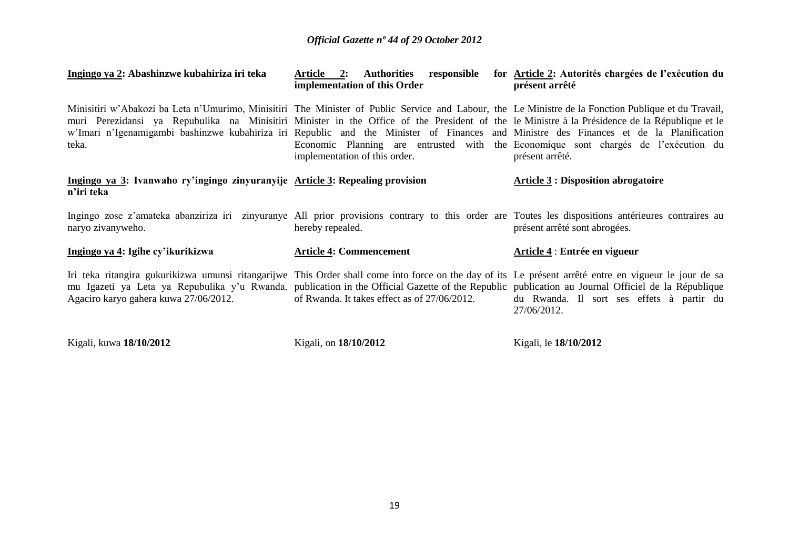| Ingingo ya 2: Abashinzwe kubahiriza iri teka                                                                                                                                                                                                                                                                                                                                                                                                              | Authorities responsible<br>Article 2:<br>implementation of this Order                                               | for Article 2: Autorités chargées de l'exécution du<br>présent arrêté |
|-----------------------------------------------------------------------------------------------------------------------------------------------------------------------------------------------------------------------------------------------------------------------------------------------------------------------------------------------------------------------------------------------------------------------------------------------------------|---------------------------------------------------------------------------------------------------------------------|-----------------------------------------------------------------------|
| Minisitiri w'Abakozi ba Leta n'Umurimo, Minisitiri The Minister of Public Service and Labour, the Le Ministre de la Fonction Publique et du Travail,<br>muri Perezidansi ya Repubulika na Minisitiri Minister in the Office of the President of the le Ministre à la Présidence de la République et le<br>w'Imari n'Igenamigambi bashinzwe kubahiriza iri Republic and the Minister of Finances and Ministre des Finances et de la Planification<br>teka. | Economic Planning are entrusted with the Economique sont chargés de l'exécution du<br>implementation of this order. | présent arrêté.                                                       |
| Ingingo ya 3: Ivanwaho ry'ingingo zinyuranyije Article 3: Repealing provision<br>n'iri teka                                                                                                                                                                                                                                                                                                                                                               |                                                                                                                     | <b>Article 3 : Disposition abrogatoire</b>                            |
| Ingingo zose z'amateka abanziriza iri zinyuranye All prior provisions contrary to this order are Toutes les dispositions antérieures contraires au<br>naryo zivanyweho.                                                                                                                                                                                                                                                                                   | hereby repealed.                                                                                                    | présent arrêté sont abrogées.                                         |
| Ingingo ya 4: Igihe cy'ikurikizwa                                                                                                                                                                                                                                                                                                                                                                                                                         | <b>Article 4: Commencement</b>                                                                                      | Article 4 : Entrée en vigueur                                         |
| Iri teka ritangira gukurikizwa umunsi ritangarijwe This Order shall come into force on the day of its Le présent arrêté entre en vigueur le jour de sa<br>mu Igazeti ya Leta ya Repubulika y'u Rwanda. publication in the Official Gazette of the Republic publication au Journal Officiel de la République<br>Agaciro karyo gahera kuwa 27/06/2012.                                                                                                      | of Rwanda. It takes effect as of 27/06/2012.                                                                        | du Rwanda. Il sort ses effets à partir du<br>27/06/2012.              |
| Kigali, kuwa 18/10/2012                                                                                                                                                                                                                                                                                                                                                                                                                                   | Kigali, on 18/10/2012                                                                                               | Kigali, le 18/10/2012                                                 |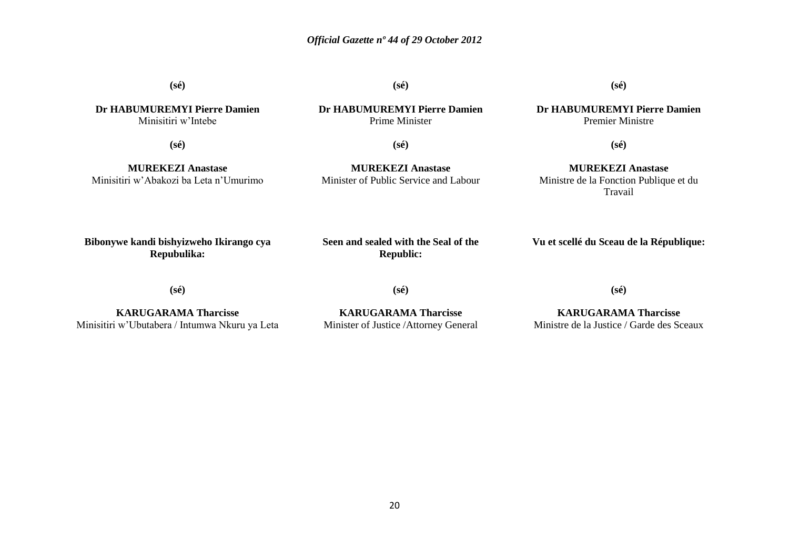**(sé)**

**Dr HABUMUREMYI Pierre Damien** Minisitiri w"Intebe

**(sé)**

**(sé)**

**Dr HABUMUREMYI Pierre Damien** Premier Ministre

**(sé)**

**MUREKEZI Anastase** Minisitiri w"Abakozi ba Leta n"Umurimo

**(sé)**

**Dr HABUMUREMYI Pierre Damien** Prime Minister

**(sé)**

**MUREKEZI Anastase** Minister of Public Service and Labour

**MUREKEZI Anastase** Ministre de la Fonction Publique et du Travail

**Bibonywe kandi bishyizweho Ikirango cya Repubulika:**

**Seen and sealed with the Seal of the Republic:**

**Vu et scellé du Sceau de la République:**

**(sé)**

**KARUGARAMA Tharcisse** Minisitiri w"Ubutabera / Intumwa Nkuru ya Leta **(sé)**

**KARUGARAMA Tharcisse** Minister of Justice /Attorney General **KARUGARAMA Tharcisse**

**(sé)**

Ministre de la Justice / Garde des Sceaux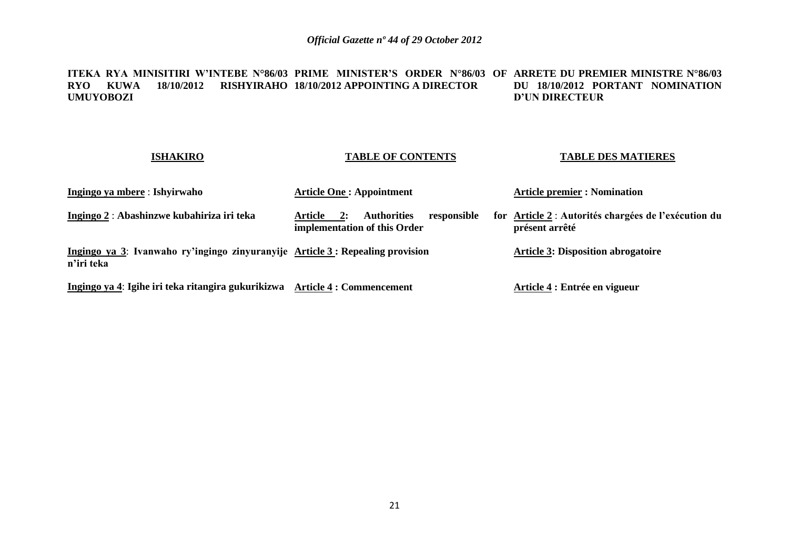### **ITEKA RYA MINISITIRI W'INTEBE N°86/03 PRIME MINISTER'S ORDER N°86/03 OF ARRETE DU PREMIER MINISTRE N°86/03 RYO KUWA 18/10/2012 RISHYIRAHO 18/10/2012 APPOINTING A DIRECTOR UMUYOBOZI DU 18/10/2012 PORTANT NOMINATION D'UN DIRECTEUR**

### **ISHAKIRO**

### **TABLE OF CONTENTS**

### **TABLE DES MATIERES**

| Ingingo ya mbere : Ishyirwaho                                                                | <b>Article One: Appointment</b>                                                    | <b>Article premier : Nomination</b>                                    |  |  |  |
|----------------------------------------------------------------------------------------------|------------------------------------------------------------------------------------|------------------------------------------------------------------------|--|--|--|
| Ingingo 2 : Abashinzwe kubahiriza iri teka                                                   | <b>Authorities</b><br>responsible<br>Article<br>2:<br>implementation of this Order | for Article 2 : Autorités chargées de l'exécution du<br>présent arrêté |  |  |  |
| Ingingo ya 3: Ivanwaho ry'ingingo zinyuranyije Article 3 : Repealing provision<br>n'iri teka |                                                                                    | <b>Article 3: Disposition abrogatoire</b>                              |  |  |  |
| Ingingo ya 4: Igihe iri teka ritangira gukurikizwa Article 4: Commencement                   |                                                                                    | Article 4 : Entrée en vigueur                                          |  |  |  |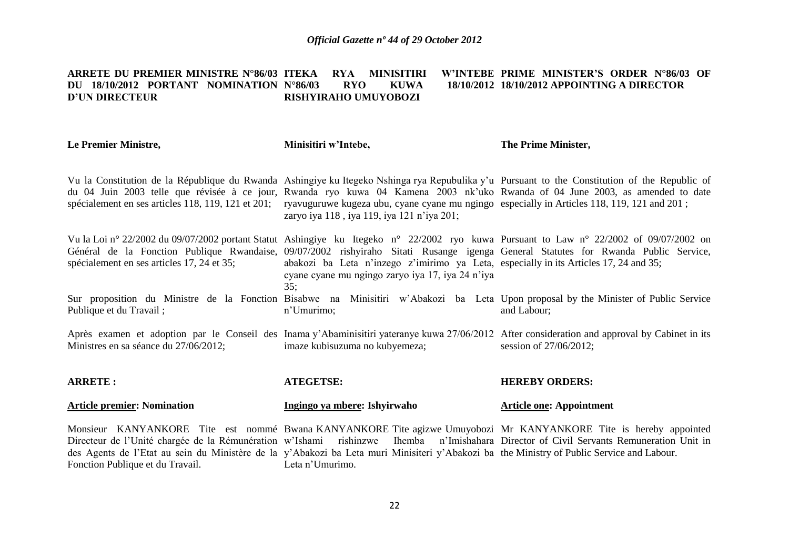#### **ARRETE DU PREMIER MINISTRE N°86/03 ITEKA RYA MINISITIRI W'INTEBE PRIME MINISTER'S ORDER N°86/03 OF DU 18/10/2012 PORTANT NOMINATION D'UN DIRECTEUR N°86/03 RYO KUWA 18/10/2012 18/10/2012 APPOINTING A DIRECTOR RISHYIRAHO UMUYOBOZI**

| Le Premier Ministre,                               | Minisitiri w'Intebe,                                                                                                                                                                                                                                                                                   | The Prime Minister,                                                                                                                                                                                                                                                            |
|----------------------------------------------------|--------------------------------------------------------------------------------------------------------------------------------------------------------------------------------------------------------------------------------------------------------------------------------------------------------|--------------------------------------------------------------------------------------------------------------------------------------------------------------------------------------------------------------------------------------------------------------------------------|
| spécialement en ses articles 118, 119, 121 et 201; | ryavuguruwe kugeza ubu, cyane cyane mu ngingo especially in Articles 118, 119, 121 and 201;<br>zaryo iya 118, iya 119, iya 121 n'iya 201;                                                                                                                                                              | Vu la Constitution de la République du Rwanda Ashingiye ku Itegeko Nshinga rya Repubulika y'u Pursuant to the Constitution of the Republic of<br>du 04 Juin 2003 telle que révisée à ce jour, Rwanda ryo kuwa 04 Kamena 2003 nk'uko Rwanda of 04 June 2003, as amended to date |
| spécialement en ses articles 17, 24 et 35;         | abakozi ba Leta n'inzego z'imirimo ya Leta, especially in its Articles 17, 24 and 35;<br>cyane cyane mu ngingo zaryo iya 17, iya 24 n'iya<br>35:                                                                                                                                                       | Vu la Loi nº 22/2002 du 09/07/2002 portant Statut Ashingiye ku Itegeko nº 22/2002 ryo kuwa Pursuant to Law nº 22/2002 of 09/07/2002 on<br>Général de la Fonction Publique Rwandaise, 09/07/2002 rishyiraho Sitati Rusange igenga General Statutes for Rwanda Public Service,   |
| Publique et du Travail;                            | n'Umurimo;                                                                                                                                                                                                                                                                                             | Sur proposition du Ministre de la Fonction Bisabwe na Minisitiri w'Abakozi ba Leta Upon proposal by the Minister of Public Service<br>and Labour;                                                                                                                              |
| Ministres en sa séance du 27/06/2012;              | imaze kubisuzuma no kubyemeza;                                                                                                                                                                                                                                                                         | Après examen et adoption par le Conseil des Inama y'Abaminisitiri yateranye kuwa 27/06/2012 After consideration and approval by Cabinet in its<br>session of 27/06/2012;                                                                                                       |
| <b>ARRETE:</b>                                     | <b>ATEGETSE:</b>                                                                                                                                                                                                                                                                                       | <b>HEREBY ORDERS:</b>                                                                                                                                                                                                                                                          |
| <b>Article premier: Nomination</b>                 | Ingingo ya mbere: Ishyirwaho                                                                                                                                                                                                                                                                           | <b>Article one: Appointment</b>                                                                                                                                                                                                                                                |
| Fonction Publique et du Travail.                   | Directeur de l'Unité chargée de la Rémunération w'Ishami rishinzwe Ihemba n'Imishahara Director of Civil Servants Remuneration Unit in<br>des Agents de l'Etat au sein du Ministère de la y'Abakozi ba Leta muri Minisiteri y'Abakozi ba the Ministry of Public Service and Labour.<br>Leta n'Umurimo. | Monsieur KANYANKORE Tite est nommé Bwana KANYANKORE Tite agizwe Umuyobozi Mr KANYANKORE Tite is hereby appointed                                                                                                                                                               |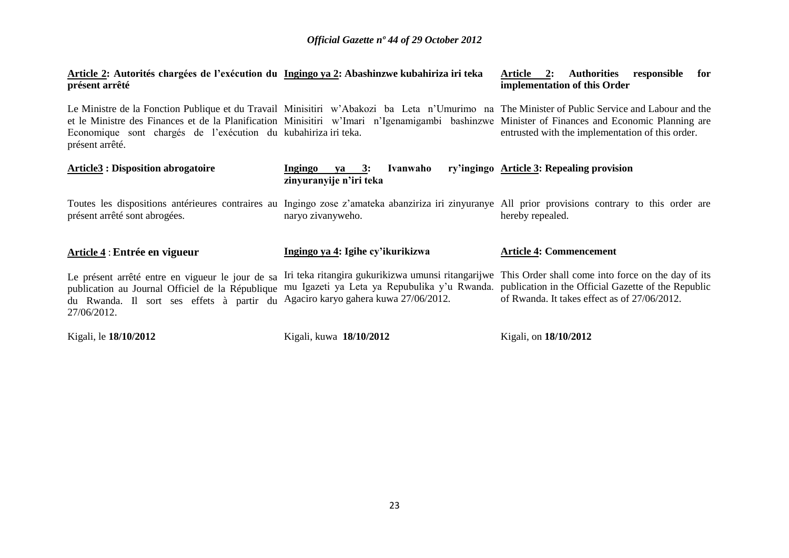**Article 2: Autorités chargées de l'exécution du Ingingo ya 2: Abashinzwe kubahiriza iri teka présent arrêté Article 2: Authorities responsible for implementation of this Order**

Le Ministre de la Fonction Publique et du Travail Minisitiri w'Abakozi ba Leta n'Umurimo na The Minister of Public Service and Labour and the et le Ministre des Finances et de la Planification Minisitiri w'Imari n'Igenamigambi bashinzwe Minister of Finances and Economic Planning are Economique sont chargés de l"exécution du kubahiriza iri teka. présent arrêté. entrusted with the implementation of this order.

| <b>Article3 : Disposition abrogatoire</b>                                                                                                                        | Ivanwaho<br>Ingingo<br>va $3:$<br>zinyuranyije n'iri teka                                                                                 | ry'ingingo Article 3: Repealing provision                                                                                                                              |
|------------------------------------------------------------------------------------------------------------------------------------------------------------------|-------------------------------------------------------------------------------------------------------------------------------------------|------------------------------------------------------------------------------------------------------------------------------------------------------------------------|
| présent arrêté sont abrogées.                                                                                                                                    | naryo zivanyweho.                                                                                                                         | Toutes les dispositions antérieures contraires au Ingingo zose z'amateka abanziriza iri zinyuranye All prior provisions contrary to this order are<br>hereby repealed. |
| Article 4 : Entrée en vigueur                                                                                                                                    | Ingingo ya 4: Igihe cy'ikurikizwa                                                                                                         | <b>Article 4: Commencement</b>                                                                                                                                         |
| Le présent arrêté entre en vigueur le jour de sa<br>publication au Journal Officiel de la République<br>du Rwanda. Il sort ses effets à partir du<br>27/06/2012. | mu Igazeti ya Leta ya Repubulika y'u Rwanda. publication in the Official Gazette of the Republic<br>Agaciro karyo gahera kuwa 27/06/2012. | Iri teka ritangira gukurikizwa umunsi ritangarijwe. This Order shall come into force on the day of its<br>of Rwanda. It takes effect as of 27/06/2012.                 |
| Kigali, le 18/10/2012                                                                                                                                            | Kigali, kuwa 18/10/2012                                                                                                                   | Kigali, on 18/10/2012                                                                                                                                                  |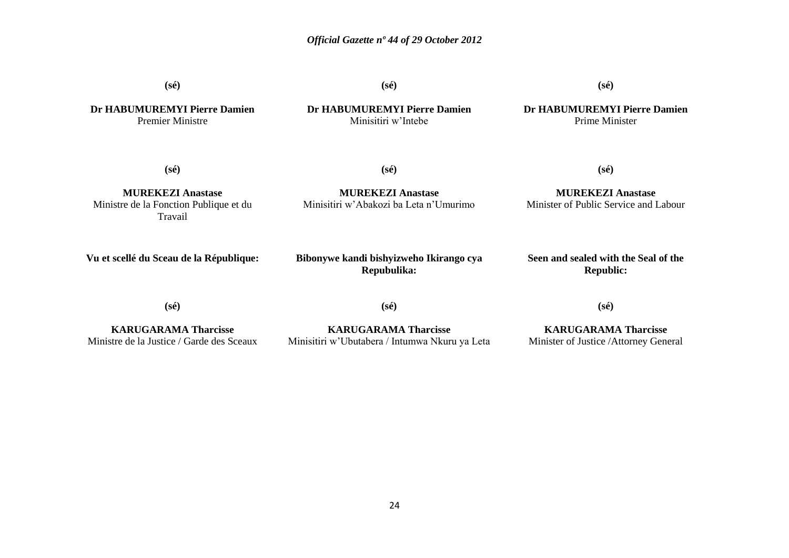**(sé)**

**(sé)**

**(sé)**

**Dr HABUMUREMYI Pierre Damien** Premier Ministre

### **Dr HABUMUREMYI Pierre Damien** Minisitiri w"Intebe

**Dr HABUMUREMYI Pierre Damien** Prime Minister

**(sé)**

**(sé)**

**MUREKEZI Anastase** Ministre de la Fonction Publique et du Travail

**MUREKEZI Anastase** Minisitiri w"Abakozi ba Leta n"Umurimo

**MUREKEZI Anastase** Minister of Public Service and Labour

**(sé)**

**Vu et scellé du Sceau de la République:**

**Bibonywe kandi bishyizweho Ikirango cya Repubulika:**

**Seen and sealed with the Seal of the Republic:**

**(sé)**

**(sé)**

**(sé)**

**KARUGARAMA Tharcisse** Ministre de la Justice / Garde des Sceaux

**KARUGARAMA Tharcisse** Minisitiri w"Ubutabera / Intumwa Nkuru ya Leta

**KARUGARAMA Tharcisse** Minister of Justice /Attorney General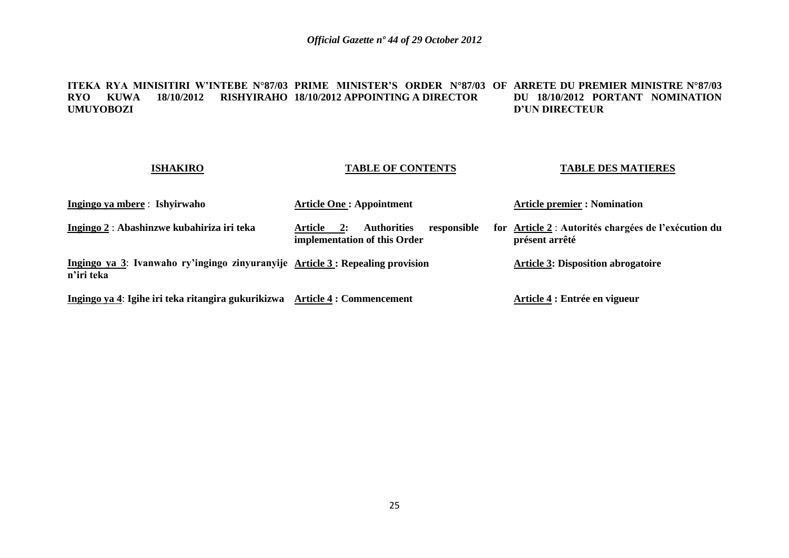### **ITEKA RYA MINISITIRI W'INTEBE N°87/03 PRIME MINISTER'S ORDER N°87/03 OF ARRETE DU PREMIER MINISTRE N°87/03 RYO KUWA 18/10/2012 RISHYIRAHO 18/10/2012 APPOINTING A DIRECTOR UMUYOBOZI DU 18/10/2012 PORTANT NOMINATION D'UN DIRECTEUR**

### **ISHAKIRO**

### **TABLE OF CONTENTS**

### **TABLE DES MATIERES**

| Ingingo ya mbere: Ishyirwaho                                                                 | <b>Article One: Appointment</b>                                                    | <b>Article premier : Nomination</b>                                    |  |  |  |
|----------------------------------------------------------------------------------------------|------------------------------------------------------------------------------------|------------------------------------------------------------------------|--|--|--|
| Ingingo 2 : Abashinzwe kubahiriza iri teka                                                   | <b>Authorities</b><br>responsible<br>Article<br>2:<br>implementation of this Order | for Article 2 : Autorités chargées de l'exécution du<br>présent arrêté |  |  |  |
| Ingingo ya 3: Ivanwaho ry'ingingo zinyuranyije Article 3 : Repealing provision<br>n'iri teka |                                                                                    | <b>Article 3: Disposition abrogatoire</b>                              |  |  |  |
| Ingingo ya 4: Igihe iri teka ritangira gukurikizwa                                           | <b>Article 4 : Commencement</b>                                                    | Article 4 : Entrée en vigueur                                          |  |  |  |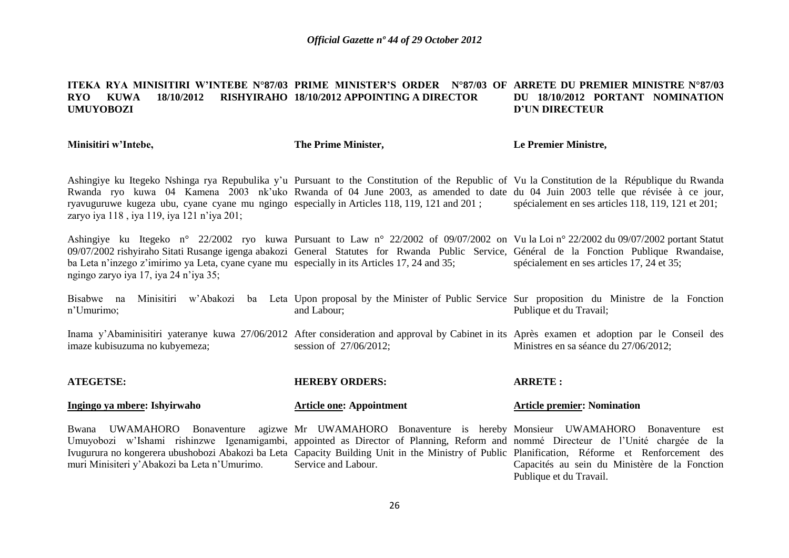#### **ITEKA RYA MINISITIRI W'INTEBE N°87/03 PRIME MINISTER'S ORDER N°87/03 OF ARRETE DU PREMIER MINISTRE N°87/03 RYO KUWA 18/10/2012 RISHYIRAHO 18/10/2012 APPOINTING A DIRECTOR UMUYOBOZI DU 18/10/2012 PORTANT NOMINATION D'UN DIRECTEUR**

**Minisitiri w'Intebe,**

### **The Prime Minister,**

### **Le Premier Ministre,**

Publique et du Travail.

Ashingiye ku Itegeko Nshinga rya Repubulika y"u Pursuant to the Constitution of the Republic of Vu la Constitution de la République du Rwanda Rwanda ryo kuwa 04 Kamena 2003 nk'uko Rwanda of 04 June 2003, as amended to date du 04 Juin 2003 telle que révisée à ce jour, ryavuguruwe kugeza ubu, cyane cyane mu ngingo especially in Articles 118, 119, 121 and 201 ; zaryo iya 118, iya 119, iya 121 n'iya 201; spécialement en ses articles 118, 119, 121 et 201;

Ashingiye ku Itegeko n° 22/2002 ryo kuwa Pursuant to Law n° 22/2002 of 09/07/2002 on Vu la Loi n° 22/2002 du 09/07/2002 portant Statut 09/07/2002 rishyiraho Sitati Rusange igenga abakozi General Statutes for Rwanda Public Service, Général de la Fonction Publique Rwandaise, ba Leta n'inzego z'imirimo ya Leta, cyane cyane mu especially in its Articles 17, 24 and 35; ngingo zaryo iya 17, iya 24 n"iya 35; spécialement en ses articles 17, 24 et 35;

Bisabwe na Minisitiri w'Abakozi ba Leta Upon-proposal-by-the-Minister-of-Public-Service Sur-proposition du Ministre de la Fonction n"Umurimo; and Labour; Publique et du Travail;

Inama y'Abaminisitiri yateranye kuwa 27/06/2012 After consideration and approval by Cabinet in its Après examen et adoption par le Conseil des imaze kubisuzuma no kubyemeza; session of 27/06/2012; Ministres en sa séance du 27/06/2012;

| <b>ATEGETSE:</b>                                                                                                                                                                                                                              | <b>HEREBY ORDERS:</b>           | <b>ARRETE:</b>                                |
|-----------------------------------------------------------------------------------------------------------------------------------------------------------------------------------------------------------------------------------------------|---------------------------------|-----------------------------------------------|
| Ingingo ya mbere: Ishyirwaho                                                                                                                                                                                                                  | <b>Article one: Appointment</b> | <b>Article premier: Nomination</b>            |
| Bwana UWAMAHORO Bonaventure agizwe Mr UWAMAHORO Bonaventure is hereby Monsieur UWAMAHORO Bonaventure est<br>Umuyobozi w'Ishami rishinzwe Igenamigambi, appointed as Director of Planning, Reform and nommé Directeur de l'Unité chargée de la |                                 |                                               |
| Ivugurura no kongerera ubushobozi Abakozi ba Leta Capacity Building Unit in the Ministry of Public Planification, Réforme et Renforcement des<br>muri Minisiteri y'Abakozi ba Leta n'Umurimo.                                                 | Service and Labour.             | Capacités au sein du Ministère de la Fonction |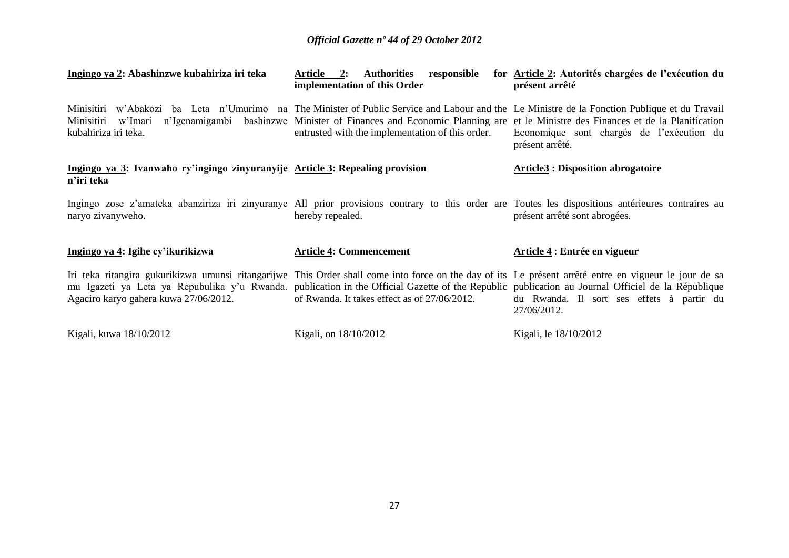| Ingingo ya 2: Abashinzwe kubahiriza iri teka                                                                                                                                                                                                                                                                                                         | responsible<br><b>Authorities</b><br>Article 2:<br>implementation of this Order                                                                                                                                                                                   | for Article 2: Autorités chargées de l'exécution du<br>présent arrêté                                              |
|------------------------------------------------------------------------------------------------------------------------------------------------------------------------------------------------------------------------------------------------------------------------------------------------------------------------------------------------------|-------------------------------------------------------------------------------------------------------------------------------------------------------------------------------------------------------------------------------------------------------------------|--------------------------------------------------------------------------------------------------------------------|
| Minisitiri<br>Minisitiri<br>w'Imari<br>kubahiriza iri teka.                                                                                                                                                                                                                                                                                          | w'Abakozi ba Leta n'Umurimo na The Minister of Public Service and Labour and the Le Ministre de la Fonction Publique et du Travail<br>n'Igenamigambi bashinzwe Minister of Finances and Economic Planning are<br>entrusted with the implementation of this order. | et le Ministre des Finances et de la Planification<br>Economique sont chargés de l'exécution du<br>présent arrêté. |
| Ingingo ya 3: Ivanwaho ry'ingingo zinyuranyije Article 3: Repealing provision<br>n'iri teka                                                                                                                                                                                                                                                          |                                                                                                                                                                                                                                                                   | <b>Article3: Disposition abrogatoire</b>                                                                           |
| Ingingo zose z'amateka abanziriza iri zinyuranye All prior provisions contrary to this order are Toutes les dispositions antérieures contraires au<br>naryo zivanyweho.                                                                                                                                                                              | hereby repealed.                                                                                                                                                                                                                                                  | présent arrêté sont abrogées.                                                                                      |
| Ingingo ya 4: Igihe cy'ikurikizwa                                                                                                                                                                                                                                                                                                                    | <b>Article 4: Commencement</b>                                                                                                                                                                                                                                    | Article 4 : Entrée en vigueur                                                                                      |
| Iri teka ritangira gukurikizwa umunsi ritangarijwe This Order shall come into force on the day of its Le présent arrêté entre en vigueur le jour de sa<br>mu Igazeti ya Leta ya Repubulika y'u Rwanda. publication in the Official Gazette of the Republic publication au Journal Officiel de la République<br>Agaciro karyo gahera kuwa 27/06/2012. | of Rwanda. It takes effect as of 27/06/2012.                                                                                                                                                                                                                      | du Rwanda. Il sort ses effets à partir du<br>27/06/2012.                                                           |
| Kigali, kuwa 18/10/2012                                                                                                                                                                                                                                                                                                                              | Kigali, on 18/10/2012                                                                                                                                                                                                                                             | Kigali, le 18/10/2012                                                                                              |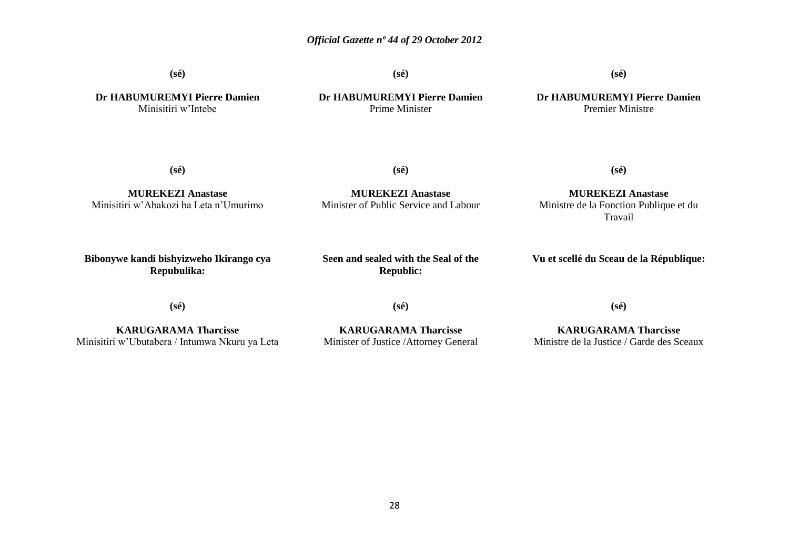**(sé)**

**(sé)**

**(sé)**

**Dr HABUMUREMYI Pierre Damien** Minisitiri w"Intebe

**Dr HABUMUREMYI Pierre Damien** Prime Minister

**Dr HABUMUREMYI Pierre Damien** Premier Ministre

**(sé)**

**(sé)**

**MUREKEZI Anastase** Minisitiri w"Abakozi ba Leta n"Umurimo

**MUREKEZI Anastase** Minister of Public Service and Labour

**MUREKEZI Anastase** Ministre de la Fonction Publique et du Travail

**(sé)**

**Bibonywe kandi bishyizweho Ikirango cya Repubulika:**

**Seen and sealed with the Seal of the Republic:**

**Vu et scellé du Sceau de la République:**

**(sé)**

**(sé)**

**KARUGARAMA Tharcisse** Minisitiri w"Ubutabera / Intumwa Nkuru ya Leta

**KARUGARAMA Tharcisse** Minister of Justice /Attorney General

**KARUGARAMA Tharcisse** Ministre de la Justice / Garde des Sceaux

**(sé)**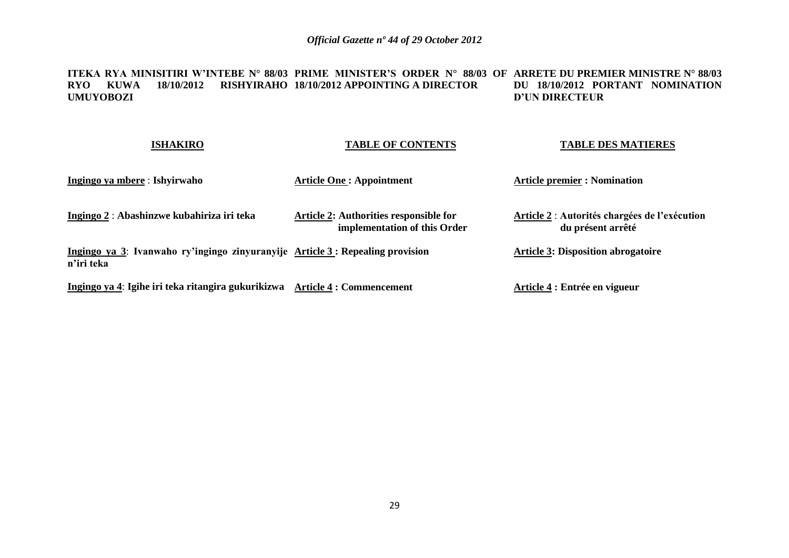### **ITEKA RYA MINISITIRI W'INTEBE N° 88/03 PRIME MINISTER'S ORDER N° 88/03 OF ARRETE DU PREMIER MINISTRE N° 88/03 RYO KUWA 18/10/2012 RISHYIRAHO 18/10/2012 APPOINTING A DIRECTOR UMUYOBOZI DU 18/10/2012 PORTANT NOMINATION D'UN DIRECTEUR**

### **ISHAKIRO Ingingo ya mbere** : **Ishyirwaho Ingingo 2** : **Abashinzwe kubahiriza iri teka Ingingo ya 3**: **Ivanwaho ry'ingingo zinyuranyije Article 3 : Repealing provision n'iri teka Ingingo ya 4**: **Igihe iri teka ritangira gukurikizwa Article 4 : Commencement TABLE OF CONTENTS Article One : Appointment Article 2: Authorities responsible for implementation of this Order TABLE DES MATIERES Article premier : Nomination Article 2** : **Autorités chargées de l'exécution du présent arrêté Article 3: Disposition abrogatoire Article 4 : Entrée en vigueur**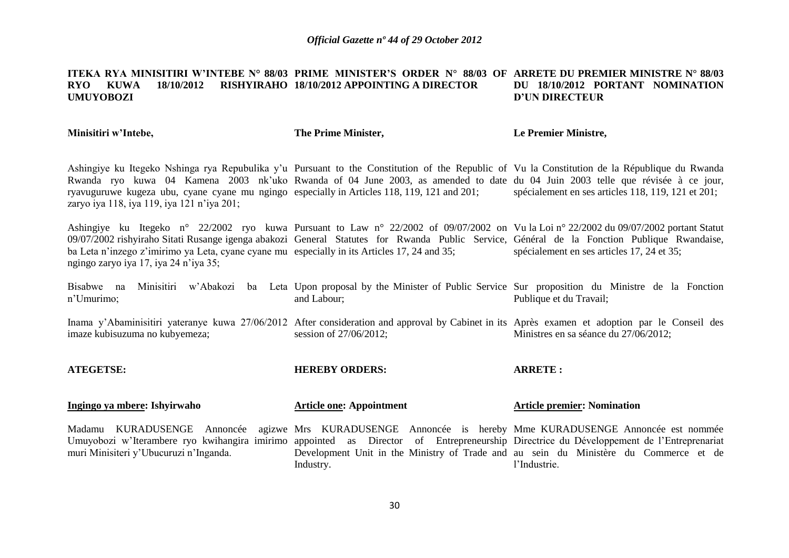#### **ITEKA RYA MINISITIRI W'INTEBE N° 88/03 PRIME MINISTER'S ORDER N° 88/03 OF ARRETE DU PREMIER MINISTRE N° 88/03 RYO KUWA 18/10/2012 RISHYIRAHO 18/10/2012 APPOINTING A DIRECTOR UMUYOBOZI DU 18/10/2012 PORTANT NOMINATION D'UN DIRECTEUR**

**Minisitiri w'Intebe,**

**Ingingo ya mbere: Ishyirwaho**

**The Prime Minister,**

**Le Premier Ministre,**

Ashingiye ku Itegeko Nshinga rya Repubulika y"u Pursuant to the Constitution of the Republic of Vu la Constitution de la République du Rwanda Rwanda ryo kuwa 04 Kamena 2003 nk'uko Rwanda of 04 June 2003, as amended to date du 04 Juin 2003 telle que révisée à ce jour, ryavuguruwe kugeza ubu, cyane cyane mu ngingo especially in Articles 118, 119, 121 and 201; zaryo iya 118, iya 119, iya 121 n"iya 201; spécialement en ses articles 118, 119, 121 et 201;

Ashingiye ku Itegeko n° 22/2002 ryo kuwa Pursuant to Law n° 22/2002 of 09/07/2002 on Vu la Loi n° 22/2002 du 09/07/2002 portant Statut 09/07/2002 rishyiraho Sitati Rusange igenga abakozi General Statutes for Rwanda Public Service, Général de la Fonction Publique Rwandaise, ba Leta n'inzego z'imirimo ya Leta, cyane cyane mu especially in its Articles 17, 24 and 35; ngingo zaryo iya 17, iya 24 n"iya 35; spécialement en ses articles 17, 24 et 35;

Bisabwe na Minisitiri w'Abakozi ba Leta Upon-proposal-by-the-Minister-of-Public-Service Sur-proposition du Ministre de la Fonction n"Umurimo; and Labour; Publique et du Travail;

Inama y'Abaminisitiri yateranye kuwa 27/06/2012 After consideration and approval by Cabinet in its Après examen et adoption par le Conseil des imaze kubisuzuma no kubyemeza; session of 27/06/2012; Ministres en sa séance du 27/06/2012;

**ATEGETSE: HEREBY ORDERS: Article one: Appointment ARRETE : Article premier: Nomination**

| Madamu KURADUSENGE Annoncée agizwe Mrs KURADUSENGE Annoncée is hereby Mme KURADUSENGE Annoncée est nommée                               |  |           |  |  |  |              |  |                                                                                      |  |
|-----------------------------------------------------------------------------------------------------------------------------------------|--|-----------|--|--|--|--------------|--|--------------------------------------------------------------------------------------|--|
| Umuyobozi w'Iterambere ryo kwihangira imirimo appointed as Director of Entrepreneurship Directrice du Développement de l'Entreprenariat |  |           |  |  |  |              |  |                                                                                      |  |
| muri Minisiteri y'Ubucuruzi n'Inganda.                                                                                                  |  |           |  |  |  |              |  | Development Unit in the Ministry of Trade and au sein du Ministère du Commerce et de |  |
|                                                                                                                                         |  | Industry. |  |  |  | l'Industrie. |  |                                                                                      |  |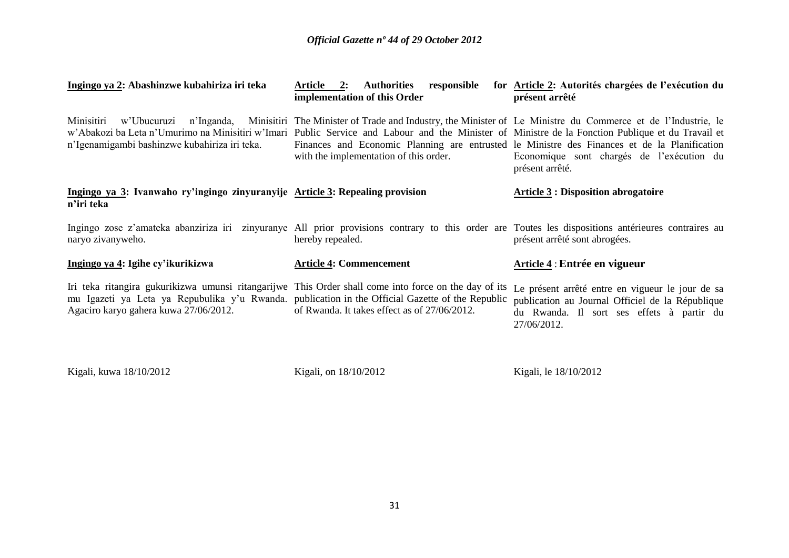| Ingingo ya 2: Abashinzwe kubahiriza iri teka                                                                                                                                                                                                       | Article 2:<br>responsible<br><b>Authorities</b><br>implementation of this Order                                                                                                                                                                                               | for Article 2: Autorités chargées de l'exécution du<br>présent arrêté                                                                                            |
|----------------------------------------------------------------------------------------------------------------------------------------------------------------------------------------------------------------------------------------------------|-------------------------------------------------------------------------------------------------------------------------------------------------------------------------------------------------------------------------------------------------------------------------------|------------------------------------------------------------------------------------------------------------------------------------------------------------------|
| Minisitiri<br>w'Abakozi ba Leta n'Umurimo na Minisitiri w'Imari Public Service and Labour and the Minister of Ministre de la Fonction Publique et du Travail et<br>n'Igenamigambi bashinzwe kubahiriza iri teka.                                   | w'Ubucuruzi n'Inganda, Minisitiri The Minister of Trade and Industry, the Minister of Le Ministre du Commerce et de l'Industrie, le<br>Finances and Economic Planning are entrusted le Ministre des Finances et de la Planification<br>with the implementation of this order. | Economique sont chargés de l'exécution du<br>présent arrêté.                                                                                                     |
| Ingingo ya 3: Ivanwaho ry'ingingo zinyuranyije Article 3: Repealing provision<br>n'iri teka                                                                                                                                                        |                                                                                                                                                                                                                                                                               | <b>Article 3 : Disposition abrogatoire</b>                                                                                                                       |
| Ingingo zose z'amateka abanziriza iri zinyuranye All prior provisions contrary to this order are Toutes les dispositions antérieures contraires au<br>naryo zivanyweho.                                                                            | hereby repealed.                                                                                                                                                                                                                                                              | présent arrêté sont abrogées.                                                                                                                                    |
| Ingingo ya 4: Igihe cy'ikurikizwa                                                                                                                                                                                                                  | <b>Article 4: Commencement</b>                                                                                                                                                                                                                                                | Article 4 : Entrée en vigueur                                                                                                                                    |
| Iri teka ritangira gukurikizwa umunsi ritangarijwe This Order shall come into force on the day of its<br>mu Igazeti ya Leta ya Repubulika y'u Rwanda. publication in the Official Gazette of the Republic<br>Agaciro karyo gahera kuwa 27/06/2012. | of Rwanda. It takes effect as of 27/06/2012.                                                                                                                                                                                                                                  | Le présent arrêté entre en vigueur le jour de sa<br>publication au Journal Officiel de la République<br>du Rwanda. Il sort ses effets à partir du<br>27/06/2012. |
| Kigali, kuwa 18/10/2012                                                                                                                                                                                                                            | Kigali, on 18/10/2012                                                                                                                                                                                                                                                         | Kigali, le 18/10/2012                                                                                                                                            |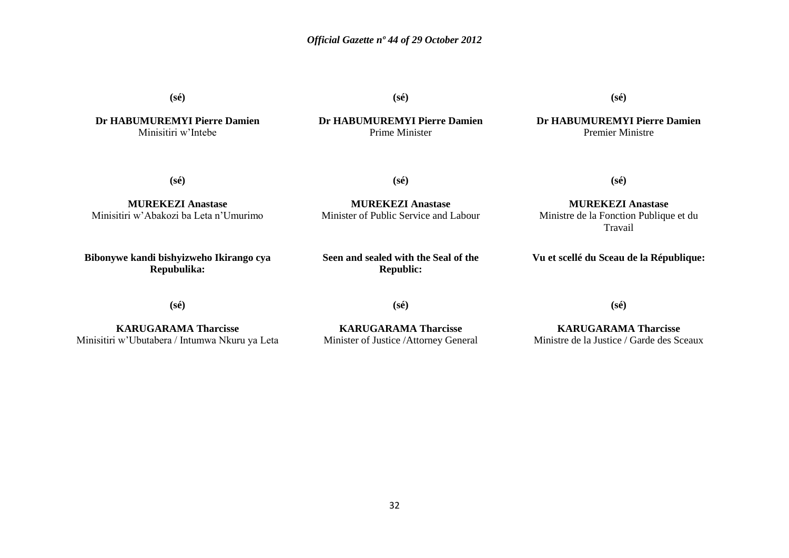**(sé)**

**Dr HABUMUREMYI Pierre Damien** Minisitiri w"Intebe

**(sé)**

**Dr HABUMUREMYI Pierre Damien** Prime Minister

**(sé)**

**Dr HABUMUREMYI Pierre Damien** Premier Ministre

**(sé)**

**(sé)**

**MUREKEZI Anastase** Minister of Public Service and Labour

**MUREKEZI Anastase** Minisitiri w"Abakozi ba Leta n"Umurimo

**Bibonywe kandi bishyizweho Ikirango cya Repubulika:**

**Seen and sealed with the Seal of the Republic:**

**(sé)**

**MUREKEZI Anastase** Ministre de la Fonction Publique et du Travail

**Vu et scellé du Sceau de la République:**

**(sé)**

**(sé)**

**KARUGARAMA Tharcisse** Minisitiri w"Ubutabera / Intumwa Nkuru ya Leta

**KARUGARAMA Tharcisse** Minister of Justice /Attorney General

**KARUGARAMA Tharcisse** Ministre de la Justice / Garde des Sceaux

**(sé)**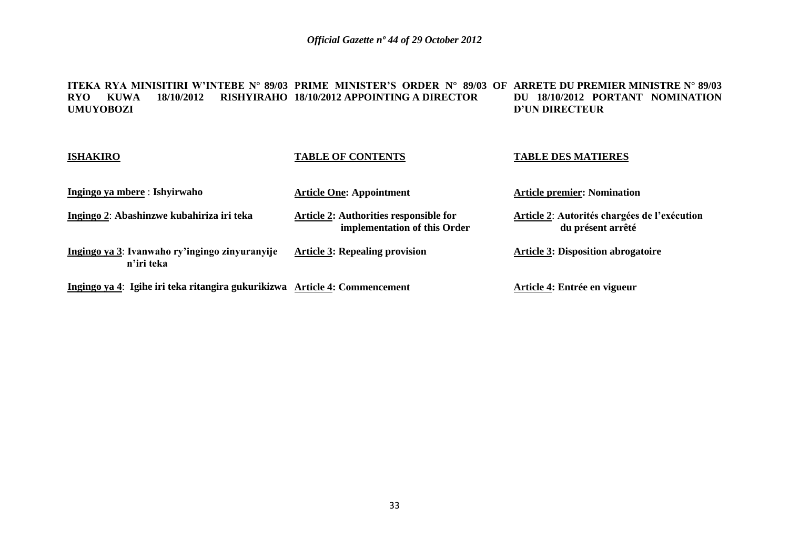**ITEKA RYA MINISITIRI W'INTEBE N° 89/03 PRIME MINISTER'S ORDER N° 89/03 OF ARRETE DU PREMIER MINISTRE N° 89/03 RYO KUWA 18/10/2012 RISHYIRAHO 18/10/2012 APPOINTING A DIRECTOR UMUYOBOZI DU 18/10/2012 PORTANT NOMINATION D'UN DIRECTEUR**

| <b>ISHAKIRO</b>                                                            | <b>TABLE OF CONTENTS</b>                                               | <b>TABLE DES MATIERES</b>                                         |
|----------------------------------------------------------------------------|------------------------------------------------------------------------|-------------------------------------------------------------------|
| Ingingo ya mbere : Ishyirwaho                                              | <b>Article One: Appointment</b>                                        | <b>Article premier: Nomination</b>                                |
| Ingingo 2: Abashinzwe kubahiriza iri teka                                  | Article 2: Authorities responsible for<br>implementation of this Order | Article 2: Autorités chargées de l'exécution<br>du présent arrêté |
| Ingingo ya 3: Ivanwaho ry'ingingo zinyuranyije<br>n'iri teka               | <b>Article 3: Repealing provision</b>                                  | <b>Article 3: Disposition abrogatoire</b>                         |
| Ingingo ya 4: Igihe iri teka ritangira gukurikizwa Article 4: Commencement |                                                                        | Article 4: Entrée en vigueur                                      |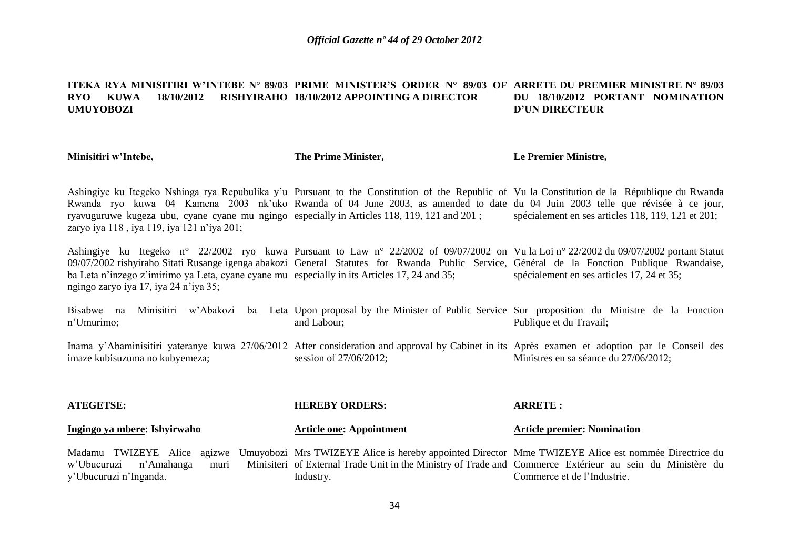### **ITEKA RYA MINISITIRI W'INTEBE N° 89/03 PRIME MINISTER'S ORDER N° 89/03 OF ARRETE DU PREMIER MINISTRE N° 89/03 RYO KUWA 18/10/2012 RISHYIRAHO 18/10/2012 APPOINTING A DIRECTOR UMUYOBOZI DU 18/10/2012 PORTANT NOMINATION D'UN DIRECTEUR**

**Minisitiri w'Intebe,**

**The Prime Minister,**

**Le Premier Ministre,**

Ashingiye ku Itegeko Nshinga rya Repubulika y'u Pursuant to the Constitution of the Republic of Vu la Constitution de la République du Rwanda Rwanda ryo kuwa 04 Kamena 2003 nk'uko Rwanda of 04 June 2003, as amended to date du 04 Juin 2003 telle que révisée à ce jour, ryavuguruwe kugeza ubu, cyane cyane mu ngingo especially in Articles 118, 119, 121 and 201 ; zaryo iya 118, iya 119, iya 121 n'iya 201; spécialement en ses articles 118, 119, 121 et 201;

Ashingiye ku Itegeko n° 22/2002 ryo kuwa Pursuant to Law n° 22/2002 of 09/07/2002 on Vu la Loi n° 22/2002 du 09/07/2002 portant Statut 09/07/2002 rishyiraho Sitati Rusange igenga abakozi General Statutes for Rwanda Public Service, Général de la Fonction Publique Rwandaise, ba Leta n'inzego z'imirimo ya Leta, cyane cyane mu especially in its Articles 17, 24 and 35; ngingo zaryo iya 17, iya 24 n"iya 35; spécialement en ses articles 17, 24 et 35;

Bisabwe na Minisitiri w'Abakozi ba Leta Upon-proposal-by-the-Minister-of-Public-Service Sur-proposition du Ministre de la Fonction n"Umurimo; and Labour; Publique et du Travail;

Inama y'Abaminisitiri yateranye kuwa 27/06/2012 After consideration and approval by Cabinet in its Après examen et adoption par le Conseil des imaze kubisuzuma no kubyemeza; session of 27/06/2012; Ministres en sa séance du 27/06/2012;

| <b>ATEGETSE:</b>                                                                                                                                                                                                                                                         | <b>HEREBY ORDERS:</b>           | <b>ARRETE:</b>                     |
|--------------------------------------------------------------------------------------------------------------------------------------------------------------------------------------------------------------------------------------------------------------------------|---------------------------------|------------------------------------|
| Ingingo ya mbere: Ishyirwaho                                                                                                                                                                                                                                             | <b>Article one: Appointment</b> | <b>Article premier: Nomination</b> |
| Madamu TWIZEYE Alice agizwe Umuyobozi Mrs TWIZEYE Alice is hereby appointed Director Mme TWIZEYE Alice est nommée Directrice du<br>w'Ubucuruzi n'Amahanga muri Minisiteri of External Trade Unit in the Ministry of Trade and Commerce Extérieur au sein du Ministère du |                                 |                                    |
| y'Ubucuruzi n'Inganda.                                                                                                                                                                                                                                                   | Industry.                       | Commerce et de l'Industrie.        |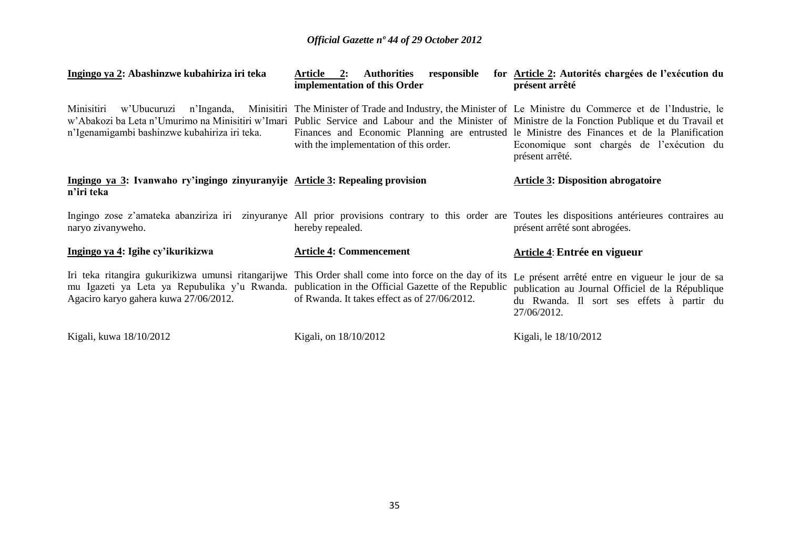| Ingingo ya 2: Abashinzwe kubahiriza iri teka                                                                                                                                                                                                       | responsible<br>Article 2:<br><b>Authorities</b><br>implementation of this Order                                                                                                                                                                                               | for <u>Article 2</u> : Autorités chargées de l'exécution du<br>présent arrêté                                                                                    |
|----------------------------------------------------------------------------------------------------------------------------------------------------------------------------------------------------------------------------------------------------|-------------------------------------------------------------------------------------------------------------------------------------------------------------------------------------------------------------------------------------------------------------------------------|------------------------------------------------------------------------------------------------------------------------------------------------------------------|
| Minisitiri<br>w'Abakozi ba Leta n'Umurimo na Minisitiri w'Imari Public Service and Labour and the Minister of Ministre de la Fonction Publique et du Travail et<br>n'Igenamigambi bashinzwe kubahiriza iri teka.                                   | w'Ubucuruzi n'Inganda, Minisitiri The Minister of Trade and Industry, the Minister of Le Ministre du Commerce et de l'Industrie, le<br>Finances and Economic Planning are entrusted le Ministre des Finances et de la Planification<br>with the implementation of this order. | Economique sont chargés de l'exécution du<br>présent arrêté.                                                                                                     |
| Ingingo ya 3: Ivanwaho ry'ingingo zinyuranyije Article 3: Repealing provision<br>n'iri teka                                                                                                                                                        |                                                                                                                                                                                                                                                                               | <b>Article 3: Disposition abrogatoire</b>                                                                                                                        |
| Ingingo zose z'amateka abanziriza iri zinyuranye All prior provisions contrary to this order are Toutes les dispositions antérieures contraires au<br>naryo zivanyweho.                                                                            | hereby repealed.                                                                                                                                                                                                                                                              | présent arrêté sont abrogées.                                                                                                                                    |
| Ingingo ya 4: Igihe cy'ikurikizwa                                                                                                                                                                                                                  | <b>Article 4: Commencement</b>                                                                                                                                                                                                                                                | Article 4: Entrée en vigueur                                                                                                                                     |
| Iri teka ritangira gukurikizwa umunsi ritangarijwe This Order shall come into force on the day of its<br>mu Igazeti ya Leta ya Repubulika y'u Rwanda, publication in the Official Gazette of the Republic<br>Agaciro karyo gahera kuwa 27/06/2012. | of Rwanda. It takes effect as of 27/06/2012.                                                                                                                                                                                                                                  | Le présent arrêté entre en vigueur le jour de sa<br>publication au Journal Officiel de la République<br>du Rwanda. Il sort ses effets à partir du<br>27/06/2012. |
| Kigali, kuwa 18/10/2012                                                                                                                                                                                                                            | Kigali, on 18/10/2012                                                                                                                                                                                                                                                         | Kigali, le 18/10/2012                                                                                                                                            |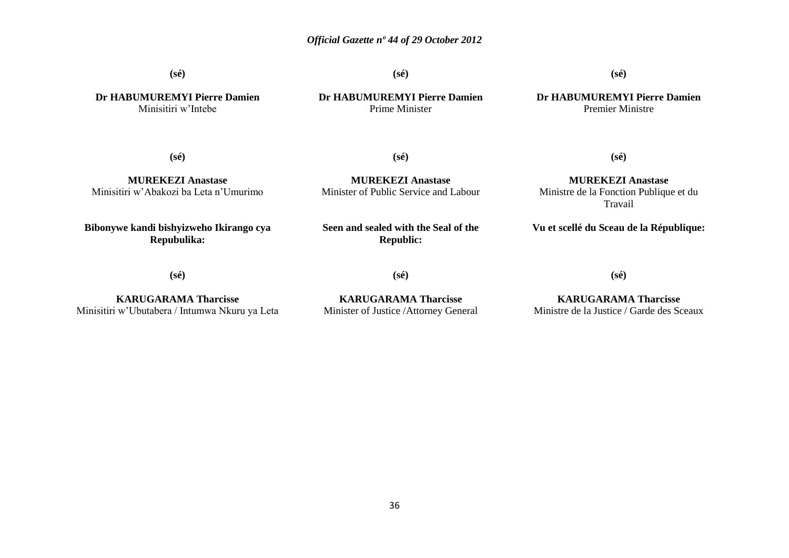**(sé)**

**(sé)**

**Dr HABUMUREMYI Pierre Damien** Prime Minister

**(sé)**

**Dr HABUMUREMYI Pierre Damien** Premier Ministre

**Dr HABUMUREMYI Pierre Damien** Minisitiri w"Intebe

**(sé)**

**(sé)**

**MUREKEZI Anastase** Minisitiri w"Abakozi ba Leta n"Umurimo

**Bibonywe kandi bishyizweho Ikirango cya Repubulika:**

**MUREKEZI Anastase** Minister of Public Service and Labour

**MUREKEZI Anastase** Ministre de la Fonction Publique et du Travail

**(sé)**

**Vu et scellé du Sceau de la République:**

**(sé)**

**KARUGARAMA Tharcisse** Minisitiri w"Ubutabera / Intumwa Nkuru ya Leta **Seen and sealed with the Seal of the Republic:**

**(sé)**

**KARUGARAMA Tharcisse** Minister of Justice /Attorney General

**KARUGARAMA Tharcisse** Ministre de la Justice / Garde des Sceaux

**(sé)**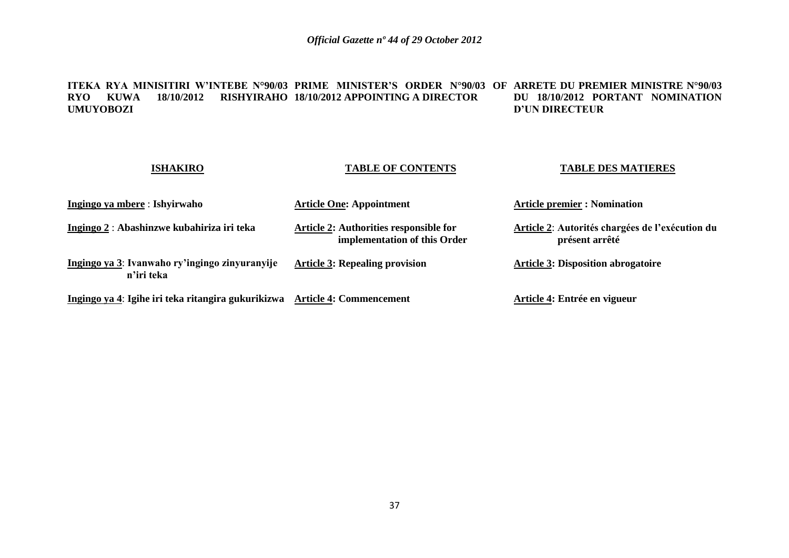#### **ITEKA RYA MINISITIRI W'INTEBE N°90/03 PRIME MINISTER'S ORDER N°90/03 OF ARRETE DU PREMIER MINISTRE N°90/03 RYO KUWA 18/10/2012 RISHYIRAHO 18/10/2012 APPOINTING A DIRECTOR UMUYOBOZI DU 18/10/2012 PORTANT NOMINATION D'UN DIRECTEUR**

| <b>ISHAKIRO</b>                                              | <b>TABLE OF CONTENTS</b>                                               | <b>TABLE DES MATIERES</b>                                         |
|--------------------------------------------------------------|------------------------------------------------------------------------|-------------------------------------------------------------------|
| Ingingo ya mbere: Ishyirwaho                                 | <b>Article One: Appointment</b>                                        | <b>Article premier : Nomination</b>                               |
| Ingingo 2 : Abashinzwe kubahiriza iri teka                   | Article 2: Authorities responsible for<br>implementation of this Order | Article 2: Autorités chargées de l'exécution du<br>présent arrêté |
| Ingingo ya 3: Ivanwaho ry'ingingo zinyuranyije<br>n'iri teka | <b>Article 3: Repealing provision</b>                                  | <b>Article 3: Disposition abrogatoire</b>                         |
| Ingingo ya 4: Igihe iri teka ritangira gukurikizwa           | <b>Article 4: Commencement</b>                                         | Article 4: Entrée en vigueur                                      |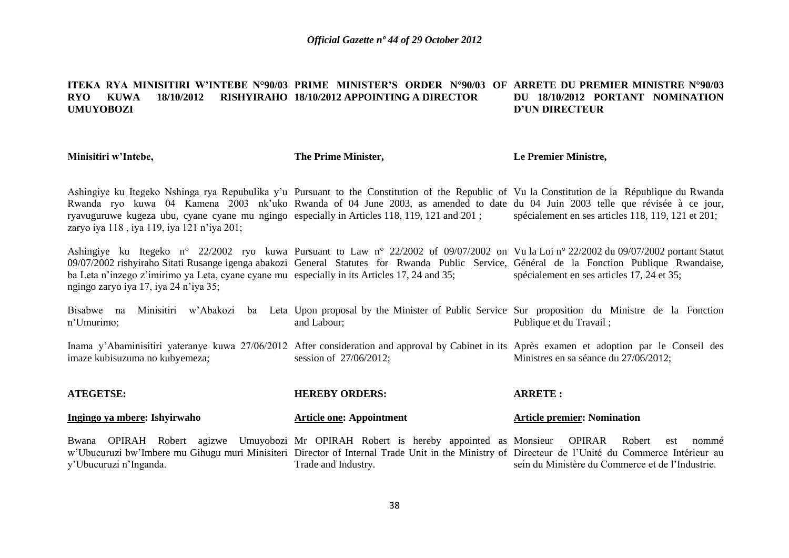#### **ITEKA RYA MINISITIRI W'INTEBE N°90/03 PRIME MINISTER'S ORDER N°90/03 OF ARRETE DU PREMIER MINISTRE N°90/03 RYO KUWA 18/10/2012 RISHYIRAHO 18/10/2012 APPOINTING A DIRECTOR UMUYOBOZI DU 18/10/2012 PORTANT NOMINATION D'UN DIRECTEUR**

**Minisitiri w'Intebe,**

y"Ubucuruzi n"Inganda.

**The Prime Minister,**

**Le Premier Ministre,**

sein du Ministère du Commerce et de l"Industrie.

Ashingiye ku Itegeko Nshinga rya Repubulika y'u Pursuant to the Constitution of the Republic of Vu la Constitution de la République du Rwanda Rwanda ryo kuwa 04 Kamena 2003 nk'uko Rwanda of 04 June 2003, as amended to date du 04 Juin 2003 telle que révisée à ce jour, ryavuguruwe kugeza ubu, cyane cyane mu ngingo especially in Articles 118, 119, 121 and 201 ; zaryo iya 118, iya 119, iya 121 n'iya 201; spécialement en ses articles 118, 119, 121 et 201;

Ashingiye ku Itegeko n° 22/2002 ryo kuwa Pursuant to Law n° 22/2002 of 09/07/2002 on Vu la Loi n° 22/2002 du 09/07/2002 portant Statut 09/07/2002 rishyiraho Sitati Rusange igenga abakozi General Statutes for Rwanda Public Service, Général de la Fonction Publique Rwandaise, ba Leta n'inzego z'imirimo ya Leta, cyane cyane mu especially in its Articles 17, 24 and 35; ngingo zaryo iya 17, iya 24 n"iya 35; spécialement en ses articles 17, 24 et 35;

Bisabwe na Minisitiri w'Abakozi ba Leta Upon-proposal-by-the-Minister-of-Public-Service Sur-proposition du Ministre de la Fonction n"Umurimo; and Labour; Publique et du Travail ;

Inama y'Abaminisitiri yateranye kuwa 27/06/2012 After consideration and approval by Cabinet in its Après examen et adoption par le Conseil des imaze kubisuzuma no kubyemeza; session of 27/06/2012; Ministres en sa séance du 27/06/2012;

| <b>ATEGETSE:</b>                                                                                                                                 | <b>HEREBY ORDERS:</b>           | <b>ARRETE :</b>                    |
|--------------------------------------------------------------------------------------------------------------------------------------------------|---------------------------------|------------------------------------|
| <u>Ingingo ya mbere</u> : Ishyirwaho                                                                                                             | <b>Article one: Appointment</b> | <b>Article premier: Nomination</b> |
| Bwana OPIRAH Robert agizwe Umuyobozi Mr OPIRAH Robert is hereby appointed as Monsieur OPIRAR Robert est nommé                                    |                                 |                                    |
| w'Ubucuruzi bw'Imbere mu Gihugu muri Minisiteri Director of Internal Trade Unit in the Ministry of Directeur de l'Unité du Commerce Intérieur au |                                 |                                    |

Trade and Industry.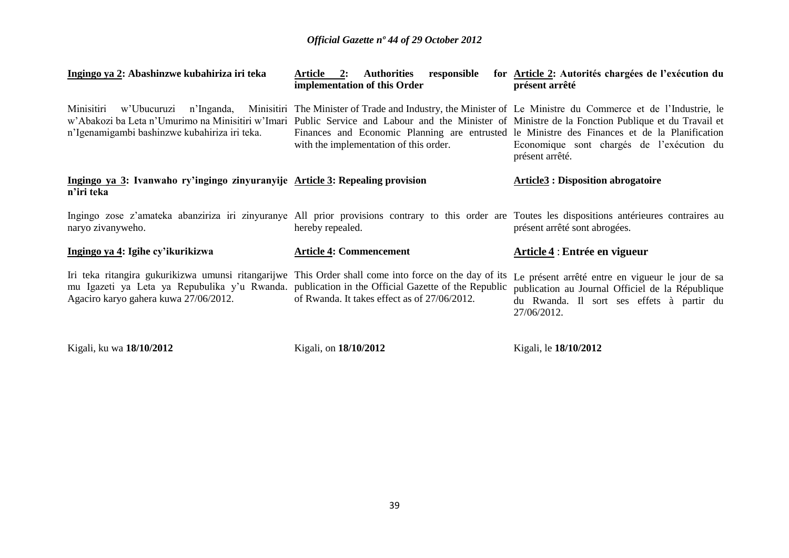| Ingingo ya 2: Abashinzwe kubahiriza iri teka                                                                                                                                                                                                       | responsible<br>Article 2:<br><b>Authorities</b><br>implementation of this Order                                                                                                                                                                                               | for Article 2: Autorités chargées de l'exécution du<br>présent arrêté                                                                                            |
|----------------------------------------------------------------------------------------------------------------------------------------------------------------------------------------------------------------------------------------------------|-------------------------------------------------------------------------------------------------------------------------------------------------------------------------------------------------------------------------------------------------------------------------------|------------------------------------------------------------------------------------------------------------------------------------------------------------------|
| Minisitiri<br>w'Abakozi ba Leta n'Umurimo na Minisitiri w'Imari Public Service and Labour and the Minister of Ministre de la Fonction Publique et du Travail et<br>n'Igenamigambi bashinzwe kubahiriza iri teka.                                   | w'Ubucuruzi n'Inganda, Minisitiri The Minister of Trade and Industry, the Minister of Le Ministre du Commerce et de l'Industrie, le<br>Finances and Economic Planning are entrusted le Ministre des Finances et de la Planification<br>with the implementation of this order. | Economique sont chargés de l'exécution du<br>présent arrêté.                                                                                                     |
| Ingingo ya 3: Ivanwaho ry'ingingo zinyuranyije Article 3: Repealing provision<br>n'iri teka                                                                                                                                                        |                                                                                                                                                                                                                                                                               | <b>Article3</b> : Disposition abrogatoire                                                                                                                        |
| Ingingo zose z'amateka abanziriza iri zinyuranye All prior provisions contrary to this order are Toutes les dispositions antérieures contraires au<br>naryo zivanyweho.                                                                            | hereby repealed.                                                                                                                                                                                                                                                              | présent arrêté sont abrogées.                                                                                                                                    |
| Ingingo ya 4: Igihe cy'ikurikizwa                                                                                                                                                                                                                  | <b>Article 4: Commencement</b>                                                                                                                                                                                                                                                | Article 4 : Entrée en vigueur                                                                                                                                    |
| Iri teka ritangira gukurikizwa umunsi ritangarijwe This Order shall come into force on the day of its<br>mu Igazeti ya Leta ya Repubulika y'u Rwanda. publication in the Official Gazette of the Republic<br>Agaciro karyo gahera kuwa 27/06/2012. | of Rwanda. It takes effect as of 27/06/2012.                                                                                                                                                                                                                                  | Le présent arrêté entre en vigueur le jour de sa<br>publication au Journal Officiel de la République<br>du Rwanda. Il sort ses effets à partir du<br>27/06/2012. |
| Kigali, ku wa 18/10/2012                                                                                                                                                                                                                           | Kigali, on 18/10/2012                                                                                                                                                                                                                                                         | Kigali, le 18/10/2012                                                                                                                                            |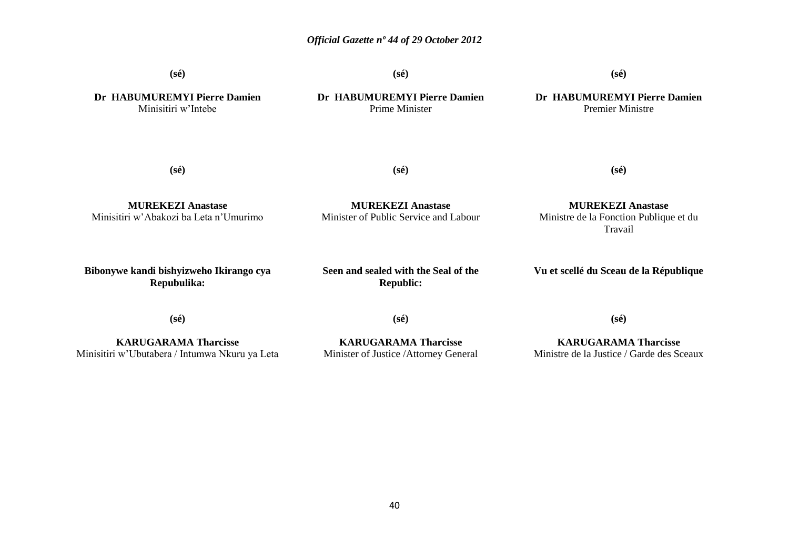**(sé)**

**(sé)**

**(sé)**

**Dr HABUMUREMYI Pierre Damien** Minisitiri w"Intebe

**Dr HABUMUREMYI Pierre Damien** Prime Minister

**Dr HABUMUREMYI Pierre Damien** Premier Ministre

**(sé)**

**(sé)**

**(sé)**

**MUREKEZI Anastase** Minisitiri w"Abakozi ba Leta n"Umurimo

**MUREKEZI Anastase** Minister of Public Service and Labour

**MUREKEZI Anastase** Ministre de la Fonction Publique et du Travail

**Bibonywe kandi bishyizweho Ikirango cya Repubulika:**

**Seen and sealed with the Seal of the Republic:**

**Vu et scellé du Sceau de la République**

**(sé)**

**KARUGARAMA Tharcisse** Minisitiri w"Ubutabera / Intumwa Nkuru ya Leta **(sé)**

**KARUGARAMA Tharcisse** Minister of Justice /Attorney General **(sé)**

**KARUGARAMA Tharcisse** Ministre de la Justice / Garde des Sceaux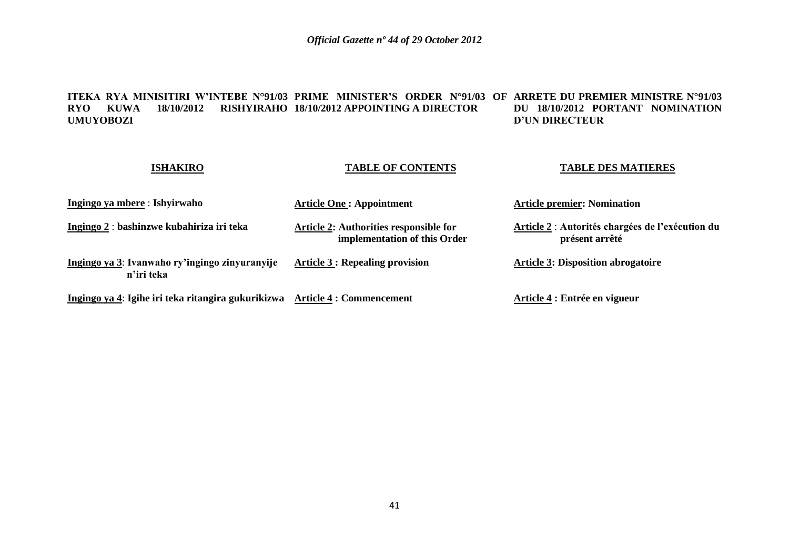#### **ITEKA RYA MINISITIRI W'INTEBE N°91/03 PRIME MINISTER'S ORDER N°91/03 OF ARRETE DU PREMIER MINISTRE N°91/03 RYO KUWA 18/10/2012 RISHYIRAHO 18/10/2012 APPOINTING A DIRECTOR UMUYOBOZI DU 18/10/2012 PORTANT NOMINATION D'UN DIRECTEUR**

| <b>ISHAKIRO</b>                                              | <b>TABLE OF CONTENTS</b>                                               | <b>TABLE DES MATIERES</b>                                          |
|--------------------------------------------------------------|------------------------------------------------------------------------|--------------------------------------------------------------------|
| Ingingo ya mbere : Ishyirwaho                                | <b>Article One: Appointment</b>                                        | <b>Article premier: Nomination</b>                                 |
| Ingingo 2 : bashinzwe kubahiriza iri teka                    | Article 2: Authorities responsible for<br>implementation of this Order | Article 2 : Autorités chargées de l'exécution du<br>présent arrêté |
| Ingingo ya 3: Ivanwaho ry'ingingo zinyuranyije<br>n'iri teka | <b>Article 3 : Repealing provision</b>                                 | <b>Article 3: Disposition abrogatoire</b>                          |
| Ingingo ya 4: Igihe iri teka ritangira gukurikizwa           | <b>Article 4 : Commencement</b>                                        | Article 4 : Entrée en vigueur                                      |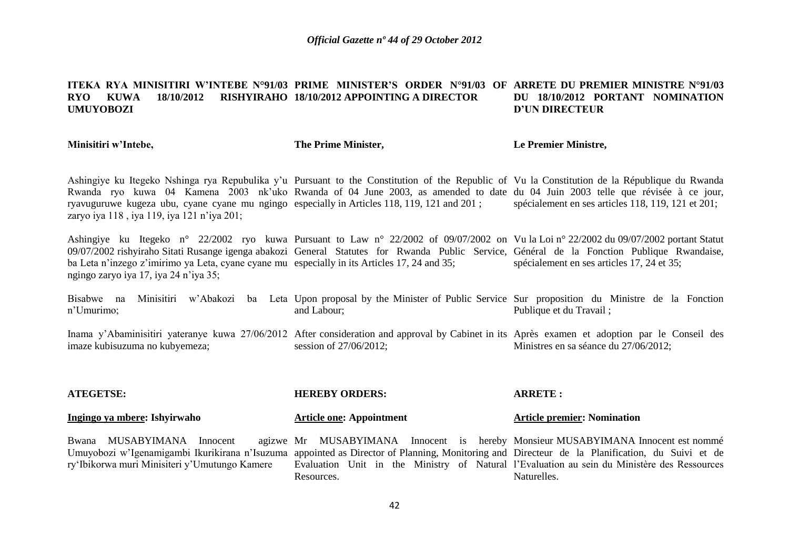#### **ITEKA RYA MINISITIRI W'INTEBE N°91/03 PRIME MINISTER'S ORDER N°91/03 OF ARRETE DU PREMIER MINISTRE N°91/03 RYO KUWA 18/10/2012 RISHYIRAHO 18/10/2012 APPOINTING A DIRECTOR UMUYOBOZI DU 18/10/2012 PORTANT NOMINATION D'UN DIRECTEUR**

**Minisitiri w'Intebe,**

#### **The Prime Minister,**

#### **Le Premier Ministre,**

Ashingiye ku Itegeko Nshinga rya Repubulika y"u Pursuant to the Constitution of the Republic of Vu la Constitution de la République du Rwanda Rwanda ryo kuwa 04 Kamena 2003 nk'uko Rwanda of 04 June 2003, as amended to date du 04 Juin 2003 telle que révisée à ce jour, ryavuguruwe kugeza ubu, cyane cyane mu ngingo especially in Articles 118, 119, 121 and 201 ; zaryo iya 118, iya 119, iya 121 n'iya 201; spécialement en ses articles 118, 119, 121 et 201;

Ashingiye ku Itegeko n° 22/2002 ryo kuwa Pursuant to Law n° 22/2002 of 09/07/2002 on Vu la Loi n° 22/2002 du 09/07/2002 portant Statut 09/07/2002 rishyiraho Sitati Rusange igenga abakozi General Statutes for Rwanda Public Service, Général de la Fonction Publique Rwandaise, ba Leta n'inzego z'imirimo ya Leta, cyane cyane mu especially in its Articles 17, 24 and 35; ngingo zaryo iya 17, iya 24 n"iya 35; spécialement en ses articles 17, 24 et 35;

Bisabwe na Minisitiri w'Abakozi ba Leta Upon-proposal-by-the-Minister-of-Public-Service Sur-proposition du Ministre de la Fonction n"Umurimo; and Labour; Publique et du Travail ;

Inama y'Abaminisitiri yateranye kuwa 27/06/2012 After consideration and approval by Cabinet in its Après examen et adoption par le Conseil des imaze kubisuzuma no kubyemeza; session of 27/06/2012; Ministres en sa séance du 27/06/2012;

| <b>ATEGETSE:</b>                                                                                                                                                                                                              | <b>HEREBY ORDERS:</b>                                                                                                                                                                         | <b>ARRETE:</b>                     |
|-------------------------------------------------------------------------------------------------------------------------------------------------------------------------------------------------------------------------------|-----------------------------------------------------------------------------------------------------------------------------------------------------------------------------------------------|------------------------------------|
| Ingingo ya mbere: Ishyirwaho                                                                                                                                                                                                  | <b>Article one: Appointment</b>                                                                                                                                                               | <b>Article premier: Nomination</b> |
| Bwana MUSABYIMANA Innocent<br>Umuyobozi w'Igenamigambi Ikurikirana n'Isuzuma appointed as Director of Planning, Monitoring and Directeur de la Planification, du Suivi et de<br>ry Ibikorwa muri Minisiteri y'Umutungo Kamere | agizwe Mr MUSABYIMANA Innocent is hereby Monsieur MUSABYIMANA Innocent est nommé<br>Evaluation Unit in the Ministry of Natural l'Evaluation au sein du Ministère des Ressources<br>Resources. | Naturelles.                        |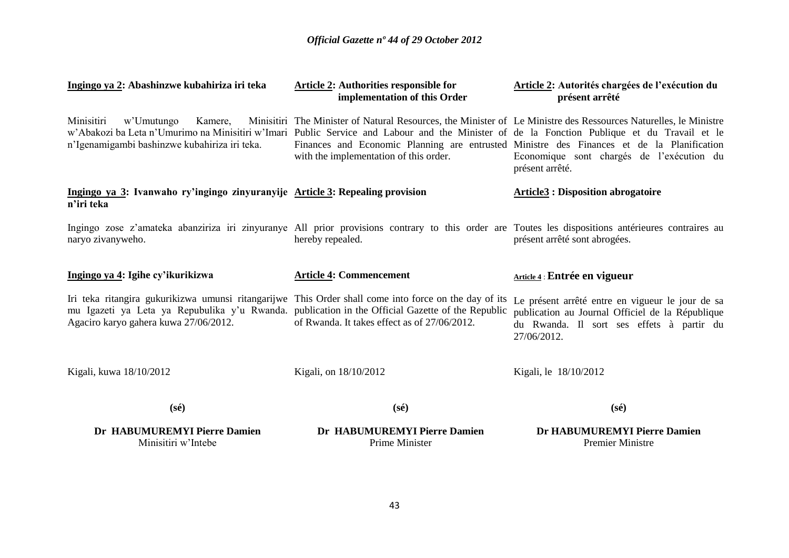| Ingingo ya 2: Abashinzwe kubahiriza iri teka                                                                                                                                                                                                       | Article 2: Authorities responsible for<br>implementation of this Order                                                                                                                                                                                  | Article 2: Autorités chargées de l'exécution du<br>présent arrêté                                                                                                |
|----------------------------------------------------------------------------------------------------------------------------------------------------------------------------------------------------------------------------------------------------|---------------------------------------------------------------------------------------------------------------------------------------------------------------------------------------------------------------------------------------------------------|------------------------------------------------------------------------------------------------------------------------------------------------------------------|
| Minisitiri<br>w'Umutungo<br>Kamere,<br>w'Abakozi ba Leta n'Umurimo na Minisitiri w'Imari Public Service and Labour and the Minister of de la Fonction Publique et du Travail et le<br>n'Igenamigambi bashinzwe kubahiriza iri teka.                | Minisitiri The Minister of Natural Resources, the Minister of Le Ministre des Ressources Naturelles, le Ministre<br>Finances and Economic Planning are entrusted Ministre des Finances et de la Planification<br>with the implementation of this order. | Economique sont chargés de l'exécution du<br>présent arrêté.                                                                                                     |
| Ingingo ya 3: Ivanwaho ry'ingingo zinyuranyije Article 3: Repealing provision<br>n'iri teka                                                                                                                                                        |                                                                                                                                                                                                                                                         | <b>Article3 : Disposition abrogatoire</b>                                                                                                                        |
| Ingingo zose z'amateka abanziriza iri zinyuranye All prior provisions contrary to this order are Toutes les dispositions antérieures contraires au<br>naryo zivanyweho.                                                                            | hereby repealed.                                                                                                                                                                                                                                        | présent arrêté sont abrogées.                                                                                                                                    |
| Ingingo ya 4: Igihe cy'ikurikizwa                                                                                                                                                                                                                  | <b>Article 4: Commencement</b>                                                                                                                                                                                                                          | Article 4 : Entrée en vigueur                                                                                                                                    |
| Iri teka ritangira gukurikizwa umunsi ritangarijwe This Order shall come into force on the day of its<br>mu Igazeti ya Leta ya Repubulika y'u Rwanda. publication in the Official Gazette of the Republic<br>Agaciro karyo gahera kuwa 27/06/2012. | of Rwanda. It takes effect as of 27/06/2012.                                                                                                                                                                                                            | Le présent arrêté entre en vigueur le jour de sa<br>publication au Journal Officiel de la République<br>du Rwanda. Il sort ses effets à partir du<br>27/06/2012. |
| Kigali, kuwa 18/10/2012                                                                                                                                                                                                                            | Kigali, on 18/10/2012                                                                                                                                                                                                                                   | Kigali, le 18/10/2012                                                                                                                                            |
| $(s\acute{e})$                                                                                                                                                                                                                                     | $(s\acute{e})$                                                                                                                                                                                                                                          | $(s\acute{e})$                                                                                                                                                   |
| Dr HABUMUREMYI Pierre Damien<br>Minisitiri w'Intebe                                                                                                                                                                                                | Dr HABUMUREMYI Pierre Damien<br>Prime Minister                                                                                                                                                                                                          | Dr HABUMUREMYI Pierre Damien<br><b>Premier Ministre</b>                                                                                                          |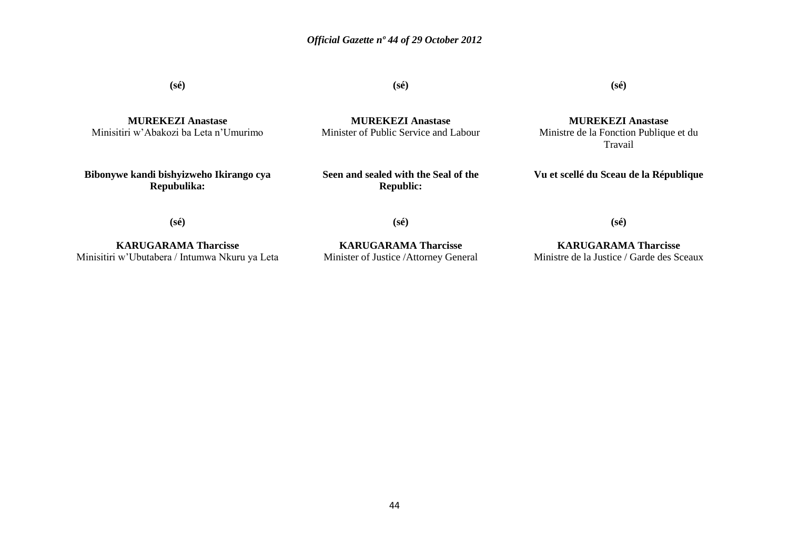**(sé)**

**MUREKEZI Anastase** Minisitiri w"Abakozi ba Leta n"Umurimo

**Bibonywe kandi bishyizweho Ikirango cya Repubulika:**

**(sé)**

**MUREKEZI Anastase** Minister of Public Service and Labour

**Seen and sealed with the Seal of the Republic:**

**(sé)**

**MUREKEZI Anastase** Ministre de la Fonction Publique et du Travail

**Vu et scellé du Sceau de la République**

**(sé)**

**KARUGARAMA Tharcisse** Minisitiri w"Ubutabera / Intumwa Nkuru ya Leta

**KARUGARAMA Tharcisse** Minister of Justice /Attorney General

**(sé)**

**(sé)**

**KARUGARAMA Tharcisse** Ministre de la Justice / Garde des Sceaux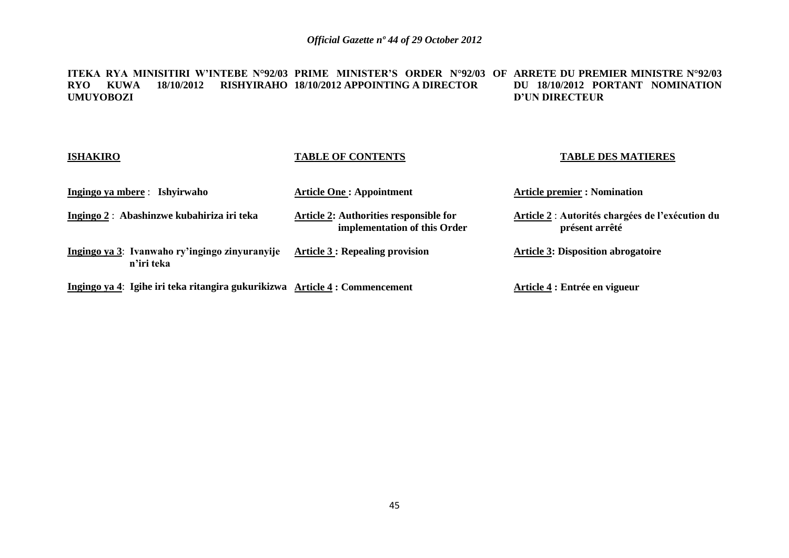**ITEKA RYA MINISITIRI W'INTEBE N°92/03 PRIME MINISTER'S ORDER N°92/03 OF ARRETE DU PREMIER MINISTRE N°92/03 RYO KUWA 18/10/2012 RISHYIRAHO 18/10/2012 APPOINTING A DIRECTOR UMUYOBOZI DU 18/10/2012 PORTANT NOMINATION D'UN DIRECTEUR**

| <b>ISHAKIRO</b> |                                                                            | <b>TABLE OF CONTENTS</b>                                               | <b>TABLE DES MATIERES</b>                                          |
|-----------------|----------------------------------------------------------------------------|------------------------------------------------------------------------|--------------------------------------------------------------------|
|                 | Ingingo ya mbere : Ishyirwaho                                              | <b>Article One: Appointment</b>                                        | <b>Article premier : Nomination</b>                                |
|                 | Ingingo 2: Abashinzwe kubahiriza iri teka                                  | Article 2: Authorities responsible for<br>implementation of this Order | Article 2 : Autorités chargées de l'exécution du<br>présent arrêté |
|                 | Ingingo ya 3: Ivanwaho ry'ingingo zinyuranyije<br>n'iri teka               | <b>Article 3 : Repealing provision</b>                                 | <b>Article 3: Disposition abrogatoire</b>                          |
|                 | Ingingo ya 4: Igihe iri teka ritangira gukurikizwa Article 4: Commencement |                                                                        | Article 4 : Entrée en vigueur                                      |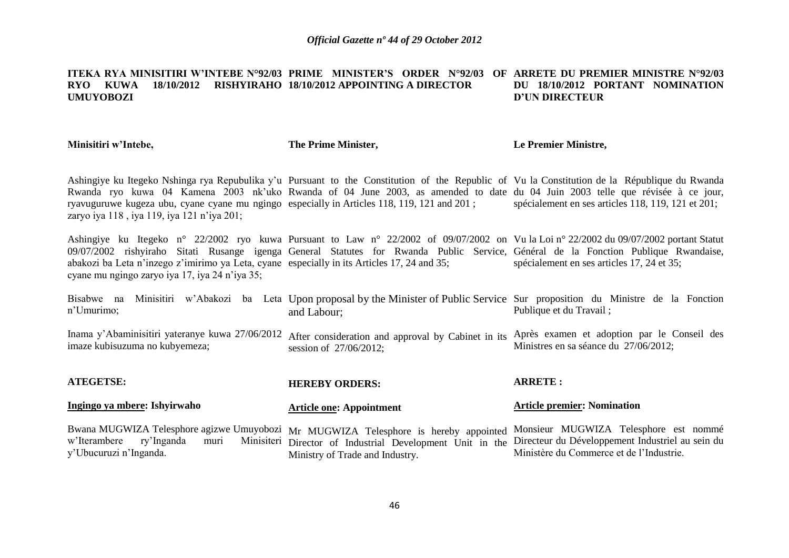#### **ITEKA RYA MINISITIRI W'INTEBE N°92/03 PRIME MINISTER'S ORDER N°92/03 OF ARRETE DU PREMIER MINISTRE N°92/03 RYO KUWA 18/10/2012 RISHYIRAHO 18/10/2012 APPOINTING A DIRECTOR UMUYOBOZI DU 18/10/2012 PORTANT NOMINATION D'UN DIRECTEUR**

**Minisitiri w'Intebe,**

**The Prime Minister,**

#### **Le Premier Ministre,**

Ashingiye ku Itegeko Nshinga rya Repubulika y"u Pursuant to the Constitution of the Republic of Vu la Constitution de la République du Rwanda Rwanda ryo kuwa 04 Kamena 2003 nk'uko Rwanda of 04 June 2003, as amended to date du 04 Juin 2003 telle que révisée à ce jour, ryavuguruwe kugeza ubu, cyane cyane mu ngingo especially in Articles 118, 119, 121 and 201 ; zaryo iya 118, iya 119, iya 121 n'iya 201; spécialement en ses articles 118, 119, 121 et 201;

Ashingiye ku Itegeko n° 22/2002 ryo kuwa Pursuant to Law n° 22/2002 of 09/07/2002 on Vu la Loi n° 22/2002 du 09/07/2002 portant Statut 09/07/2002 rishyiraho Sitati Rusange igenga General Statutes for Rwanda Public Service, Général de la Fonction Publique Rwandaise, abakozi ba Leta n"inzego z"imirimo ya Leta, cyane especially in its Articles 17, 24 and 35; cyane mu ngingo zaryo iya 17, iya 24 n"iya 35; spécialement en ses articles 17, 24 et 35;

Bisabwe na Minisitiri w'Abakozi ba Leta Upon-proposal-by-the-Minister-of-Public-Service Sur-proposition du Ministre de la Fonction n"Umurimo; and Labour; Publique et du Travail ;

Inama y'Abaminisitiri yateranye kuwa 27/06/2012 After consideration and approval by Cabinet in its Après examen et adoption par le Conseil des imaze kubisuzuma no kubyemeza; session of 27/06/2012; Ministres en sa séance du 27/06/2012;

| <b>ATEGETSE:</b>             | <b>HEREBY ORDERS:</b>                                                                                                                                                                                                                                                                                   | <b>ARRETE:</b>                           |
|------------------------------|---------------------------------------------------------------------------------------------------------------------------------------------------------------------------------------------------------------------------------------------------------------------------------------------------------|------------------------------------------|
| Ingingo ya mbere: Ishyirwaho | <b>Article one: Appointment</b>                                                                                                                                                                                                                                                                         | <b>Article premier: Nomination</b>       |
| y'Ubucuruzi n'Inganda.       | Bwana MUGWIZA Telesphore agizwe Umuyobozi Mr MUGWIZA Telesphore is hereby appointed Monsieur MUGWIZA Telesphore est nommé<br>w'Iterambere ry'Inganda muri Minisiteri Director of Industrial Development Unit in the Directeur du Développement Industriel au sein du<br>Ministry of Trade and Industry. | Ministère du Commerce et de l'Industrie. |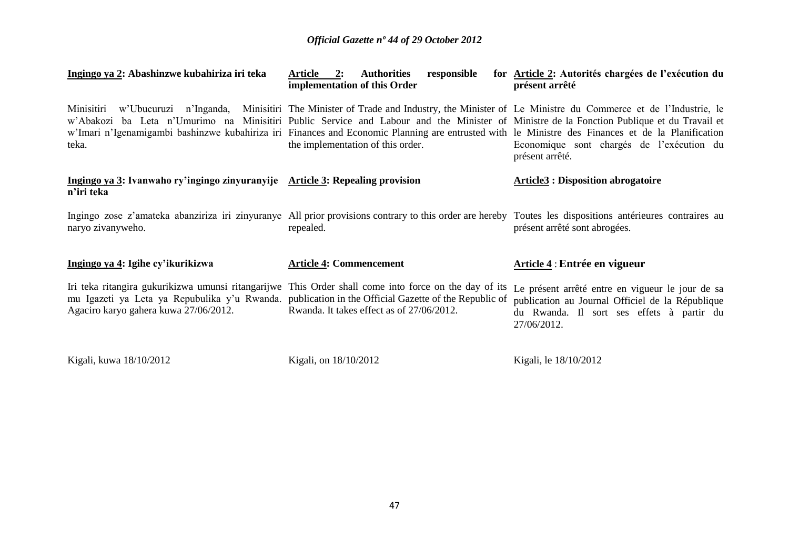| Ingingo ya 2: Abashinzwe kubahiriza iri teka                                                | 2:<br>Article<br><b>Authorities</b><br>responsible<br>implementation of this Order                                                                                                                                                                                                                                                                                                                                                                  | for Article 2: Autorités chargées de l'exécution du<br>présent arrêté                                                                                            |
|---------------------------------------------------------------------------------------------|-----------------------------------------------------------------------------------------------------------------------------------------------------------------------------------------------------------------------------------------------------------------------------------------------------------------------------------------------------------------------------------------------------------------------------------------------------|------------------------------------------------------------------------------------------------------------------------------------------------------------------|
| Minisitiri<br>w'Ubucuruzi n'Inganda,<br>teka.                                               | Minisitiri The Minister of Trade and Industry, the Minister of Le Ministre du Commerce et de l'Industrie, le<br>w'Abakozi ba Leta n'Umurimo na Minisitiri Public Service and Labour and the Minister of Ministre de la Fonction Publique et du Travail et<br>w'Imari n'Igenamigambi bashinzwe kubahiriza iri Finances and Economic Planning are entrusted with le Ministre des Finances et de la Planification<br>the implementation of this order. | Economique sont chargés de l'exécution du<br>présent arrêté.                                                                                                     |
| Ingingo ya 3: Ivanwaho ry'ingingo zinyuranyije Article 3: Repealing provision<br>n'iri teka |                                                                                                                                                                                                                                                                                                                                                                                                                                                     | <b>Article3: Disposition abrogatoire</b>                                                                                                                         |
| naryo zivanyweho.                                                                           | Ingingo zose z'amateka abanziriza iri zinyuranye All prior provisions contrary to this order are hereby Toutes les dispositions antérieures contraires au<br>repealed.                                                                                                                                                                                                                                                                              | présent arrêté sont abrogées.                                                                                                                                    |
| Ingingo ya 4: Igihe cy'ikurikizwa                                                           | <b>Article 4: Commencement</b>                                                                                                                                                                                                                                                                                                                                                                                                                      | Article 4 : Entrée en vigueur                                                                                                                                    |
| Agaciro karyo gahera kuwa 27/06/2012.                                                       | Iri teka ritangira gukurikizwa umunsi ritangarijwe This Order shall come into force on the day of its<br>mu Igazeti ya Leta ya Repubulika y'u Rwanda. publication in the Official Gazette of the Republic of<br>Rwanda. It takes effect as of 27/06/2012.                                                                                                                                                                                           | Le présent arrêté entre en vigueur le jour de sa<br>publication au Journal Officiel de la République<br>du Rwanda. Il sort ses effets à partir du<br>27/06/2012. |
| Kigali, kuwa 18/10/2012                                                                     | Kigali, on 18/10/2012                                                                                                                                                                                                                                                                                                                                                                                                                               | Kigali, le 18/10/2012                                                                                                                                            |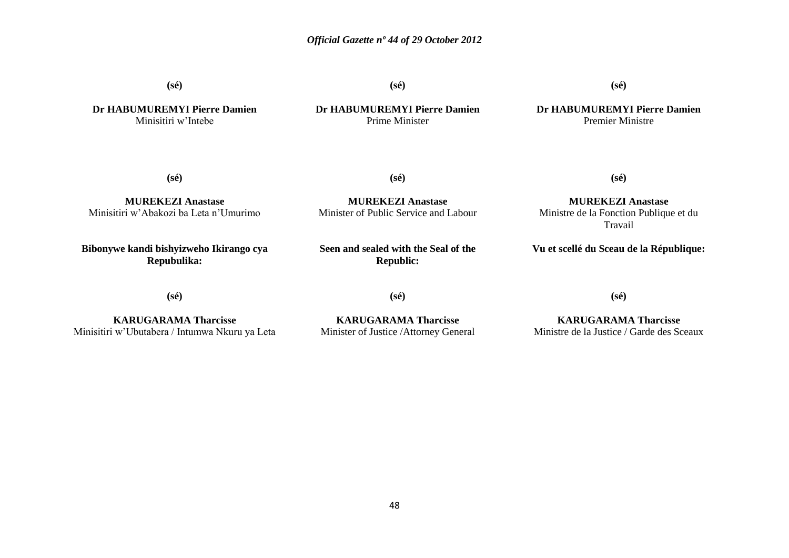**(sé)**

**Dr HABUMUREMYI Pierre Damien** Minisitiri w"Intebe

**(sé)**

Prime Minister

**Dr HABUMUREMYI Pierre Damien**

**(sé)**

**Dr HABUMUREMYI Pierre Damien** Premier Ministre

**(sé)**

**MUREKEZI Anastase** Minisitiri w"Abakozi ba Leta n"Umurimo

**Bibonywe kandi bishyizweho Ikirango cya Repubulika:**

**MUREKEZI Anastase** Minister of Public Service and Labour

**(sé)**

**Seen and sealed with the Seal of the Republic:**

**(sé)**

**MUREKEZI Anastase** Ministre de la Fonction Publique et du Travail

**Vu et scellé du Sceau de la République:**

**(sé)**

**KARUGARAMA Tharcisse** Minisitiri w"Ubutabera / Intumwa Nkuru ya Leta **(sé)**

**KARUGARAMA Tharcisse** Minister of Justice /Attorney General **(sé)**

**KARUGARAMA Tharcisse** Ministre de la Justice / Garde des Sceaux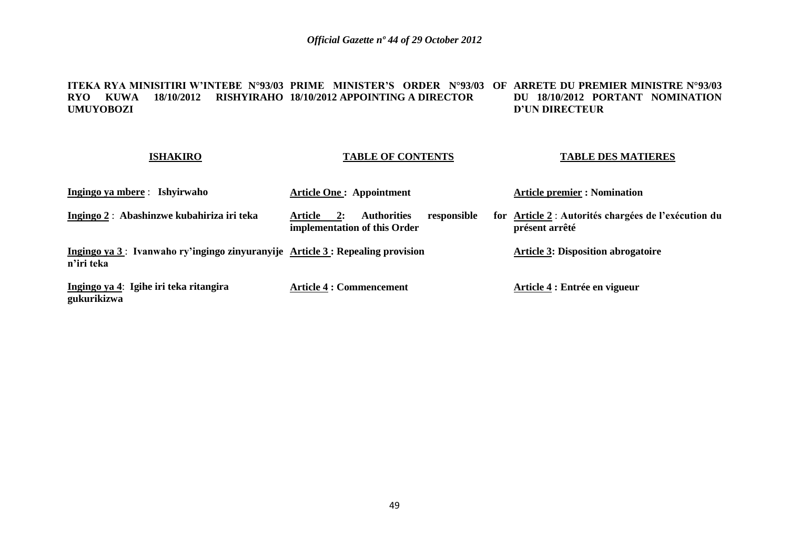#### **ITEKA RYA MINISITIRI W'INTEBE N°93/03 PRIME MINISTER'S ORDER N°93/03 OF ARRETE DU PREMIER MINISTRE N°93/03 RYO KUWA 18/10/2012 RISHYIRAHO 18/10/2012 APPOINTING A DIRECTOR UMUYOBOZI DU 18/10/2012 PORTANT NOMINATION D'UN DIRECTEUR**

#### **ISHAKIRO**

## **TABLE OF CONTENTS**

**TABLE DES MATIERES**

| Ingingo ya mbere : Ishyirwaho                                                               | <b>Article One: Appointment</b>                                                    | <b>Article premier : Nomination</b>                                    |
|---------------------------------------------------------------------------------------------|------------------------------------------------------------------------------------|------------------------------------------------------------------------|
| Ingingo 2: Abashinzwe kubahiriza iri teka                                                   | <b>Authorities</b><br>Article<br>responsible<br>2:<br>implementation of this Order | for Article 2 : Autorités chargées de l'exécution du<br>présent arrêté |
| Ingingo ya 3: Ivanwaho ry'ingingo zinyuranyije Article 3: Repealing provision<br>n'iri teka |                                                                                    | <b>Article 3: Disposition abrogatoire</b>                              |
| Ingingo ya 4: Igihe iri teka ritangira<br>gukurikizwa                                       | <b>Article 4 : Commencement</b>                                                    | Article 4 : Entrée en vigueur                                          |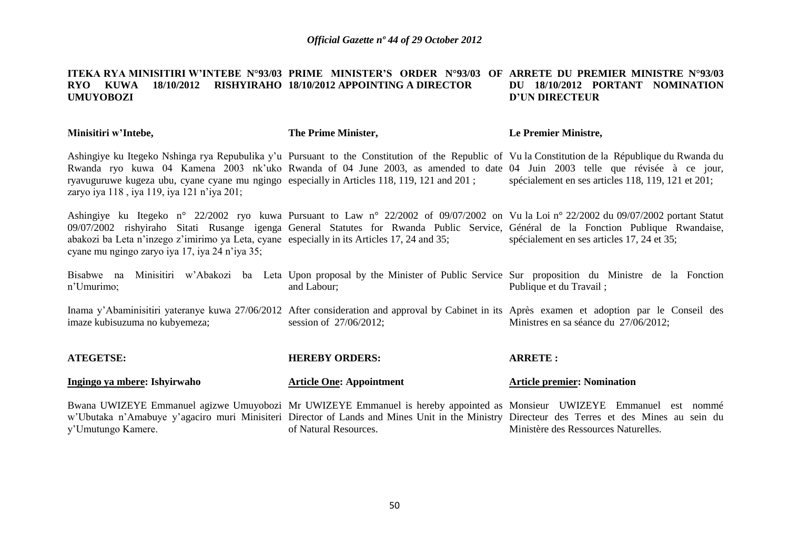#### **ITEKA RYA MINISITIRI W'INTEBE N°93/03 PRIME MINISTER'S ORDER N°93/03 OF ARRETE DU PREMIER MINISTRE N°93/03 RYO KUWA 18/10/2012 RISHYIRAHO 18/10/2012 APPOINTING A DIRECTOR UMUYOBOZI DU 18/10/2012 PORTANT NOMINATION D'UN DIRECTEUR**

**Minisitiri w'Intebe, The Prime Minister, Le Premier Ministre,**

Ashingiye ku Itegeko Nshinga rya Repubulika y"u Pursuant to the Constitution of the Republic of Vu la Constitution de la République du Rwanda du Rwanda ryo kuwa 04 Kamena 2003 nk'uko Rwanda of 04 June 2003, as amended to date 04 Juin 2003 telle que révisée à ce jour, ryavuguruwe kugeza ubu, cyane cyane mu ngingo especially in Articles 118, 119, 121 and 201 ; zaryo iya 118 , iya 119, iya 121 n"iya 201; spécialement en ses articles 118, 119, 121 et 201;

Ashingiye ku Itegeko n° 22/2002 ryo kuwa Pursuant to Law n° 22/2002 of 09/07/2002 on Vu la Loi n° 22/2002 du 09/07/2002 portant Statut 09/07/2002 rishyiraho Sitati Rusange igenga General Statutes for Rwanda Public Service, Général de la Fonction Publique Rwandaise, abakozi ba Leta n"inzego z"imirimo ya Leta, cyane especially in its Articles 17, 24 and 35; cyane mu ngingo zaryo iya 17, iya 24 n"iya 35; spécialement en ses articles 17, 24 et 35;

Bisabwe na Minisitiri w'Abakozi ba Leta Upon-proposal-by-the-Minister-of-Public-Service Sur-proposition du Ministre de la Fonction n"Umurimo; and Labour; Publique et du Travail ;

Inama y'Abaminisitiri yateranye kuwa 27/06/2012 After consideration and approval by Cabinet in its Après examen et adoption par le Conseil des imaze kubisuzuma no kubyemeza; session of 27/06/2012; Ministres en sa séance du 27/06/2012;

| <b>ATEGETSE:</b>             | <b>HEREBY ORDERS:</b>                                                                                                                       | <b>ARRETE:</b>                       |
|------------------------------|---------------------------------------------------------------------------------------------------------------------------------------------|--------------------------------------|
| Ingingo ya mbere: Ishyirwaho | <b>Article One: Appointment</b>                                                                                                             | <b>Article premier: Nomination</b>   |
|                              | Bwana UWIZEYE Emmanuel agizwe Umuyobozi Mr UWIZEYE Emmanuel is hereby appointed as Monsieur UWIZEYE Emmanuel est nommé                      |                                      |
|                              | w'Ubutaka n'Amabuye y'agaciro muri Minisiteri Director of Lands and Mines Unit in the Ministry Directeur des Terres et des Mines au sein du |                                      |
| y'Umutungo Kamere.           | of Natural Resources.                                                                                                                       | Ministère des Ressources Naturelles. |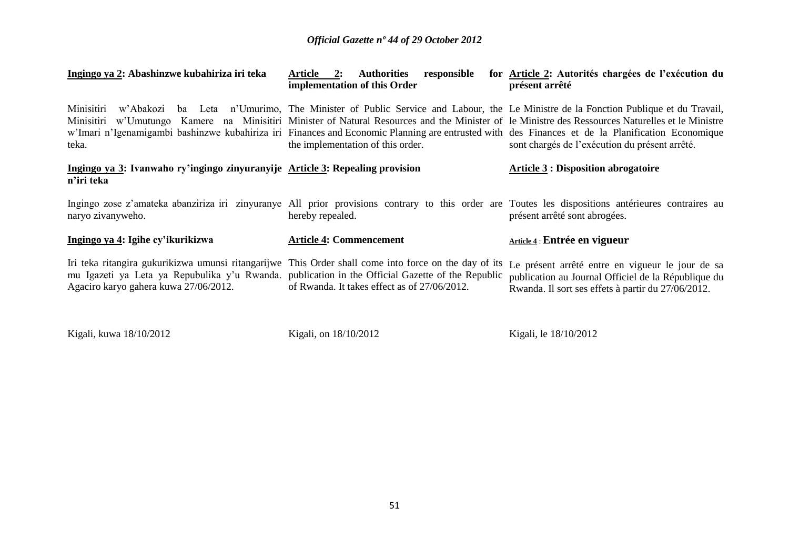| Ingingo ya 2: Abashinzwe kubahiriza iri teka                                                                                              | <b>Authorities</b><br>responsible<br><b>Article 2:</b><br>implementation of this Order                                                                                                                                                                                                                                                                                                                                                                                       | for Article 2: Autorités chargées de l'exécution du<br>présent arrêté                                                                                                               |
|-------------------------------------------------------------------------------------------------------------------------------------------|------------------------------------------------------------------------------------------------------------------------------------------------------------------------------------------------------------------------------------------------------------------------------------------------------------------------------------------------------------------------------------------------------------------------------------------------------------------------------|-------------------------------------------------------------------------------------------------------------------------------------------------------------------------------------|
| Minisitiri<br>teka.                                                                                                                       | w'Abakozi ba Leta n'Umurimo, The Minister of Public Service and Labour, the Le Ministre de la Fonction Publique et du Travail,<br>Minisitiri w'Umutungo Kamere na Minisitiri Minister of Natural Resources and the Minister of le Ministre des Ressources Naturelles et le Ministre<br>w'Imari n'Igenamigambi bashinzwe kubahiriza iri Finances and Economic Planning are entrusted with des Finances et de la Planification Economique<br>the implementation of this order. | sont chargés de l'exécution du présent arrêté.                                                                                                                                      |
| Ingingo ya 3: Ivanwaho ry'ingingo zinyuranyije Article 3: Repealing provision<br>n'iri teka                                               |                                                                                                                                                                                                                                                                                                                                                                                                                                                                              | <b>Article 3 : Disposition abrogatoire</b>                                                                                                                                          |
| naryo zivanyweho.                                                                                                                         | hereby repealed.                                                                                                                                                                                                                                                                                                                                                                                                                                                             | Ingingo zose z'amateka abanziriza iri zinyuranye All prior provisions contrary to this order are Toutes les dispositions antérieures contraires au<br>présent arrêté sont abrogées. |
| Ingingo ya 4: Igihe cy'ikurikizwa                                                                                                         | <b>Article 4: Commencement</b>                                                                                                                                                                                                                                                                                                                                                                                                                                               | Article 4 : Entrée en vigueur                                                                                                                                                       |
| mu Igazeti ya Leta ya Repubulika y'u Rwanda. publication in the Official Gazette of the Republic<br>Agaciro karyo gahera kuwa 27/06/2012. | Iri teka ritangira gukurikizwa umunsi ritangarijwe This Order shall come into force on the day of its<br>of Rwanda. It takes effect as of 27/06/2012.                                                                                                                                                                                                                                                                                                                        | Le présent arrêté entre en vigueur le jour de sa<br>publication au Journal Officiel de la République du<br>Rwanda. Il sort ses effets à partir du 27/06/2012.                       |

Kigali, kuwa 18/10/2012 Kigali, on 18/10/2012 Kigali, le 18/10/2012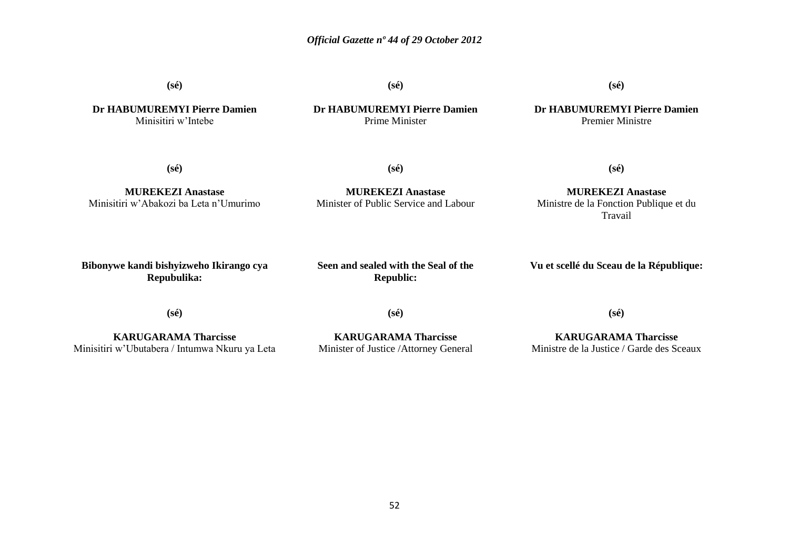**(sé)**

**(sé)**

**(sé)**

**Dr HABUMUREMYI Pierre Damien** Minisitiri w"Intebe

#### **Dr HABUMUREMYI Pierre Damien** Prime Minister

**Dr HABUMUREMYI Pierre Damien** Premier Ministre

**(sé)**

**(sé)**

**MUREKEZI Anastase** Minisitiri w"Abakozi ba Leta n"Umurimo

**MUREKEZI Anastase** Minister of Public Service and Labour

**MUREKEZI Anastase** Ministre de la Fonction Publique et du Travail

**(sé)**

**Bibonywe kandi bishyizweho Ikirango cya Repubulika:**

**Seen and sealed with the Seal of the Republic:**

**Vu et scellé du Sceau de la République:**

**(sé)**

**KARUGARAMA Tharcisse** Minisitiri w"Ubutabera / Intumwa Nkuru ya Leta **(sé)**

**KARUGARAMA Tharcisse** Minister of Justice /Attorney General **(sé)**

**KARUGARAMA Tharcisse** Ministre de la Justice / Garde des Sceaux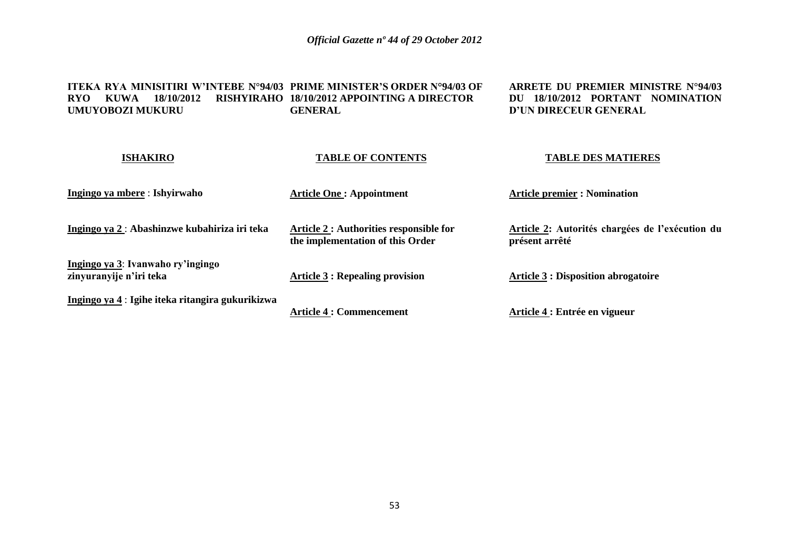**ITEKA RYA MINISITIRI W'INTEBE N°94/03 PRIME MINISTER'S ORDER N°94/03 OF RYO KUWA 18/10/2012 RISHYIRAHO 18/10/2012 APPOINTING A DIRECTOR UMUYOBOZI MUKURU GENERAL**

**ARRETE DU PREMIER MINISTRE N°94/03 DU 18/10/2012 PORTANT NOMINATION D'UN DIRECEUR GENERAL**

| <b>ISHAKIRO</b>                                              | <b>TABLE OF CONTENTS</b>                                                    | <b>TABLE DES MATIERES</b>                                         |  |  |
|--------------------------------------------------------------|-----------------------------------------------------------------------------|-------------------------------------------------------------------|--|--|
| Ingingo ya mbere : Ishyirwaho                                | <b>Article One: Appointment</b>                                             | <b>Article premier : Nomination</b>                               |  |  |
| Ingingo ya 2 : Abashinzwe kubahiriza iri teka                | Article 2 : Authorities responsible for<br>the implementation of this Order | Article 2: Autorités chargées de l'exécution du<br>présent arrêté |  |  |
| Ingingo ya 3: Ivanwaho ry'ingingo<br>zinyuranyije n'iri teka | Article $\underline{3}$ : Repealing provision                               | <b>Article 3 : Disposition abrogatoire</b>                        |  |  |
| Ingingo ya 4 : Igihe iteka ritangira gukurikizwa             | <b>Article 4 : Commencement</b>                                             | Article 4 : Entrée en vigueur                                     |  |  |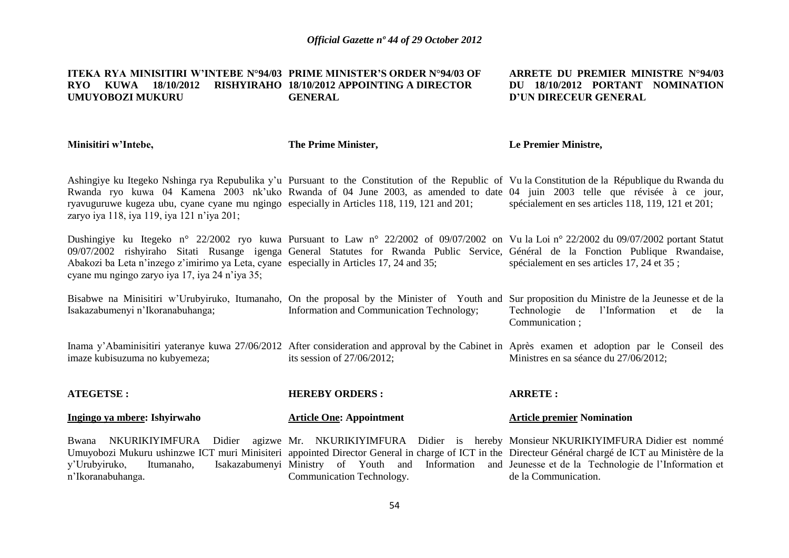#### **ITEKA RYA MINISITIRI W'INTEBE N°94/03 PRIME MINISTER'S ORDER N°94/03 OF RYO KUWA 18/10/2012 RISHYIRAHO 18/10/2012 APPOINTING A DIRECTOR UMUYOBOZI MUKURU GENERAL**

#### **ARRETE DU PREMIER MINISTRE N°94/03 DU 18/10/2012 PORTANT NOMINATION D'UN DIRECEUR GENERAL**

**Minisitiri w'Intebe,**

**ATEGETS** 

n"Ikoranabuhanga.

**The Prime Minister,**

#### **Le Premier Ministre,**

**ARRETE :**

Ashingiye ku Itegeko Nshinga rya Repubulika y"u Pursuant to the Constitution of the Republic of Vu la Constitution de la République du Rwanda du Rwanda ryo kuwa 04 Kamena 2003 nk'uko Rwanda of 04 June 2003, as amended to date 04 juin 2003 telle que révisée à ce jour, ryavuguruwe kugeza ubu, cyane cyane mu ngingo especially in Articles 118, 119, 121 and 201; zaryo iya 118, iya 119, iya 121 n"iya 201; spécialement en ses articles 118, 119, 121 et 201;

Dushingiye ku Itegeko n° 22/2002 ryo kuwa Pursuant to Law n° 22/2002 of 09/07/2002 on Vu la Loi n° 22/2002 du 09/07/2002 portant Statut 09/07/2002 rishyiraho Sitati Rusange igenga General Statutes for Rwanda Public Service, Général de la Fonction Publique Rwandaise, Abakozi ba Leta n'inzego z'imirimo ya Leta, cyane especially in Articles 17, 24 and 35; cyane mu ngingo zaryo iya 17, iya 24 n"iya 35; spécialement en ses articles 17, 24 et 35 ;

Bisabwe na Minisitiri w'Urubyiruko, Itumanaho, On the proposal by the Minister of Youth and Sur proposition du Ministre de la Jeunesse et de la Isakazabumenyi n"Ikoranabuhanga; Information and Communication Technology; Technologie de l"Information et de la Communication ;

Inama y'Abaminisitiri yateranye kuwa 27/06/2012 After consideration and approval by the Cabinet in Après examen et adoption par le Conseil des imaze kubisuzuma no kubyemeza; its session of 27/06/2012; Ministres en sa séance du 27/06/2012;

| ATEGETSE :                   | <b>HEREBY ORDERS :</b>                                                                                                             | ARRETE :                          |  |
|------------------------------|------------------------------------------------------------------------------------------------------------------------------------|-----------------------------------|--|
| Ingingo ya mbere: Ishyirwaho | <b>Article One: Appointment</b>                                                                                                    | <b>Article premier Nomination</b> |  |
|                              | Bwana NKURIKIYIMFURA Didier agizwe Mr. NKURIKIYIMFURA Didier is hereby Monsieur-NKURIKIYIMFURA-L                                   |                                   |  |
|                              | Umuyobozi Mukuru ushinzwe ICT muri Minisiteri appointed Director General in charge of ICT in the Directeur Général chargé de ICT a |                                   |  |

Communication Technology.

**HEREBY ORDERS :**

y"Urubyiruko, Itumanaho, Isakazabumenyi Ministry of Youth and Information and Jeunesse et de la Technologie de l"Information et Monsieur est nommé au Ministère de la de la Communication.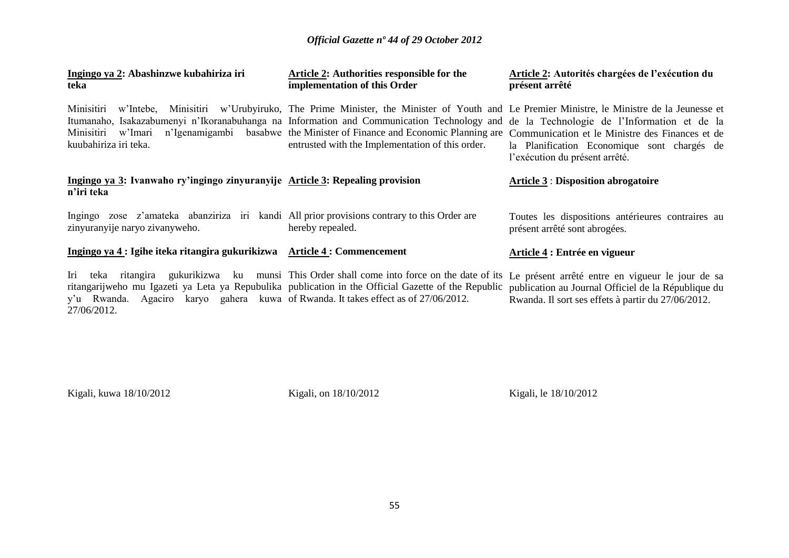| Ingingo ya 2: Abashinzwe kubahiriza iri<br>teka                                                                               | Article 2: Authorities responsible for the<br>implementation of this Order                                                                                                                | <b>Article 2: Autorités chargées de l'exécution du</b><br>présent arrêté                                                                                                                                                                                                                                                                                                                                                                                                                   |  |  |  |
|-------------------------------------------------------------------------------------------------------------------------------|-------------------------------------------------------------------------------------------------------------------------------------------------------------------------------------------|--------------------------------------------------------------------------------------------------------------------------------------------------------------------------------------------------------------------------------------------------------------------------------------------------------------------------------------------------------------------------------------------------------------------------------------------------------------------------------------------|--|--|--|
| Minisitiri<br>Minisitiri<br>w'Imari<br>kuubahiriza iri teka.                                                                  | entrusted with the Implementation of this order.                                                                                                                                          | w'Intebe, Minisitiri w'Urubyiruko, The Prime Minister, the Minister of Youth and Le Premier Ministre, le Ministre de la Jeunesse et<br>Itumanaho, Isakazabumenyi n'Ikoranabuhanga na Information and Communication Technology and de la Technologie de l'Information et de la<br>n'Igenamigambi basabwe the Minister of Finance and Economic Planning are Communication et le Ministre des Finances et de<br>la Planification Economique sont chargés de<br>l'exécution du présent arrêté. |  |  |  |
| Ingingo ya 3: Ivanwaho ry'ingingo zinyuranyije Article 3: Repealing provision<br>n'iri teka                                   |                                                                                                                                                                                           | <b>Article 3 : Disposition abrogatoire</b>                                                                                                                                                                                                                                                                                                                                                                                                                                                 |  |  |  |
| Ingingo zose z'amateka abanziriza iri kandi All prior provisions contrary to this Order are<br>zinyuranyije naryo zivanyweho. | hereby repealed.                                                                                                                                                                          | Toutes les dispositions antérieures contraires au<br>présent arrêté sont abrogées.                                                                                                                                                                                                                                                                                                                                                                                                         |  |  |  |
| Ingingo ya 4 : Igihe iteka ritangira gukurikizwa Article 4 : Commencement                                                     |                                                                                                                                                                                           | Article 4 : Entrée en vigueur                                                                                                                                                                                                                                                                                                                                                                                                                                                              |  |  |  |
| Iri<br>teka<br>y'u Rwanda. Agaciro karyo gahera kuwa of Rwanda. It takes effect as of 27/06/2012.<br>27/06/2012.              | ritangira gukurikizwa ku munsi This Order shall come into force on the date of its<br>ritangarijweho mu Igazeti ya Leta ya Repubulika publication in the Official Gazette of the Republic | Le présent arrêté entre en vigueur le jour de sa<br>publication au Journal Officiel de la République du<br>Rwanda. Il sort ses effets à partir du 27/06/2012.                                                                                                                                                                                                                                                                                                                              |  |  |  |

Kigali, kuwa 18/10/2012 Kigali, on 18/10/2012 Kigali, le 18/10/2012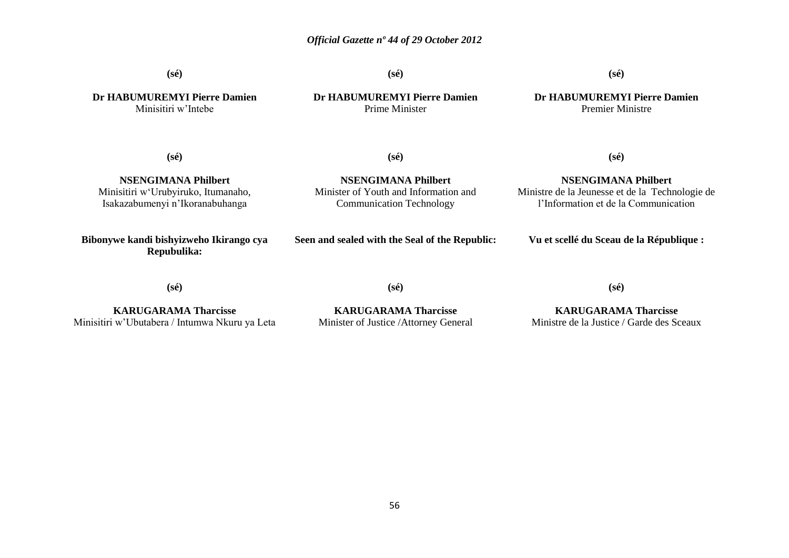**(sé)**

**(sé)**

**(sé)**

**Dr HABUMUREMYI Pierre Damien** Minisitiri w"Intebe

**Dr HABUMUREMYI Pierre Damien** Prime Minister

**(sé)**

**NSENGIMANA Philbert** Minister of Youth and Information and Communication Technology

**Dr HABUMUREMYI Pierre Damien** Premier Ministre

**(sé)**

**NSENGIMANA Philbert** Ministre de la Jeunesse et de la Technologie de l"Information et de la Communication

**(sé)**

**NSENGIMANA Philbert** Minisitiri w"Urubyiruko, Itumanaho, Isakazabumenyi n"Ikoranabuhanga

**Bibonywe kandi bishyizweho Ikirango cya Repubulika:**

**Seen and sealed with the Seal of the Republic:**

**Vu et scellé du Sceau de la République :**

**(sé)**

**KARUGARAMA Tharcisse** Minisitiri w"Ubutabera / Intumwa Nkuru ya Leta

**KARUGARAMA Tharcisse** Minister of Justice /Attorney General

**(sé)**

**(sé)**

**KARUGARAMA Tharcisse**

Ministre de la Justice / Garde des Sceaux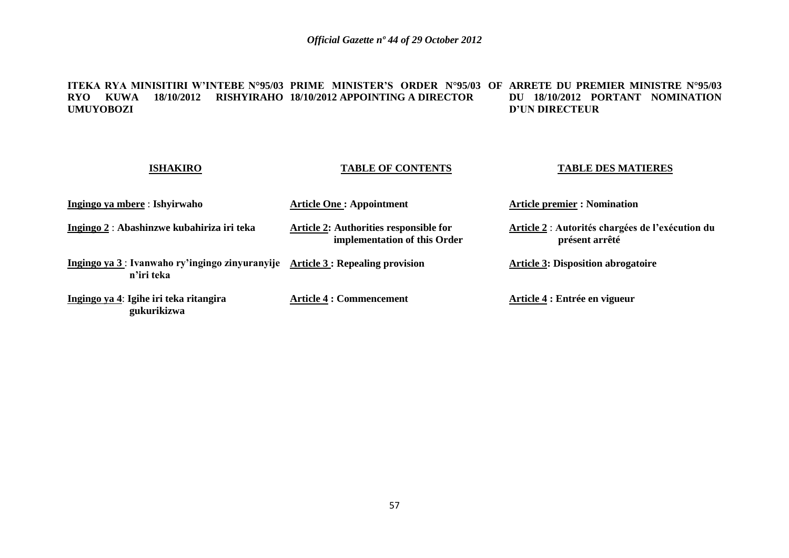**ITEKA RYA MINISITIRI W'INTEBE N°95/03 PRIME MINISTER'S ORDER N°95/03 OF ARRETE DU PREMIER MINISTRE N°95/03 RYO KUWA 18/10/2012 RISHYIRAHO 18/10/2012 APPOINTING A DIRECTOR UMUYOBOZI DU 18/10/2012 PORTANT NOMINATION D'UN DIRECTEUR**

| <b>ISHAKIRO</b>                                                                                     | <b>TABLE OF CONTENTS</b>                                               | <b>TABLE DES MATIERES</b>                                          |
|-----------------------------------------------------------------------------------------------------|------------------------------------------------------------------------|--------------------------------------------------------------------|
| Ingingo ya mbere : Ishyirwaho                                                                       | <b>Article One: Appointment</b>                                        | <b>Article premier : Nomination</b>                                |
| Ingingo 2 : Abashinzwe kubahiriza iri teka                                                          | Article 2: Authorities responsible for<br>implementation of this Order | Article 2 : Autorités chargées de l'exécution du<br>présent arrêté |
| Ingingo ya 3: Ivanwaho ry'ingingo zinyuranyije $\Delta$ rticle 3: Repealing provision<br>n'iri teka |                                                                        | <b>Article 3: Disposition abrogatoire</b>                          |
| Ingingo ya 4: Igihe iri teka ritangira<br>gukurikizwa                                               | <b>Article 4 : Commencement</b>                                        | Article 4 : Entrée en vigueur                                      |

## 57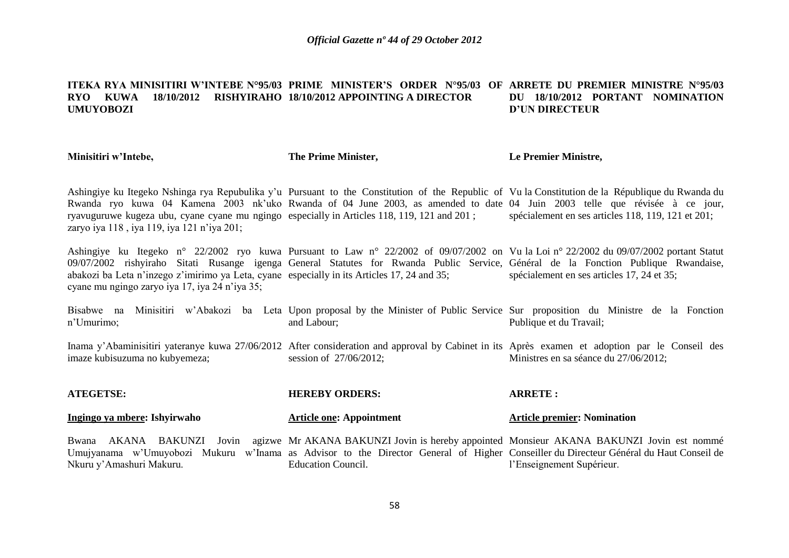#### **ITEKA RYA MINISITIRI W'INTEBE N°95/03 PRIME MINISTER'S ORDER N°95/03 OF ARRETE DU PREMIER MINISTRE N°95/03 RYO KUWA 18/10/2012 RISHYIRAHO 18/10/2012 APPOINTING A DIRECTOR UMUYOBOZI DU 18/10/2012 PORTANT NOMINATION D'UN DIRECTEUR**

**Minisitiri w'Intebe,**

Nkuru y"Amashuri Makuru.

**The Prime Minister,**

**Le Premier Ministre,**

l"Enseignement Supérieur.

Ashingiye ku Itegeko Nshinga rya Repubulika y"u Pursuant to the Constitution of the Republic of Vu la Constitution de la République du Rwanda du Rwanda ryo kuwa 04 Kamena 2003 nk'uko Rwanda of 04 June 2003, as amended to date 04 Juin 2003 telle que révisée à ce jour, ryavuguruwe kugeza ubu, cyane cyane mu ngingo especially in Articles 118, 119, 121 and 201 ; zaryo iya 118, iya 119, iya 121 n'iya 201; spécialement en ses articles 118, 119, 121 et 201;

Ashingiye ku Itegeko n° 22/2002 ryo kuwa Pursuant to Law n° 22/2002 of 09/07/2002 on Vu la Loi n° 22/2002 du 09/07/2002 portant Statut 09/07/2002 rishyiraho Sitati Rusange igenga General Statutes for Rwanda Public Service, Général de la Fonction Publique Rwandaise, abakozi ba Leta n"inzego z"imirimo ya Leta, cyane especially in its Articles 17, 24 and 35; cyane mu ngingo zaryo iya 17, iya 24 n"iya 35; spécialement en ses articles 17, 24 et 35;

Bisabwe na Minisitiri w'Abakozi ba Leta Upon-proposal-by-the-Minister of Public Service Sur-proposition du Ministre de la Fonction n"Umurimo; and Labour; Publique et du Travail;

Inama y'Abaminisitiri yateranye kuwa 27/06/2012 After consideration and approval by Cabinet in its Après examen et adoption par le Conseil des imaze kubisuzuma no kubyemeza; session of 27/06/2012; Ministres en sa séance du 27/06/2012;

| <b>ATEGETSE:</b>             | <b>HEREBY ORDERS:</b>                                                                                                                 | <b>ARRETE:</b>                     |  |  |
|------------------------------|---------------------------------------------------------------------------------------------------------------------------------------|------------------------------------|--|--|
| Ingingo ya mbere: Ishyirwaho | <b>Article one: Appointment</b>                                                                                                       | <b>Article premier: Nomination</b> |  |  |
|                              | Bwana AKANA BAKUNZI Jovin agizwe Mr AKANA BAKUNZI Jovin is hereby appointed Monsieur AKANA BAKUNZI Jovin est nommé                    |                                    |  |  |
|                              | Umujyanama w'Umuyobozi Mukuru w'Inama as Advisor to the Director General of Higher Conseiller du Directeur Général du Haut Conseil de |                                    |  |  |

Education Council.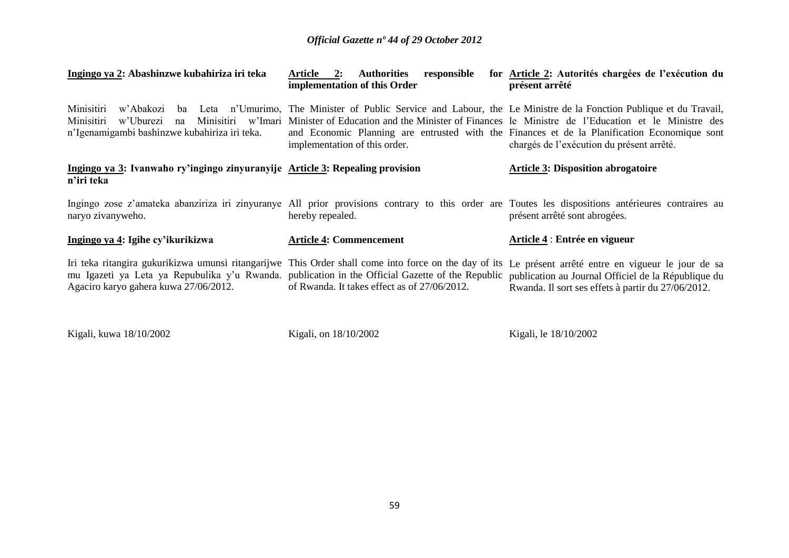| Ingingo ya 2: Abashinzwe kubahiriza iri teka                                                                 | Article 2: Authorities<br>responsible<br>implementation of this Order                                                                                                                                                                                                                                                                                                                                                  | for Article 2: Autorités chargées de l'exécution du<br>présent arrêté                                                                                         |  |  |  |  |  |
|--------------------------------------------------------------------------------------------------------------|------------------------------------------------------------------------------------------------------------------------------------------------------------------------------------------------------------------------------------------------------------------------------------------------------------------------------------------------------------------------------------------------------------------------|---------------------------------------------------------------------------------------------------------------------------------------------------------------|--|--|--|--|--|
| Minisitiri<br>w'Abakozi ba<br>Minisitiri<br>w'Uburezi<br>na<br>n'Igenamigambi bashinzwe kubahiriza iri teka. | Leta n'Umurimo, The Minister of Public Service and Labour, the Le Ministre de la Fonction Publique et du Travail,<br>Minisitiri w'Imari Minister of Education and the Minister of Finances le Ministre de l'Education et le Ministre des<br>and Economic Planning are entrusted with the Finances et de la Planification Economique sont<br>implementation of this order.<br>chargés de l'exécution du présent arrêté. |                                                                                                                                                               |  |  |  |  |  |
| Ingingo ya 3: Ivanwaho ry'ingingo zinyuranyije Article 3: Repealing provision<br>n'iri teka                  |                                                                                                                                                                                                                                                                                                                                                                                                                        | <b>Article 3: Disposition abrogatoire</b>                                                                                                                     |  |  |  |  |  |
| naryo zivanyweho.                                                                                            | Ingingo zose z'amateka abanziriza iri zinyuranye All prior provisions contrary to this order are Toutes les dispositions antérieures contraires au<br>hereby repealed.                                                                                                                                                                                                                                                 | présent arrêté sont abrogées.                                                                                                                                 |  |  |  |  |  |
| Ingingo ya 4: Igihe cy'ikurikizwa                                                                            | <b>Article 4: Commencement</b>                                                                                                                                                                                                                                                                                                                                                                                         | Article 4 : Entrée en vigueur                                                                                                                                 |  |  |  |  |  |
| Agaciro karyo gahera kuwa 27/06/2012.                                                                        | Iri teka ritangira gukurikizwa umunsi ritangarijwe This Order shall come into force on the day of its<br>mu Igazeti ya Leta ya Repubulika y'u Rwanda. publication in the Official Gazette of the Republic<br>of Rwanda. It takes effect as of 27/06/2012.                                                                                                                                                              | Le présent arrêté entre en vigueur le jour de sa<br>publication au Journal Officiel de la République du<br>Rwanda. Il sort ses effets à partir du 27/06/2012. |  |  |  |  |  |

Kigali, kuwa 18/10/2002 Kigali, on 18/10/2002 Kigali, le 18/10/2002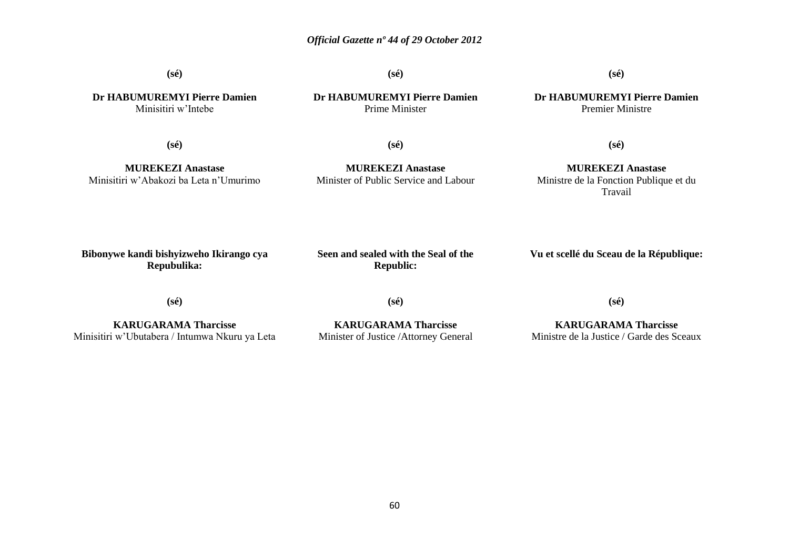**(sé)**

**(sé)**

**(sé)**

**Dr HABUMUREMYI Pierre Damien** Minisitiri w"Intebe

**Dr HABUMUREMYI Pierre Damien** Prime Minister

**Dr HABUMUREMYI Pierre Damien** Premier Ministre

**(sé)**

**(sé)**

**(sé)**

**MUREKEZI Anastase** Minisitiri w"Abakozi ba Leta n"Umurimo

**MUREKEZI Anastase** Minister of Public Service and Labour

**MUREKEZI Anastase** Ministre de la Fonction Publique et du Travail

**Bibonywe kandi bishyizweho Ikirango cya Repubulika:**

**Seen and sealed with the Seal of the Republic:**

**Vu et scellé du Sceau de la République:**

**(sé)**

**(sé)**

**KARUGARAMA Tharcisse** Minisitiri w"Ubutabera / Intumwa Nkuru ya Leta

**KARUGARAMA Tharcisse** Minister of Justice /Attorney General **(sé)**

**KARUGARAMA Tharcisse** Ministre de la Justice / Garde des Sceaux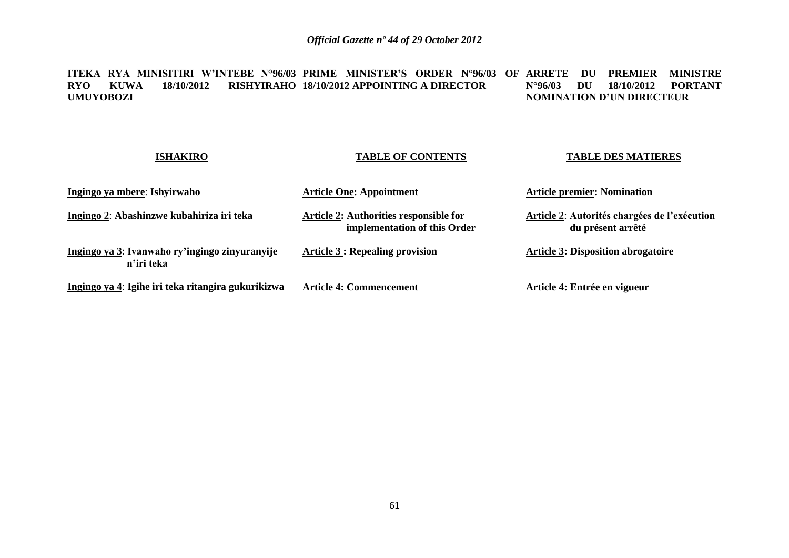**ITEKA RYA MINISITIRI W'INTEBE N°96/03 PRIME MINISTER'S ORDER N°96/03 OF ARRETE DU PREMIER MINISTRE RYO KUWA 18/10/2012 RISHYIRAHO 18/10/2012 APPOINTING A DIRECTOR UMUYOBOZI N°96/03 DU 18/10/2012 PORTANT NOMINATION D'UN DIRECTEUR**

#### **ISHAKIRO Ingingo ya mbere**: **Ishyirwaho Ingingo 2**: **Abashinzwe kubahiriza iri teka Ingingo ya 3**: **Ivanwaho ry'ingingo zinyuranyije n'iri teka Ingingo ya 4**: **Igihe iri teka ritangira gukurikizwa TABLE OF CONTENTS Article One: Appointment Article 2: Authorities responsible for implementation of this Order Article 3 : Repealing provision Article 4: Commencement TABLE DES MATIERES Article premier: Nomination Article 2**: **Autorités chargées de l'exécution du présent arrêté Article 3: Disposition abrogatoire Article 4: Entrée en vigueur**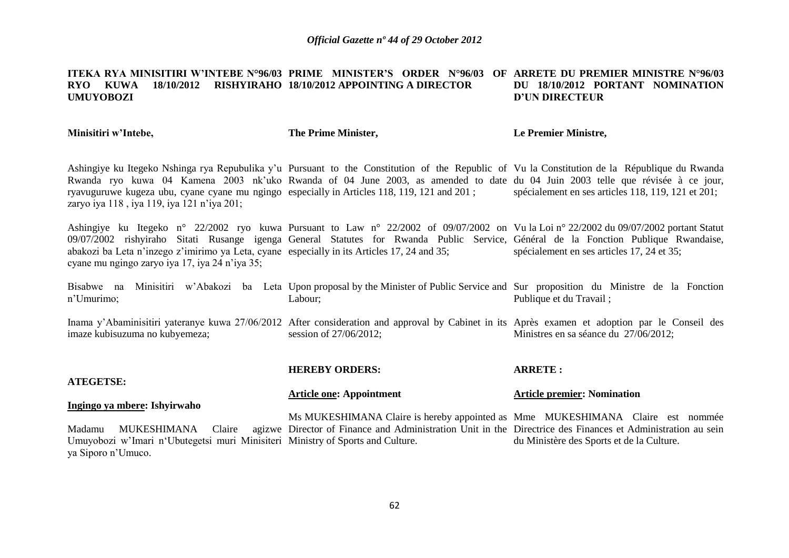#### **ITEKA RYA MINISITIRI W'INTEBE N°96/03 PRIME MINISTER'S ORDER N°96/03 OF ARRETE DU PREMIER MINISTRE N°96/03 RYO KUWA 18/10/2012 RISHYIRAHO 18/10/2012 APPOINTING A DIRECTOR UMUYOBOZI DU 18/10/2012 PORTANT NOMINATION D'UN DIRECTEUR**

**Minisitiri w'Intebe,**

ya Siporo n"Umuco.

**The Prime Minister,**

**Le Premier Ministre,**

Ashingiye ku Itegeko Nshinga rya Repubulika y"u Pursuant to the Constitution of the Republic of Vu la Constitution de la République du Rwanda Rwanda ryo kuwa 04 Kamena 2003 nk'uko Rwanda of 04 June 2003, as amended to date du 04 Juin 2003 telle que révisée à ce jour, ryavuguruwe kugeza ubu, cyane cyane mu ngingo especially in Articles 118, 119, 121 and 201 ; zaryo iya 118, iya 119, iya 121 n'iya 201; spécialement en ses articles 118, 119, 121 et 201;

Ashingiye ku Itegeko n° 22/2002 ryo kuwa Pursuant to Law n° 22/2002 of 09/07/2002 on Vu la Loi n° 22/2002 du 09/07/2002 portant Statut 09/07/2002 rishyiraho Sitati Rusange igenga General Statutes for Rwanda Public Service, Général de la Fonction Publique Rwandaise, abakozi ba Leta n"inzego z"imirimo ya Leta, cyane especially in its Articles 17, 24 and 35; cyane mu ngingo zaryo iya 17, iya 24 n"iya 35; spécialement en ses articles 17, 24 et 35;

Bisabwe na Minisitiri w'Abakozi ba Leta Upon-proposal-by-the-Minister-of-Public-Service-and-Sur-proposition du Ministre de la Fonction n"Umurimo; Labour; Publique et du Travail ;

Inama y'Abaminisitiri yateranye kuwa 27/06/2012 After consideration and approval by Cabinet in its Après examen et adoption par le Conseil des imaze kubisuzuma no kubyemeza; session of 27/06/2012; Ministres en sa séance du 27/06/2012;

**ATEGETSE: Ingingo ya mbere: Ishyirwaho** Madamu MUKESHIMANA Claire Umuyobozi w"Imari n"Ubutegetsi muri Minisiteri Ministry of Sports and Culture. **HEREBY ORDERS: Article one: Appointment** Ms MUKESHIMANA Claire is hereby appointed as Mme MUKESHIMANA Claire est nommée Director of Finance and Administration Unit in the Directrice des Finances et Administration au sein **ARRETE : Article premier: Nomination** du Ministère des Sports et de la Culture.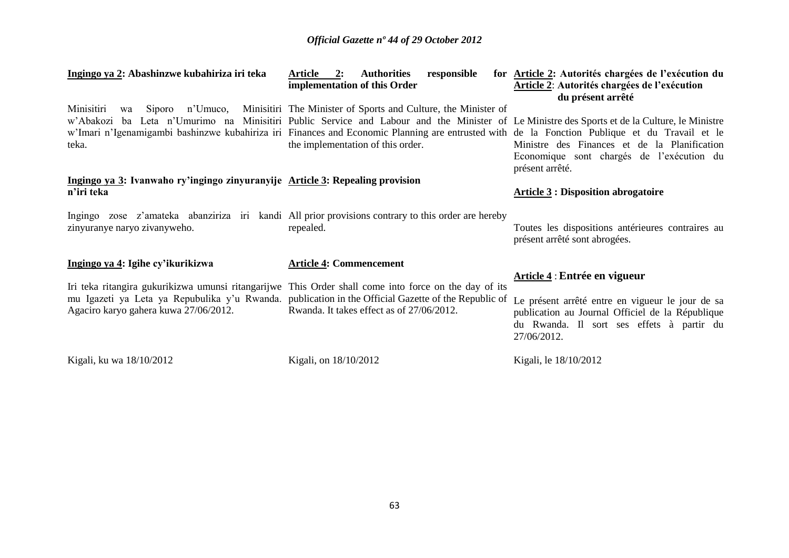| Ingingo ya 2: Abashinzwe kubahiriza iri teka                                                | 2:<br>Article<br><b>Authorities</b><br>responsible<br>implementation of this Order                                                                                                                                                                                                                                                                                                                   | for Article 2: Autorités chargées de l'exécution du<br><b>Article 2: Autorités chargées de l'exécution</b><br>du présent arrêté                                  |
|---------------------------------------------------------------------------------------------|------------------------------------------------------------------------------------------------------------------------------------------------------------------------------------------------------------------------------------------------------------------------------------------------------------------------------------------------------------------------------------------------------|------------------------------------------------------------------------------------------------------------------------------------------------------------------|
| Minisitiri<br>Siporo n'Umuco,<br>wa<br>teka.                                                | Minisitiri The Minister of Sports and Culture, the Minister of<br>w'Abakozi ba Leta n'Umurimo na Minisitiri Public Service and Labour and the Minister of Le Ministre des Sports et de la Culture, le Ministre<br>w'Imari n'Igenamigambi bashinzwe kubahiriza iri Finances and Economic Planning are entrusted with de la Fonction Publique et du Travail et le<br>the implementation of this order. | Ministre des Finances et de la Planification<br>Economique sont chargés de l'exécution du<br>présent arrêté.                                                     |
| Ingingo ya 3: Ivanwaho ry'ingingo zinyuranyije Article 3: Repealing provision<br>n'iri teka |                                                                                                                                                                                                                                                                                                                                                                                                      | <b>Article 3: Disposition abrogatoire</b>                                                                                                                        |
| zinyuranye naryo zivanyweho.                                                                | Ingingo zose z'amateka abanziriza iri kandi All prior provisions contrary to this order are hereby<br>repealed.                                                                                                                                                                                                                                                                                      | Toutes les dispositions antérieures contraires au<br>présent arrêté sont abrogées.                                                                               |
| Ingingo ya 4: Igihe cy'ikurikizwa                                                           | <b>Article 4: Commencement</b><br>Iri teka ritangira gukurikizwa umunsi ritangarijwe This Order shall come into force on the day of its                                                                                                                                                                                                                                                              | Article 4 : Entrée en vigueur                                                                                                                                    |
| Agaciro karyo gahera kuwa 27/06/2012.                                                       | mu Igazeti ya Leta ya Repubulika y'u Rwanda. publication in the Official Gazette of the Republic of<br>Rwanda. It takes effect as of 27/06/2012.                                                                                                                                                                                                                                                     | Le présent arrêté entre en vigueur le jour de sa<br>publication au Journal Officiel de la République<br>du Rwanda. Il sort ses effets à partir du<br>27/06/2012. |
| Kigali, ku wa 18/10/2012                                                                    | Kigali, on 18/10/2012                                                                                                                                                                                                                                                                                                                                                                                | Kigali, le 18/10/2012                                                                                                                                            |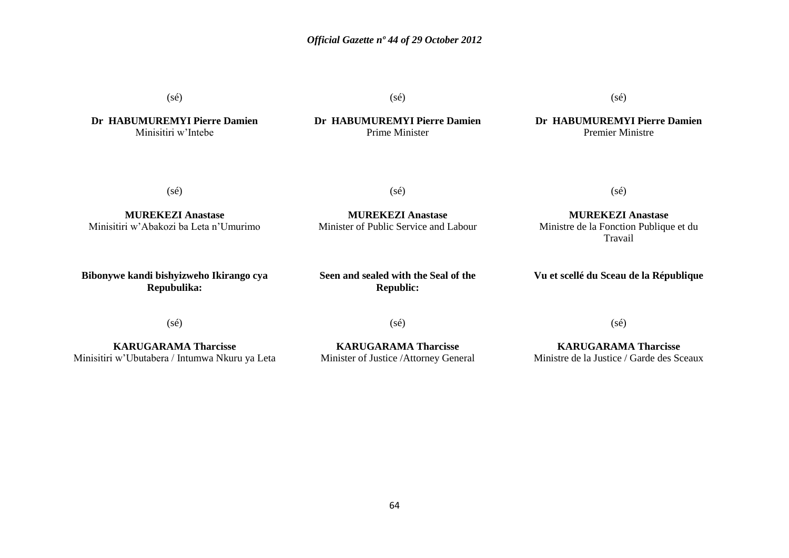(sé)

**Dr HABUMUREMYI Pierre Damien** Minisitiri w"Intebe

(sé)

**Dr HABUMUREMYI Pierre Damien** Prime Minister

 $(s\acute{e})$ 

**Dr HABUMUREMYI Pierre Damien** Premier Ministre

(sé)

(sé)

**MUREKEZI Anastase** Minister of Public Service and Labour

**MUREKEZI Anastase** Minisitiri w"Abakozi ba Leta n"Umurimo

**Bibonywe kandi bishyizweho Ikirango cya Repubulika:**

**Seen and sealed with the Seal of the**

**Republic:**

**MUREKEZI Anastase**

(sé)

Ministre de la Fonction Publique et du Travail

**Vu et scellé du Sceau de la République**

(sé)

**KARUGARAMA Tharcisse** Minisitiri w"Ubutabera / Intumwa Nkuru ya Leta (sé)

**KARUGARAMA Tharcisse** Minister of Justice /Attorney General (sé)

**KARUGARAMA Tharcisse** Ministre de la Justice / Garde des Sceaux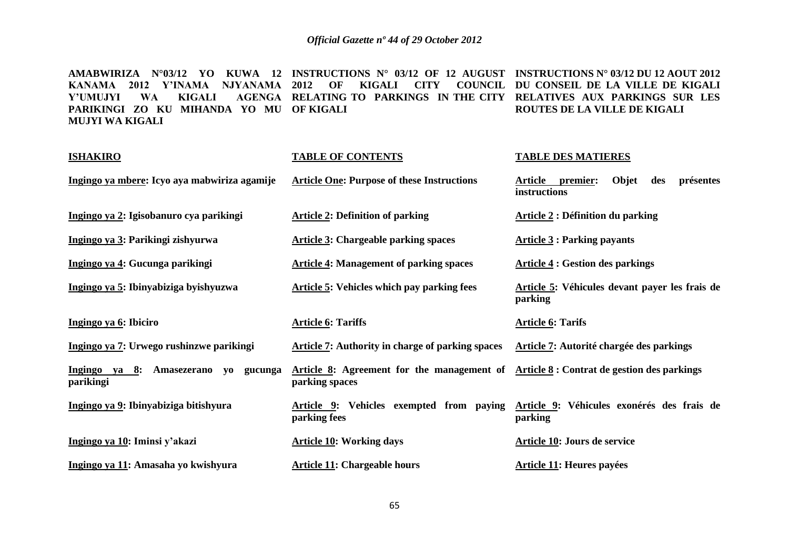**AMABWIRIZA N°03/12 YO KUWA 12 INSTRUCTIONS N° 03/12 OF 12 AUGUST INSTRUCTIONS N° 03/12 DU 12 AOUT 2012**  KANAMA 2012 Y'INAMA NJYANAMA 2012 OF KIGALI CITY COUNCIL DU CONSEIL DE LA VILLE DE KIGALI **Y'UMUJYI WA KIGALI AGENGA RELATING TO PARKINGS IN THE CITY RELATIVES AUX PARKINGS SUR LES PARIKINGI ZO KU MIHANDA YO MU OF KIGALI MUJYI WA KIGALI ROUTES DE LA VILLE DE KIGALI** 

| <b>ISHAKIRO</b>                                      | <b>TABLE OF CONTENTS</b>                                     | <b>TABLE DES MATIERES</b>                                               |  |  |  |  |
|------------------------------------------------------|--------------------------------------------------------------|-------------------------------------------------------------------------|--|--|--|--|
| Ingingo ya mbere: Icyo aya mabwiriza agamije         | <b>Article One: Purpose of these Instructions</b>            | Objet<br><u>Article</u><br>premier:<br>présentes<br>des<br>instructions |  |  |  |  |
| Ingingo ya 2: Igisobanuro cya parikingi              | <b>Article 2: Definition of parking</b>                      | <b>Article 2 : Définition du parking</b>                                |  |  |  |  |
| Ingingo ya 3: Parikingi zishyurwa                    | <b>Article 3: Chargeable parking spaces</b>                  | $Article 3: Parking$ payants                                            |  |  |  |  |
| Ingingo ya 4: Gucunga parikingi                      | <b>Article 4: Management of parking spaces</b>               | <b>Article 4 : Gestion des parkings</b>                                 |  |  |  |  |
| Ingingo ya 5: Ibinyabiziga byishyuzwa                | Article 5: Vehicles which pay parking fees                   | Article 5: Véhicules devant payer les frais de<br>parking               |  |  |  |  |
| Ingingo ya 6: Ibiciro                                | <b>Article 6: Tariffs</b>                                    | <b>Article 6: Tarifs</b>                                                |  |  |  |  |
| Ingingo ya 7: Urwego rushinzwe parikingi             | Article 7: Authority in charge of parking spaces             | Article 7: Autorité chargée des parkings                                |  |  |  |  |
| Ingingo ya 8: Amasezerano yo<br>gucunga<br>parikingi | Article 8: Agreement for the management of<br>parking spaces | <b>Article 8 : Contrat de gestion des parkings</b>                      |  |  |  |  |
| Ingingo ya 9: Ibinyabiziga bitishyura                | Article 9: Vehicles exempted from paying<br>parking fees     | Article 9: Véhicules exonérés des frais de<br>parking                   |  |  |  |  |
| Ingingo ya 10: Iminsi y'akazi                        | <b>Article 10: Working days</b>                              | <b>Article 10: Jours de service</b>                                     |  |  |  |  |
| Ingingo ya 11: Amasaha yo kwishyura                  | <b>Article 11: Chargeable hours</b>                          | <b>Article 11: Heures payées</b>                                        |  |  |  |  |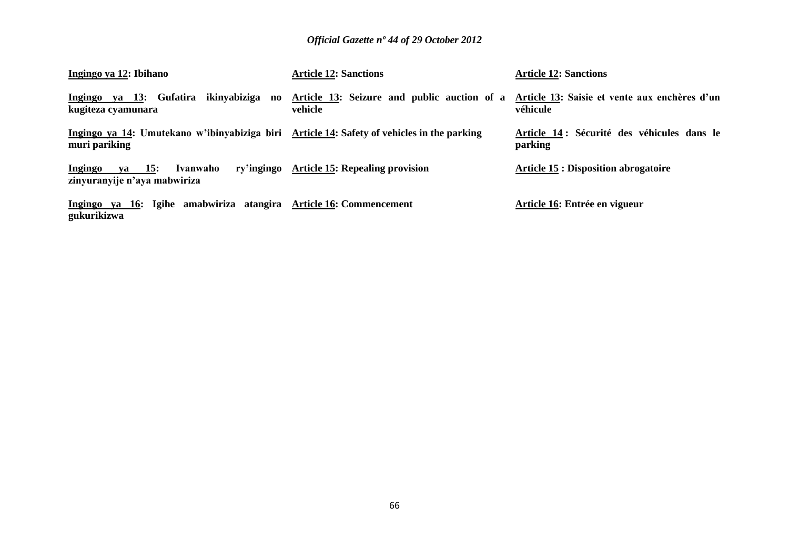| Ingingo ya 12: Ibihano                                                                                      | <b>Article 12: Sanctions</b>                           | <b>Article 12: Sanctions</b>                              |
|-------------------------------------------------------------------------------------------------------------|--------------------------------------------------------|-----------------------------------------------------------|
| Ingingo ya 13: Gufatira ikinyabiziga no<br>kugiteza cyamunara                                               | Article 13: Seizure and public auction of a<br>vehicle | Article 13: Saisie et vente aux enchères d'un<br>véhicule |
| Ingingo ya 14: Umutekano w'ibinyabiziga biri Article 14: Safety of vehicles in the parking<br>muri pariking |                                                        | Article 14 : Sécurité des véhicules dans le<br>parking    |
| $ya$ 15:<br>Ingingo<br>Ivanwaho<br>zinyuranyije n'aya mabwiriza                                             | ry'ingingo Article 15: Repealing provision             | <b>Article 15 : Disposition abrogatoire</b>               |
| Ingingo ya 16: Igihe amabwiriza atangira Article 16: Commencement<br>gukurikizwa                            |                                                        | Article 16: Entrée en vigueur                             |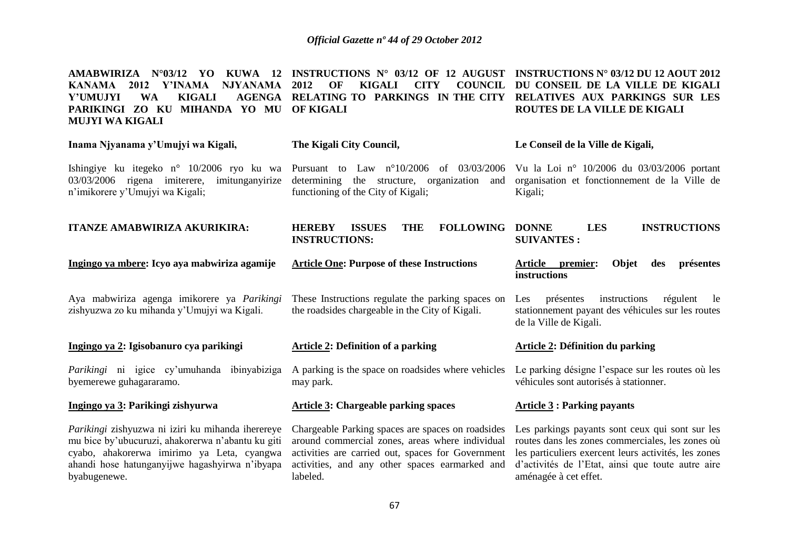| AMABWIRIZA<br>Y'INAMA<br>NJYANAMA<br>KANAMA<br>2012<br><b>KIGALI</b><br>Y'UMUJYI<br><b>WA</b><br>MIHANDA YO MU OF KIGALI<br>PARIKINGI ZO KU<br><b>MUJYI WA KIGALI</b>                                           | $N^{\circ}03/12$ YO KUWA 12 INSTRUCTIONS $N^{\circ}$ 03/12 OF 12 AUGUST<br>OF<br>COUNCIL<br>2012<br>KIGALI<br><b>CITY</b><br>AGENGA RELATING TO PARKINGS IN THE CITY | <b>INSTRUCTIONS N° 03/12 DU 12 AOUT 2012</b><br>DU CONSEIL DE LA VILLE DE KIGALI<br>RELATIVES AUX PARKINGS SUR LES<br>ROUTES DE LA VILLE DE KIGALI |  |  |
|-----------------------------------------------------------------------------------------------------------------------------------------------------------------------------------------------------------------|----------------------------------------------------------------------------------------------------------------------------------------------------------------------|----------------------------------------------------------------------------------------------------------------------------------------------------|--|--|
| Inama Njyanama y'Umujyi wa Kigali,                                                                                                                                                                              | The Kigali City Council,                                                                                                                                             | Le Conseil de la Ville de Kigali,                                                                                                                  |  |  |
| Ishingiye ku itegeko n° 10/2006 ryo ku wa Pursuant to Law n°10/2006 of 03/03/2006 Vu la Loi n° 10/2006 du 03/03/2006 portant<br>03/03/2006 rigena imiterere, imitunganyirize<br>n'imikorere y'Umujyi wa Kigali; | determining the structure, organization and<br>functioning of the City of Kigali;                                                                                    | organisation et fonctionnement de la Ville de<br>Kigali;                                                                                           |  |  |
| <b>ITANZE AMABWIRIZA AKURIKIRA:</b>                                                                                                                                                                             | <b>FOLLOWING</b><br><b>ISSUES</b><br><b>HEREBY</b><br><b>THE</b><br><b>INSTRUCTIONS:</b>                                                                             | <b>INSTRUCTIONS</b><br><b>LES</b><br><b>DONNE</b><br><b>SUIVANTES:</b>                                                                             |  |  |

| Ingingo ya mbere: Icyo aya mabwiriza agamije                                               | <b>Article One: Purpose of these Instructions</b>                                                    | Article<br>Objet<br>présentes<br>premier:<br>des<br><i>instructions</i>                                                             |
|--------------------------------------------------------------------------------------------|------------------------------------------------------------------------------------------------------|-------------------------------------------------------------------------------------------------------------------------------------|
| Aya mabwiriza agenga imikorere ya Parikingi<br>zishyuzwa zo ku mihanda y'Umujyi wa Kigali. | These Instructions regulate the parking spaces on<br>the roadsides chargeable in the City of Kigali. | instructions<br>régulent<br>présentes<br>-le<br>Les.<br>stationnement payant des véhicules sur les routes<br>de la Ville de Kigali. |
| Ingingo ya 2: Igisobanuro cya parikingi                                                    | <b>Article 2: Definition of a parking</b>                                                            | Article 2: Définition du parking                                                                                                    |
| <i>Parikingi</i> ni igice cy'umuhanda<br>ibinyabiziga<br>byemerewe guhagararamo.           | A parking is the space on roadsides where vehicles<br>may park.                                      | Le parking désigne l'espace sur les routes où les<br>véhicules sont autorisés à stationner.                                         |
| Ingingo ya 3: Parikingi zishyurwa                                                          | <b>Article 3: Chargeable parking spaces</b>                                                          | Article $3:$ Parking payants                                                                                                        |

*Parikingi* zishyuzwa ni iziri ku mihanda iherereye mu bice by"ubucuruzi, ahakorerwa n"abantu ku giti cyabo, ahakorerwa imirimo ya Leta, cyangwa ahandi hose hatunganyijwe hagashyirwa n"ibyapa byabugenewe.

around commercial zones, areas where individual activities are carried out, spaces for Government activities, and any other spaces earmarked and labeled.

Chargeable Parking spaces are spaces on roadsides Les parkings payants sont ceux qui sont sur les routes dans les zones commerciales, les zones où les particuliers exercent leurs activités, les zones d"activités de l"Etat, ainsi que toute autre aire aménagée à cet effet.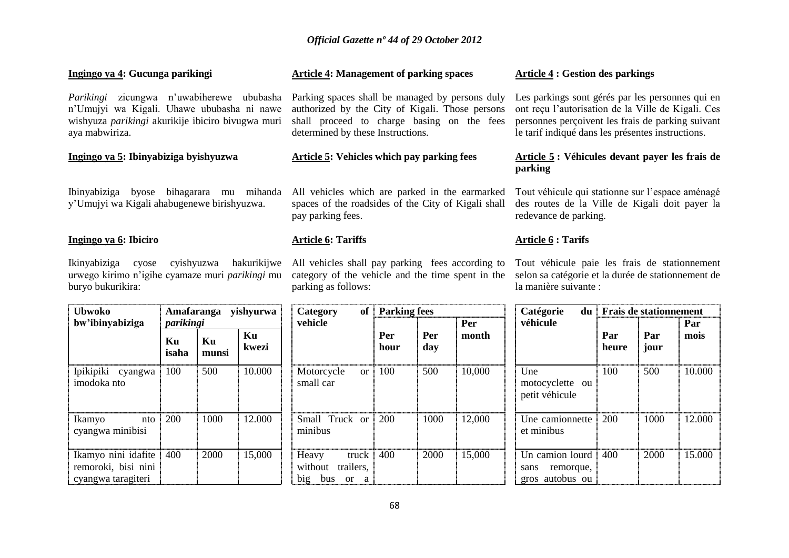#### **Ingingo ya 4: Gucunga parikingi Article 4: Management of parking spaces Article 4 : Gestion des parkings**

*Parikingi* zicungwa n"uwabiherewe ububasha n"Umujyi wa Kigali. Uhawe ububasha ni nawe wishyuza *parikingi* akurikije ibiciro bivugwa muri aya mabwiriza.

#### **Ingingo ya 5: Ibinyabiziga byishyuzwa**

Ibinyabiziga byose bihagarara mu mihanda y"Umujyi wa Kigali ahabugenewe birishyuzwa.

#### **Ingingo ya 6: Ibiciro**

Ikinyabiziga cyose cyishyuzwa hakurikijwe urwego kirimo n"igihe cyamaze muri *parikingi* mu buryo bukurikira:

Parking spaces shall be managed by persons duly authorized by the City of Kigali. Those persons shall proceed to charge basing on the fees determined by these Instructions.

### **Article 5: Vehicles which pay parking fees**

All vehicles which are parked in the earmarked spaces of the roadsides of the City of Kigali shall pay parking fees.

#### **Article 6: Tariffs**

All vehicles shall pay parking fees according to parking as follows:

Les parkings sont gérés par les personnes qui en ont reçu l"autorisation de la Ville de Kigali. Ces personnes perçoivent les frais de parking suivant le tarif indiqué dans les présentes instructions.

#### **Article 5 : Véhicules devant payer les frais de parking**

Tout véhicule qui stationne sur l"espace aménagé des routes de la Ville de Kigali doit payer la redevance de parking.

## **Article 6 : Tarifs**

category of the vehicle and the time spent in the selon sa catégorie et la durée de stationnement de Tout véhicule paie les frais de stationnement la manière suivante :

| yishyurwa<br>Amafaranga<br><b>Ubwoko</b>                         |             |             |             | <b>Parking fees</b><br>of<br>Category                        |             |            |        | Catégorie<br>du                                            | <b>Frais de stationnement</b> |             |        |
|------------------------------------------------------------------|-------------|-------------|-------------|--------------------------------------------------------------|-------------|------------|--------|------------------------------------------------------------|-------------------------------|-------------|--------|
| bw'ibinyabiziga                                                  | parikingi   |             |             | vehicle                                                      |             |            | Per    | véhicule                                                   |                               |             | Par    |
|                                                                  | Ku<br>isaha | Ku<br>munsi | Ku<br>kwezi |                                                              | Per<br>hour | Per<br>day | month  |                                                            | Par<br>heure                  | Par<br>jour | mois   |
| Ipikipiki cyangwa<br>imodoka nto                                 | 100         | 500         | 10.000      | Motorcycle<br><b>or</b><br>small car                         | 100         | 500        | 10,000 | Une<br>motocyclette ou<br>petit véhicule                   | 100                           | 500         | 10.000 |
| Ikamyo<br>nto<br>cyangwa minibisi                                | 200         | 1000        | 12.000      | Small Truck or<br>minibus                                    | 200         | 1000       | 12,000 | Une camionnette<br>et minibus                              | 200                           | 1000        | 12.000 |
| Ikamyo nini idafite<br>remoroki, bisi nini<br>cyangwa taragiteri | 400         | 2000        | 15,000      | Heavy<br>truck<br>without<br>trailers,<br>big<br>bus<br>or a | 400         | 2000       | 15,000 | Un camion lourd<br>remorque,<br>sans<br>autobus ou<br>gros | 400                           | 2000        | 15.000 |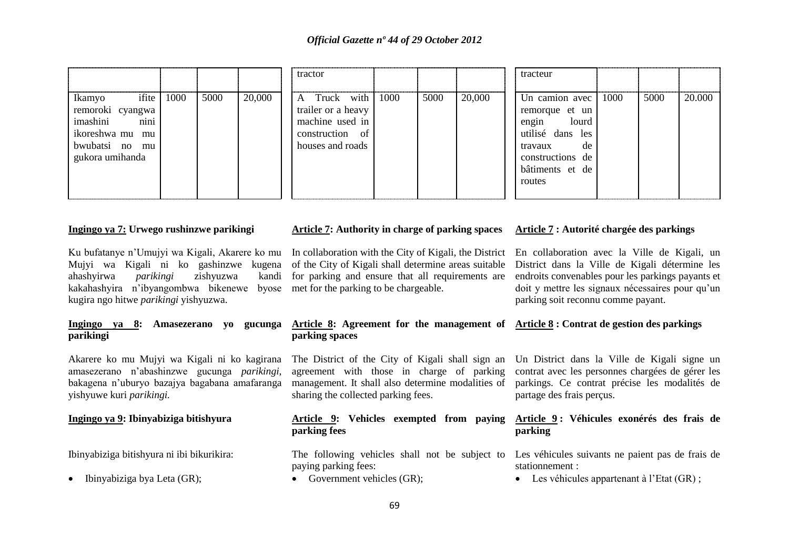|                                                                                                                    |      |      |        | tractor                                                                                      |      |      |        | tracteur                                                                                                                                 |      |      |        |
|--------------------------------------------------------------------------------------------------------------------|------|------|--------|----------------------------------------------------------------------------------------------|------|------|--------|------------------------------------------------------------------------------------------------------------------------------------------|------|------|--------|
| ifite<br>Ikamyo<br>remoroki cyangwa<br>nini<br>imashini<br>ikoreshwa mu<br>mu<br>bwubatsi no mu<br>gukora umihanda | 1000 | 5000 | 20,000 | A Truck with<br>trailer or a heavy<br>machine used in<br>construction of<br>houses and roads | 1000 | 5000 | 20,000 | Un camion avec<br>remorque et un<br>engin<br>lourd<br>utilisé dans les<br>de<br>travaux<br>constructions de<br>bâtiments et de<br>routes | 1000 | 5000 | 20.000 |

#### **Ingingo ya 7: Urwego rushinzwe parikingi**

Ku bufatanye n"Umujyi wa Kigali, Akarere ko mu In collaboration with the City of Kigali, the District Mujyi wa Kigali ni ko gashinzwe kugena of the City of Kigali shall determine areas suitable ahashyirwa *parikingi* zishyuzwa kandi kakahashyira n"ibyangombwa bikenewe byose met for the parking to be chargeable. kugira ngo hitwe *parikingi* yishyuzwa.

## **Ingingo ya 8: Amasezerano yo gucunga parikingi**

Akarere ko mu Mujyi wa Kigali ni ko kagirana amasezerano n"abashinzwe gucunga *parikingi*, bakagena n"uburyo bazajya bagabana amafaranga yishyuwe kuri *parikingi.*

#### **Ingingo ya 9: Ibinyabiziga bitishyura**

Ibinyabiziga bitishyura ni ibi bikurikira:

• Ibinyabiziga bya Leta (GR);

#### **Article 7: Authority in charge of parking spaces**

kandi for parking and ensure that all requirements are

#### **Article 8: Agreement for the management of Article 8 : Contrat de gestion des parkings parking spaces**

The District of the City of Kigali shall sign an agreement with those in charge of parking management. It shall also determine modalities of sharing the collected parking fees.

#### **Article 9: Vehicles exempted from paying parking fees**

paying parking fees:

• Government vehicles (GR):

## **Article 7 : Autorité chargée des parkings**

En collaboration avec la Ville de Kigali, un District dans la Ville de Kigali détermine les endroits convenables pour les parkings payants et doit y mettre les signaux nécessaires pour qu"un parking soit reconnu comme payant.

Un District dans la Ville de Kigali signe un contrat avec les personnes chargées de gérer les parkings. Ce contrat précise les modalités de partage des frais perçus.

#### **Article 9 : Véhicules exonérés des frais de parking**

The following vehicles shall not be subject to Les véhicules suivants ne paient pas de frais de stationnement :

• Les véhicules appartenant à l'Etat (GR);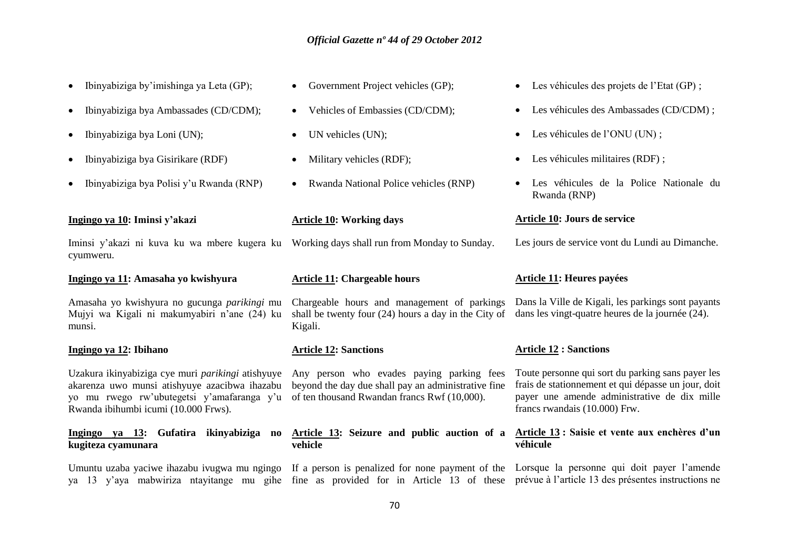- $\bullet$  Ibinyabiziga by'imishinga ya Leta (GP);
- Ibinyabiziga bya Ambassades (CD/CDM);
- Ibinyabiziga bya Loni (UN);
- Ibinyabiziga bya Gisirikare (RDF)
- Ibinyabiziga bya Polisi y"u Rwanda (RNP)

#### **Ingingo ya 10: Iminsi y'akazi**

Iminsi y"akazi ni kuva ku wa mbere kugera ku Working days shall run from Monday to Sunday. cyumweru.

#### **Ingingo ya 11: Amasaha yo kwishyura**

Amasaha yo kwishyura no gucunga *parikingi* mu Mujyi wa Kigali ni makumyabiri n"ane (24) ku munsi.

#### **Ingingo ya 12: Ibihano**

Uzakura ikinyabiziga cye muri *parikingi* atishyuye Any person who evades paying parking fees akarenza uwo munsi atishyuye azacibwa ihazabu beyond the day due shall pay an administrative fine yo mu rwego rw"ubutegetsi y"amafaranga y"u of ten thousand Rwandan francs Rwf (10,000). Rwanda ibihumbi icumi (10.000 Frws).

#### **Ingingo ya 13: Gufatira ikinyabiziga no kugiteza cyamunara**

Umuntu uzaba yaciwe ihazabu ivugwa mu ngingo If a person is penalized for none payment of the Lorsque la personne qui doit payer l'amende ya 13 y"aya mabwiriza ntayitange mu gihe fine as provided for in Article 13 of these prévue à l"article 13 des présentes instructions ne

- Government Project vehicles (GP);
- Vehicles of Embassies (CD/CDM);
- UN vehicles (UN);
- Military vehicles (RDF);
- Rwanda National Police vehicles (RNP)

#### **Article 10: Working days**

#### **Article 11: Chargeable hours**

Chargeable hours and management of parkings shall be twenty four (24) hours a day in the City of Kigali.

#### **Article 12: Sanctions**

**Article 13: Seizure and public auction of a vehicle**

# Les véhicules des projets de l"Etat (GP) ;

- Les véhicules des Ambassades (CD/CDM) ;
- Les véhicules de l"ONU (UN) ;
- Les véhicules militaires (RDF) ;
- Les véhicules de la Police Nationale du Rwanda (RNP)

#### **Article 10: Jours de service**

Les jours de service vont du Lundi au Dimanche.

#### **Article 11: Heures payées**

Dans la Ville de Kigali, les parkings sont payants dans les vingt-quatre heures de la journée (24).

#### **Article 12 : Sanctions**

Toute personne qui sort du parking sans payer les frais de stationnement et qui dépasse un jour, doit payer une amende administrative de dix mille francs rwandais (10.000) Frw.

#### **Article 13 : Saisie et vente aux enchères d'un véhicule**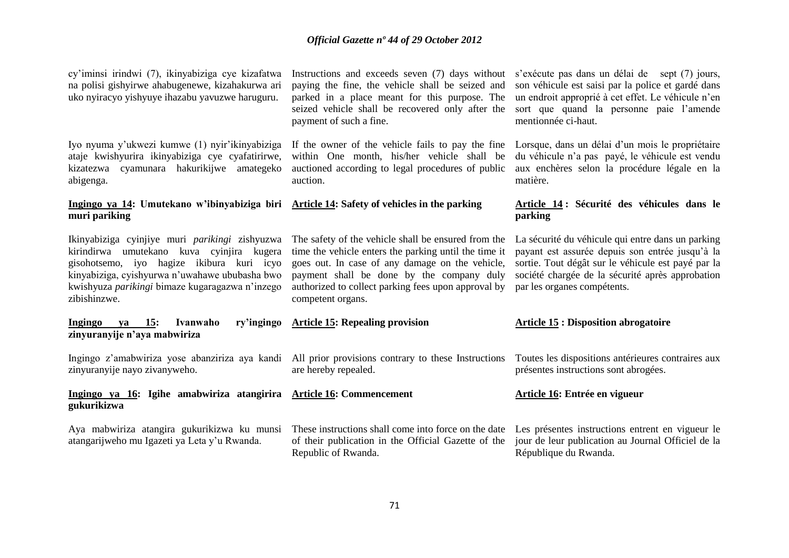cy"iminsi irindwi (7), ikinyabiziga cye kizafatwa na polisi gishyirwe ahabugenewe, kizahakurwa ari uko nyiracyo yishyuye ihazabu yavuzwe haruguru.

Iyo nyuma y"ukwezi kumwe (1) nyir"ikinyabiziga ataje kwishyurira ikinyabiziga cye cyafatirirwe, kizatezwa cyamunara hakurikijwe amategeko abigenga.

#### **Ingingo ya 14: Umutekano w'ibinyabiziga biri Article 14: Safety of vehicles in the parking muri pariking**

Ikinyabiziga cyinjiye muri *parikingi* zishyuzwa kirindirwa umutekano kuva cyinjira kugera gisohotsemo, iyo hagize ikibura kuri icyo kinyabiziga, cyishyurwa n"uwahawe ububasha bwo kwishyuza *parikingi* bimaze kugaragazwa n"inzego zibishinzwe.

**Ingingo ya 15: Ivanwaho ry'ingingo zinyuranyije n'aya mabwiriza**

zinyuranyije nayo zivanyweho.

#### **Ingingo ya 16: Igihe amabwiriza atangirira Article 16: Commencement gukurikizwa**

Aya mabwiriza atangira gukurikizwa ku munsi atangarijweho mu Igazeti ya Leta y"u Rwanda.

Instructions and exceeds seven (7) days without s'exécute pas dans un délai de sept (7) jours, paying the fine, the vehicle shall be seized and parked in a place meant for this purpose. The seized vehicle shall be recovered only after the payment of such a fine.

If the owner of the vehicle fails to pay the fine within One month, his/her vehicle shall be auctioned according to legal procedures of public auction.

The safety of the vehicle shall be ensured from the La sécurité du véhicule qui entre dans un parking time the vehicle enters the parking until the time it goes out. In case of any damage on the vehicle, payment shall be done by the company duly société chargée de la sécurité après approbation authorized to collect parking fees upon approval by competent organs.

**Article 15: Repealing provision**

are hereby repealed.

Republic of Rwanda.

# **Article 14 : Sécurité des véhicules dans le parking**

matière.

mentionnée ci-haut.

payant est assurée depuis son entrée jusqu"à la sortie. Tout dégât sur le véhicule est payé par la par les organes compétents.

son véhicule est saisi par la police et gardé dans un endroit approprié à cet effet. Le véhicule n"en sort que quand la personne paie l"amende

Lorsque, dans un délai d'un mois le propriétaire du véhicule n"a pas payé, le véhicule est vendu aux enchères selon la procédure légale en la

#### **Article 15 : Disposition abrogatoire**

Ingingo z'amabwiriza yose abanziriza aya kandi All prior provisions contrary to these Instructions Toutes les dispositions antérieures contraires aux présentes instructions sont abrogées.

#### **Article 16: Entrée en vigueur**

These instructions shall come into force on the date Les présentes instructions entrent en vigueur le of their publication in the Official Gazette of the jour de leur publication au Journal Officiel de la République du Rwanda.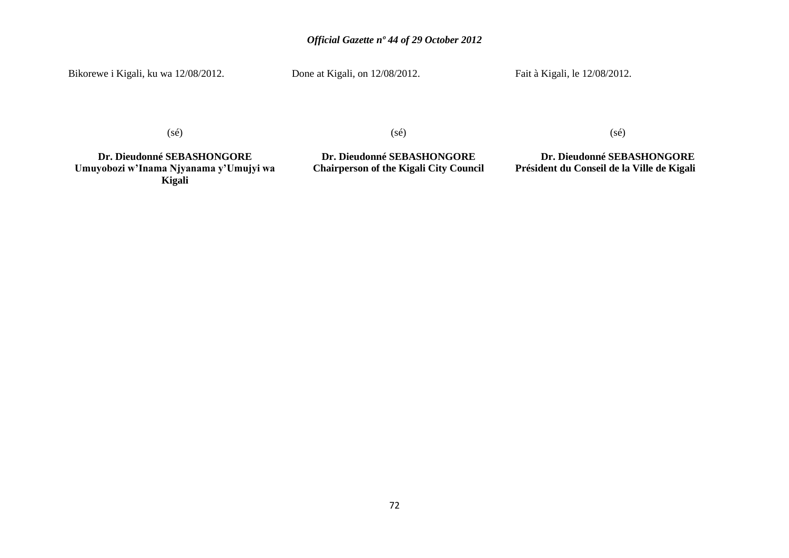Bikorewe i Kigali, ku wa 12/08/2012.

Done at Kigali, on  $12/08/2012$ .

Fait à Kigali, le 12/08/2012.

(sé)

(sé)

**Dr. Dieudonné SEBASHONGORE Umuyobozi w'Inama Njyanama y'Umujyi wa Kigali**

**Dr. Dieudonné SEBASHONGORE Chairperson of the Kigali City Council** (sé)

**Dr. Dieudonné SEBASHONGORE Président du Conseil de la Ville de Kigali**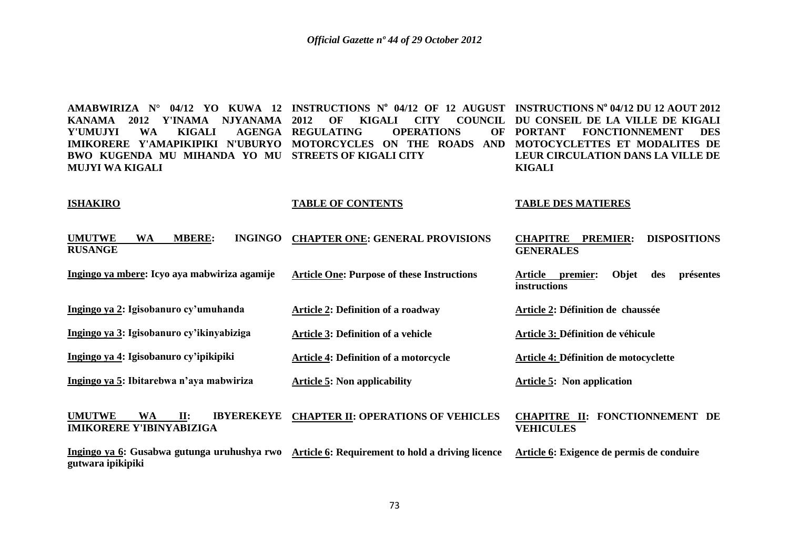**AMABWIRIZA N° 04/12 YO KUWA 12 INSTRUCTIONS N<sup>o</sup> 04/12 OF 12 AUGUST INSTRUCTIONS N<sup>o</sup> 04/12 DU 12 AOUT 2012**  KANAMA 2012 Y'INAMA NJYANAMA 2012 OF KIGALI CITY COUNCIL DU CONSEIL DE LA VILLE DE KIGALI **Y'UMUJYI WA KIGALI AGENGA REGULATING OPERATIONS OF IMIKORERE Y'AMAPIKIPIKI N'UBURYO MOTORCYCLES ON THE ROADS AND MOTOCYCLETTES ET MODALITES DE BWO KUGENDA MU MIHANDA YO MU STREETS OF KIGALI CITY MUJYI WA KIGALI PORTANT FONCTIONNEMENT DES LEUR CIRCULATION DANS LA VILLE DE KIGALI** 

#### **ISHAKIRO**

**TABLE OF CONTENTS**

#### **TABLE DES MATIERES**

| <b>UMUTWE</b><br><b>MBERE:</b><br><b>INGINGO</b><br><b>WA</b><br><b>RUSANGE</b>                                   | <b>CHAPTER ONE: GENERAL PROVISIONS</b>            | <b>DISPOSITIONS</b><br><b>PREMIER:</b><br><b>CHAPITRE</b><br><b>GENERALES</b> |
|-------------------------------------------------------------------------------------------------------------------|---------------------------------------------------|-------------------------------------------------------------------------------|
| Ingingo ya mbere: Icyo aya mabwiriza agamije                                                                      | <b>Article One: Purpose of these Instructions</b> | Objet<br>présentes<br>Article<br>premier:<br>des<br>instructions              |
| Ingingo ya 2: Igisobanuro cy'umuhanda                                                                             | <b>Article 2: Definition of a roadway</b>         | Article 2: Définition de chaussée                                             |
| Ingingo ya 3: Igisobanuro cy'ikinyabiziga                                                                         | <b>Article 3: Definition of a vehicle</b>         | Article 3: Définition de véhicule                                             |
| Ingingo ya 4: Igisobanuro cy'ipikipiki                                                                            | <b>Article 4: Definition of a motorcycle</b>      | Article 4: Définition de motocyclette                                         |
| Ingingo ya 5: Ibitarebwa n'aya mabwiriza                                                                          | <b>Article 5: Non applicability</b>               | <b>Article 5: Non application</b>                                             |
| <b>UMUTWE</b><br><b>IBYEREKEYE</b><br>WA<br>II:<br><b>IMIKORERE Y'IBINYABIZIGA</b>                                | <b>CHAPTER II: OPERATIONS OF VEHICLES</b>         | CHAPITRE II: FONCTIONNEMENT DE<br><b>VEHICULES</b>                            |
| Ingingo ya 6: Gusabwa gutunga uruhushya rwo Article 6: Requirement to hold a driving licence<br>gutwara ipikipiki |                                                   | Article 6: Exigence de permis de conduire                                     |
|                                                                                                                   |                                                   |                                                                               |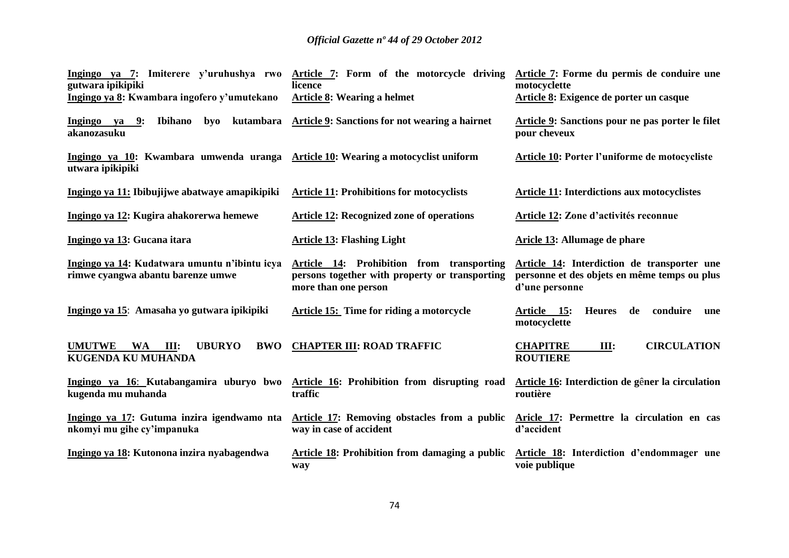| gutwara ipikipiki                                                                                    | Ingingo ya 7: Imiterere y'uruhushya rwo Article 7: Form of the motorcycle driving<br>licence                        | Article 7: Forme du permis de conduire une<br>motocyclette                                                    |
|------------------------------------------------------------------------------------------------------|---------------------------------------------------------------------------------------------------------------------|---------------------------------------------------------------------------------------------------------------|
| Ingingo ya 8: Kwambara ingofero y'umutekano                                                          | Article 8: Wearing a helmet                                                                                         | Article 8: Exigence de porter un casque                                                                       |
| Ingingo ya 9:<br>Ibihano<br>$b$ yo<br>kutambara<br>akanozasuku                                       | Article 9: Sanctions for not wearing a hairnet                                                                      | Article 9: Sanctions pour ne pas porter le filet<br>pour cheveux                                              |
| Ingingo ya 10: Kwambara umwenda uranga Article 10: Wearing a motocyclist uniform<br>utwara ipikipiki |                                                                                                                     | Article 10: Porter l'uniforme de motocycliste                                                                 |
| Ingingo ya 11: Ibibujijwe abatwaye amapikipiki                                                       | <b>Article 11: Prohibitions for motocyclists</b>                                                                    | <b>Article 11: Interdictions aux motocyclistes</b>                                                            |
| Ingingo ya 12: Kugira ahakorerwa hemewe                                                              | <b>Article 12: Recognized zone of operations</b>                                                                    | Article 12: Zone d'activités reconnue                                                                         |
| Ingingo ya 13: Gucana itara                                                                          | <b>Article 13: Flashing Light</b>                                                                                   | Aricle 13: Allumage de phare                                                                                  |
| Ingingo ya 14: Kudatwara umuntu n'ibintu icya<br>rimwe cyangwa abantu barenze umwe                   | Article 14: Prohibition from transporting<br>persons together with property or transporting<br>more than one person | Article 14: Interdiction de transporter une<br>personne et des objets en même temps ou plus<br>d'une personne |
| Ingingo ya 15: Amasaha yo gutwara ipikipiki                                                          | <b>Article 15: Time for riding a motorcycle</b>                                                                     | conduire<br>Article 15:<br>de<br><b>Heures</b><br>une<br>motocyclette                                         |
| <b>UMUTWE</b><br><b>UBURYO</b><br>WA<br>III:<br><b>BWO</b><br><b>KUGENDA KU MUHANDA</b>              | <b>CHAPTER III: ROAD TRAFFIC</b>                                                                                    | <b>CHAPITRE</b><br><b>CIRCULATION</b><br>Ш:<br><b>ROUTIERE</b>                                                |
| Ingingo ya 16: Kutabangamira uburyo bwo<br>kugenda mu muhanda                                        | Article 16: Prohibition from disrupting road<br>traffic                                                             | Article 16: Interdiction de gêner la circulation<br>routière                                                  |
| Ingingo ya 17: Gutuma inzira igendwamo nta<br>nkomyi mu gihe cy'impanuka                             | <b>Article 17: Removing obstacles from a public</b><br>way in case of accident                                      | Aricle 17: Permettre la circulation en cas<br>d'accident                                                      |
| Ingingo ya 18: Kutonona inzira nyabagendwa                                                           | Article 18: Prohibition from damaging a public<br>way                                                               | Article 18: Interdiction d'endommager une<br>voie publique                                                    |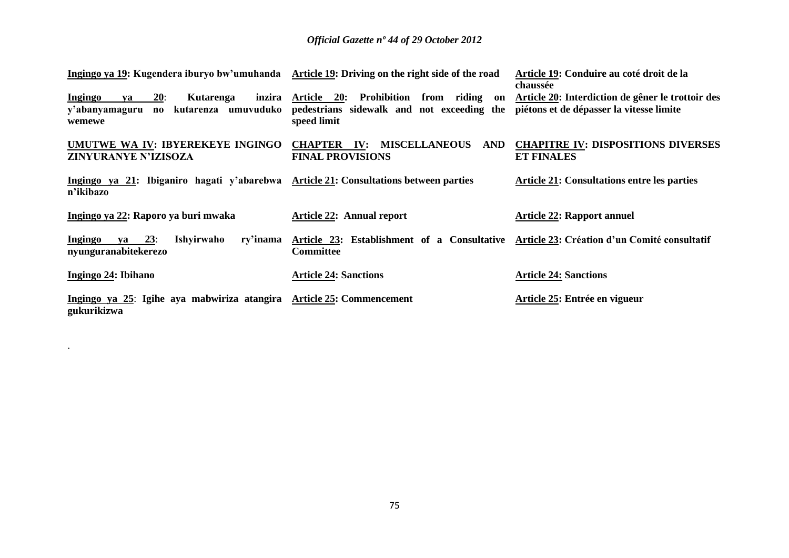| Ingingo ya 19: Kugendera iburyo bw'umuhanda Article 19: Driving on the right side of the road            |                                                                                                              | Article 19: Conduire au coté droit de la<br>chaussée                                          |
|----------------------------------------------------------------------------------------------------------|--------------------------------------------------------------------------------------------------------------|-----------------------------------------------------------------------------------------------|
| 20:<br>Ingingo<br>inzira<br><b>Kutarenga</b><br>va<br>no kutarenza umuvuduko<br>y'abanyamaguru<br>wemewe | Prohibition<br>Article 20:<br>from riding<br>on<br>pedestrians sidewalk and not exceeding the<br>speed limit | Article 20: Interdiction de gêner le trottoir des<br>piétons et de dépasser la vitesse limite |
| UMUTWE WA IV: IBYEREKEYE INGINGO<br>ZINYURANYE N'IZISOZA                                                 | <b>MISCELLANEOUS</b><br>AND<br><b>CHAPTER</b><br>$\mathbf{IV:}$<br><b>FINAL PROVISIONS</b>                   | <b>CHAPITRE IV: DISPOSITIONS DIVERSES</b><br><b>ET FINALES</b>                                |
| Ingingo ya 21: Ibiganiro hagati y'abarebwa Article 21: Consultations between parties<br>n'ikibazo        |                                                                                                              | <b>Article 21: Consultations entre les parties</b>                                            |
| Ingingo ya 22: Raporo ya buri mwaka                                                                      | <b>Article 22: Annual report</b>                                                                             | <b>Article 22: Rapport annuel</b>                                                             |
| 23:<br>Ishyirwaho<br>ry'inama<br><b>Ingingo</b><br>va<br>nyunguranabitekerezo                            | Article 23: Establishment of a Consultative Article 23: Création d'un Comité consultatif<br><b>Committee</b> |                                                                                               |
| Ingingo 24: Ibihano                                                                                      | <b>Article 24: Sanctions</b>                                                                                 | <b>Article 24: Sanctions</b>                                                                  |
| Ingingo ya 25: Igihe aya mabwiriza atangira Article 25: Commencement<br>gukurikizwa                      |                                                                                                              | Article 25: Entrée en vigueur                                                                 |

.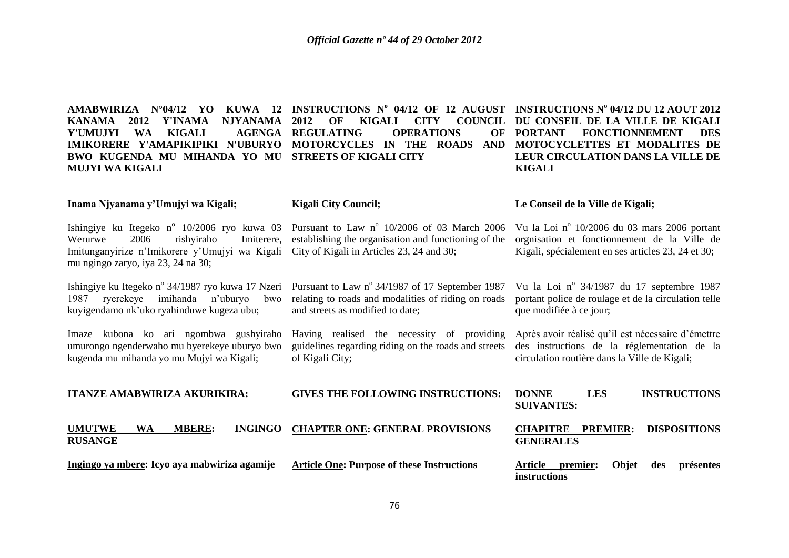**AMABWIRIZA N°04/12 YO KUWA 12 INSTRUCTIONS N<sup>o</sup> 04/12 OF 12 AUGUST INSTRUCTIONS N<sup>o</sup> 04/12 DU 12 AOUT 2012 KANAMA 2012 Y'INAMA NJYANAMA Y'UMUJYI WA KIGALI IMIKORERE Y'AMAPIKIPIKI N'UBURYO MOTORCYCLES IN THE ROADS AND MOTOCYCLETTES ET MODALITES DE BWO KUGENDA MU MIHANDA YO MU STREETS OF KIGALI CITY MUJYI WA KIGALI 2012 OF KIGALI CITY COUNCIL DU CONSEIL DE LA VILLE DE KIGALI AGENGA REGULATING OPERATIONS PORTANT FONCTIONNEMENT DES LEUR CIRCULATION DANS LA VILLE DE KIGALI** 

#### **Inama Njyanama y'Umujyi wa Kigali; Kigali City Council; Le Conseil de la Ville de Kigali;** Vu la Loi nº 10/2006 du 03 mars 2006 portant

Ishingiye ku Itegeko nº 10/2006 ryo kuwa 03 Pursuant to Law nº 10/2006 of 03 March 2006 Werurwe 2006 rishyiraho Imiterere, establishing the organisation and functioning of the Imitunganyirize n"Imikorere y"Umujyi wa Kigali City of Kigali in Articles 23, 24 and 30; mu ngingo zaryo, iya 23, 24 na 30;

Ishingiye ku Itegeko n<sup>o</sup> 34/1987 ryo kuwa 17 Nzeri Pursuant to Law n<sup>o</sup> 34/1987 of 17 September 1987 1987 ryerekeye imihanda n"uburyo bwo kuyigendamo nk"uko ryahinduwe kugeza ubu;

Imaze kubona ko ari ngombwa gushyiraho umurongo ngenderwaho mu byerekeye uburyo bwo kugenda mu mihanda yo mu Mujyi wa Kigali;

**ITANZE AMABWIRIZA AKURIKIRA:**

relating to roads and modalities of riding on roads and streets as modified to date;

Having realised the necessity of providing guidelines regarding riding on the roads and streets of Kigali City;

Vu la Loi nº 34/1987 du 17 septembre 1987 portant police de roulage et de la circulation telle que modifiée à ce jour;

orgnisation et fonctionnement de la Ville de Kigali, spécialement en ses articles 23, 24 et 30;

Après avoir réalisé qu"il est nécessaire d"émettre des instructions de la réglementation de la circulation routière dans la Ville de Kigali;

**DONNE LES INSTRUCTIONS** 

| <b>TIANZE AMABWIRIZA AKURIKIRA:</b>                           | GIVES THE FOLLOWING INSTRUCTIONS:                 | DUNNE<br>LES<br><b>INSTRUCTIONS</b><br><b>SUIVANTES:</b>                       |
|---------------------------------------------------------------|---------------------------------------------------|--------------------------------------------------------------------------------|
| <b>UMUTWE</b><br><b>WA</b><br><b>MBERE:</b><br><b>RUSANGE</b> | INGINGO CHAPTER ONE: GENERAL PROVISIONS           | <b>DISPOSITIONS</b><br><b>PREMIER:</b><br><b>CHAPITRE</b><br><b>GENERALES</b>  |
| Ingingo ya mbere: Icyo aya mabwiriza agamije                  | <b>Article One: Purpose of these Instructions</b> | <b>Objet</b><br>Article<br>présentes<br>premier:<br>des<br><i>instructions</i> |

**GIVES THE FOLLOWING INSTRUCTIONS:**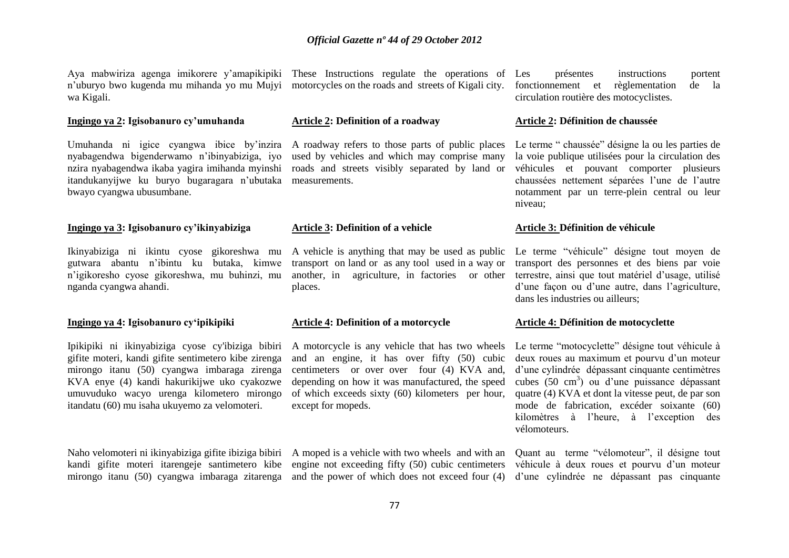Aya mabwiriza agenga imikorere y"amapikipiki These Instructions regulate the operations of wa Kigali.

#### **Ingingo ya 2: Igisobanuro cy'umuhanda**

Umuhanda ni igice cyangwa ibice by"inzira nyabagendwa bigenderwamo n"ibinyabiziga, iyo nzira nyabagendwa ikaba yagira imihanda myinshi itandukanyijwe ku buryo bugaragara n"ubutaka bwayo cyangwa ubusumbane.

#### **Ingingo ya 3: Igisobanuro cy'ikinyabiziga**

Ikinyabiziga ni ikintu cyose gikoreshwa mu gutwara abantu n"ibintu ku butaka, kimwe nganda cyangwa ahandi.

#### **Ingingo ya 4: Igisobanuro cy'ipikipiki**

Ipikipiki ni ikinyabiziga cyose cy'ibiziga bibiri A motorcycle is any vehicle that has two wheels gifite moteri, kandi gifite sentimetero kibe zirenga mirongo itanu (50) cyangwa imbaraga zirenga KVA enye (4) kandi hakurikijwe uko cyakozwe umuvuduko wacyo urenga kilometero mirongo itandatu (60) mu isaha ukuyemo za velomoteri.

Naho velomoteri ni ikinyabiziga gifite ibiziga bibiri A moped is a vehicle with two wheels and with an

n'uburyo bwo kugenda mu mihanda yo mu Mujyi motorcycles on the roads and streets of Kigali city.

#### **Article 2: Definition of a roadway**

A roadway refers to those parts of public places used by vehicles and which may comprise many roads and streets visibly separated by land or measurements.

#### **Article 3: Definition of a vehicle**

n"igikoresho cyose gikoreshwa, mu buhinzi, mu another, in agriculture, in factories or other A vehicle is anything that may be used as public transport on land or as any tool used in a way or places.

#### **Article 4: Definition of a motorcycle**

and an engine, it has over fifty (50) cubic centimeters or over over four (4) KVA and, depending on how it was manufactured, the speed of which exceeds sixty (60) kilometers per hour, except for mopeds.

kandi gifite moteri itarengeje santimetero kibe engine not exceeding fifty (50) cubic centimeters

présentes instructions portent fonctionnement et règlementation de la circulation routière des motocyclistes.

#### **Article 2: Définition de chaussée**

Le terme " chaussée" désigne la ou les parties de la voie publique utilisées pour la circulation des véhicules et pouvant comporter plusieurs chaussées nettement séparées l"une de l"autre notamment par un terre-plein central ou leur niveau;

#### **Article 3: Définition de véhicule**

Le terme "véhicule" désigne tout moyen de transport des personnes et des biens par voie terrestre, ainsi que tout matériel d"usage, utilisé d"une façon ou d"une autre, dans l"agriculture, dans les industries ou ailleurs;

#### **Article 4: Définition de motocyclette**

Le terme "motocyclette" désigne tout véhicule à deux roues au maximum et pourvu d'un moteur d'une cylindrée dépassant cinquante centimètres cubes (50 cm<sup>3</sup>) ou d'une puissance dépassant quatre (4) KVA et dont la vitesse peut, de par son mode de fabrication, excéder soixante (60) kilomètres à l"heure, à l"exception des vélomoteurs.

mirongo itanu (50) cyangwa imbaraga zitarenga and the power of which does not exceed four (4) d'une cylindrée ne dépassant pas cinquante Quant au terme "vélomoteur", il désigne tout véhicule à deux roues et pourvu d'un moteur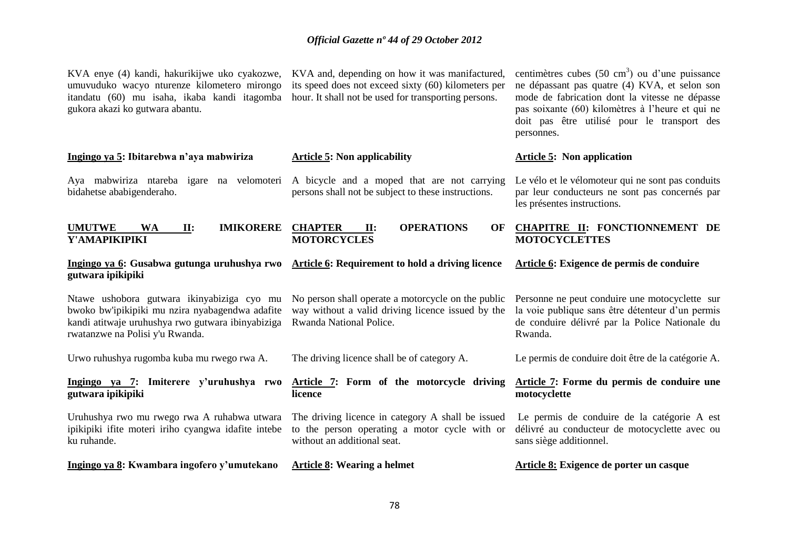| KVA enye (4) kandi, hakurikijwe uko cyakozwe,<br>umuvuduko wacyo nturenze kilometero mirongo<br>itandatu (60) mu isaha, ikaba kandi itagomba<br>gukora akazi ko gutwara abantu.       | KVA and, depending on how it was manifactured,<br>its speed does not exceed sixty (60) kilometers per<br>hour. It shall not be used for transporting persons. | centimètres cubes $(50 \text{ cm}^3)$ ou d'une puissance<br>ne dépassant pas quatre (4) KVA, et selon son<br>mode de fabrication dont la vitesse ne dépasse<br>pas soixante (60) kilomètres à l'heure et qui ne<br>doit pas être utilisé pour le transport des<br>personnes. |
|---------------------------------------------------------------------------------------------------------------------------------------------------------------------------------------|---------------------------------------------------------------------------------------------------------------------------------------------------------------|------------------------------------------------------------------------------------------------------------------------------------------------------------------------------------------------------------------------------------------------------------------------------|
| Ingingo ya 5: Ibitarebwa n'aya mabwiriza                                                                                                                                              | <b>Article 5: Non applicability</b>                                                                                                                           | <b>Article 5:</b> Non application                                                                                                                                                                                                                                            |
| Aya mabwiriza ntareba igare na velomoteri<br>bidahetse ababigenderaho.                                                                                                                | A bicycle and a moped that are not carrying<br>persons shall not be subject to these instructions.                                                            | Le vélo et le vélomoteur qui ne sont pas conduits<br>par leur conducteurs ne sont pas concernés par<br>les présentes instructions.                                                                                                                                           |
| <b>IMIKORERE</b><br><b>UMUTWE</b><br><b>WA</b><br>II:<br>Y'AMAPIKIPIKI                                                                                                                | <b>OPERATIONS</b><br><b>CHAPTER</b><br>II:<br>OF<br><b>MOTORCYCLES</b>                                                                                        | CHAPITRE II: FONCTIONNEMENT DE<br><b>MOTOCYCLETTES</b>                                                                                                                                                                                                                       |
| Ingingo ya 6: Gusabwa gutunga uruhushya rwo<br>gutwara ipikipiki                                                                                                                      | Article 6: Requirement to hold a driving licence                                                                                                              | Article 6: Exigence de permis de conduire                                                                                                                                                                                                                                    |
| Ntawe ushobora gutwara ikinyabiziga cyo mu<br>bwoko bw'ipikipiki mu nzira nyabagendwa adafite<br>kandi atitwaje uruhushya rwo gutwara ibinyabiziga<br>rwatanzwe na Polisi y'u Rwanda. | No person shall operate a motorcycle on the public<br>way without a valid driving licence issued by the<br>Rwanda National Police.                            | Personne ne peut conduire une motocyclette sur<br>la voie publique sans être détenteur d'un permis<br>de conduire délivré par la Police Nationale du<br>Rwanda.                                                                                                              |
| Urwo ruhushya rugomba kuba mu rwego rwa A.                                                                                                                                            | The driving licence shall be of category A.                                                                                                                   | Le permis de conduire doit être de la catégorie A.                                                                                                                                                                                                                           |
| Ingingo ya 7: Imiterere y'uruhushya rwo<br>gutwara ipikipiki                                                                                                                          | Article 7: Form of the motorcycle driving<br>licence                                                                                                          | Article 7: Forme du permis de conduire une<br>motocyclette                                                                                                                                                                                                                   |
| Uruhushya rwo mu rwego rwa A ruhabwa utwara<br>ipikipiki ifite moteri iriho cyangwa idafite intebe<br>ku ruhande.                                                                     | The driving licence in category A shall be issued<br>to the person operating a motor cycle with or<br>without an additional seat.                             | Le permis de conduire de la catégorie A est<br>délivré au conducteur de motocyclette avec ou<br>sans siège additionnel.                                                                                                                                                      |
| Ingingo ya 8: Kwambara ingofero y'umutekano                                                                                                                                           | <b>Article 8: Wearing a helmet</b>                                                                                                                            | Article 8: Exigence de porter un casque                                                                                                                                                                                                                                      |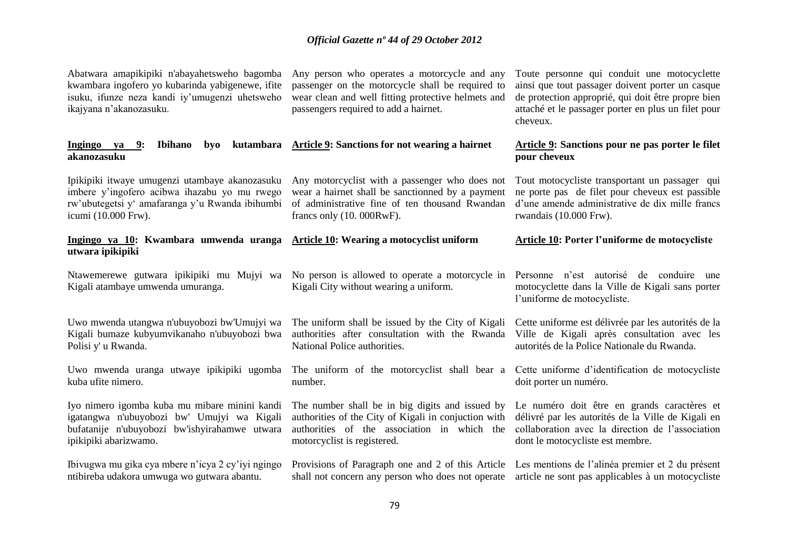| Abatwara amapikipiki n'abayahetsweho bagomba<br>kwambara ingofero yo kubarinda yabigenewe, ifite<br>isuku, ifunze neza kandi iy'umugenzi uhetsweho<br>ikajyana n'akanozasuku. | Any person who operates a motorcycle and any<br>passenger on the motorcycle shall be required to<br>wear clean and well fitting protective helmets and<br>passengers required to add a hairnet. | Toute personne qui conduit une motocyclette<br>ainsi que tout passager doivent porter un casque<br>de protection approprié, qui doit être propre bien<br>attaché et le passager porter en plus un filet pour<br>cheveux. |
|-------------------------------------------------------------------------------------------------------------------------------------------------------------------------------|-------------------------------------------------------------------------------------------------------------------------------------------------------------------------------------------------|--------------------------------------------------------------------------------------------------------------------------------------------------------------------------------------------------------------------------|
| Ingingo ya 9:<br>Ibihano<br>byo<br>akanozasuku                                                                                                                                | kutambara Article 9: Sanctions for not wearing a hairnet                                                                                                                                        | Article 9: Sanctions pour ne pas porter le filet<br>pour cheveux                                                                                                                                                         |
| Ipikipiki itwaye umugenzi utambaye akanozasuku                                                                                                                                | Any motorcyclist with a passenger who does not                                                                                                                                                  | Tout motocycliste transportant un passager qui                                                                                                                                                                           |
| imbere y'ingofero acibwa ihazabu yo mu rwego                                                                                                                                  | wear a hairnet shall be sanctionned by a payment                                                                                                                                                | ne porte pas de filet pour cheveux est passible                                                                                                                                                                          |
| rw'ubutegetsi y' amafaranga y'u Rwanda ibihumbi                                                                                                                               | of administrative fine of ten thousand Rwandan                                                                                                                                                  | d'une amende administrative de dix mille francs                                                                                                                                                                          |
| icumi (10.000 Frw).                                                                                                                                                           | francs only (10. 000RwF).                                                                                                                                                                       | rwandais (10.000 Frw).                                                                                                                                                                                                   |
| Ingingo ya 10: Kwambara umwenda uranga<br>utwara ipikipiki                                                                                                                    | <b>Article 10: Wearing a motocyclist uniform</b>                                                                                                                                                | <b>Article 10: Porter l'uniforme de motocycliste</b>                                                                                                                                                                     |
| Ntawemerewe gutwara ipikipiki mu Mujyi wa<br>Kigali atambaye umwenda umuranga.                                                                                                | No person is allowed to operate a motorcycle in<br>Kigali City without wearing a uniform.                                                                                                       | Personne n'est autorisé de conduire une<br>motocyclette dans la Ville de Kigali sans porter<br>l'uniforme de motocycliste.                                                                                               |
| Uwo mwenda utangwa n'ubuyobozi bw'Umujyi wa                                                                                                                                   | The uniform shall be issued by the City of Kigali                                                                                                                                               | Cette uniforme est délivrée par les autorités de la                                                                                                                                                                      |
| Kigali bumaze kubyumvikanaho n'ubuyobozi bwa                                                                                                                                  | authorities after consultation with the Rwanda                                                                                                                                                  | Ville de Kigali après consultation avec les                                                                                                                                                                              |
| Polisi y' u Rwanda.                                                                                                                                                           | National Police authorities.                                                                                                                                                                    | autorités de la Police Nationale du Rwanda.                                                                                                                                                                              |
| Uwo mwenda uranga utwaye ipikipiki ugomba                                                                                                                                     | The uniform of the motorcyclist shall bear a                                                                                                                                                    | Cette uniforme d'identification de motocycliste                                                                                                                                                                          |
| kuba ufite nimero.                                                                                                                                                            | number.                                                                                                                                                                                         | doit porter un numéro.                                                                                                                                                                                                   |
| Iyo nimero igomba kuba mu mibare minini kandi                                                                                                                                 | The number shall be in big digits and issued by                                                                                                                                                 | Le numéro doit être en grands caractères et                                                                                                                                                                              |
| igatangwa n'ubuyobozi bw' Umujyi wa Kigali                                                                                                                                    | authorities of the City of Kigali in conjuction with                                                                                                                                            | délivré par les autorités de la Ville de Kigali en                                                                                                                                                                       |
| bufatanije n'ubuyobozi bw'ishyirahamwe utwara                                                                                                                                 | authorities of the association in which the                                                                                                                                                     | collaboration avec la direction de l'association                                                                                                                                                                         |
| ipikipiki abarizwamo.                                                                                                                                                         | motorcyclist is registered.                                                                                                                                                                     | dont le motocycliste est membre.                                                                                                                                                                                         |
| Ibivugwa mu gika cya mbere n'icya 2 cy'iyi ngingo                                                                                                                             | Provisions of Paragraph one and 2 of this Article                                                                                                                                               | Les mentions de l'alinéa premier et 2 du présent                                                                                                                                                                         |
| ntibireba udakora umwuga wo gutwara abantu.                                                                                                                                   | shall not concern any person who does not operate                                                                                                                                               | article ne sont pas applicables à un motocycliste                                                                                                                                                                        |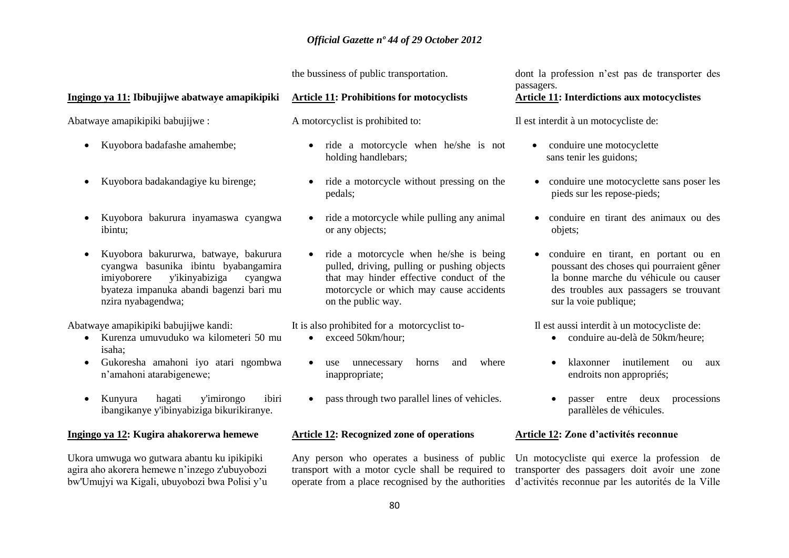the bussiness of public transportation.

#### **Ingingo ya 11: Ibibujijwe abatwaye amapikipiki**

Abatwaye amapikipiki babujijwe :

- Kuyobora badafashe amahembe:
- Kuyobora badakandagiye ku birenge;
- Kuyobora bakurura inyamaswa cyangwa ibintu;
- Kuyobora bakururwa, batwaye, bakurura cyangwa basunika ibintu byabangamira imiyoborere y'ikinyabiziga cyangwa byateza impanuka abandi bagenzi bari mu nzira nyabagendwa;

Abatwaye amapikipiki babujijwe kandi:

- Kurenza umuvuduko wa kilometeri 50 mu isaha;
- Gukoresha amahoni iyo atari ngombwa n"amahoni atarabigenewe;
- Kunyura hagati y'imirongo ibiri ibangikanye y'ibinyabiziga bikurikiranye.

#### **Ingingo ya 12: Kugira ahakorerwa hemewe**

Ukora umwuga wo gutwara abantu ku ipikipiki agira aho akorera hemewe n"inzego z'ubuyobozi bw'Umujyi wa Kigali, ubuyobozi bwa Polisi y"u

#### **Article 11: Prohibitions for motocyclists**

A motorcyclist is prohibited to:

- ride a motorcycle when he/she is not holding handlebars;
- ride a motorcycle without pressing on the pedals;
- ride a motorcycle while pulling any animal or any objects;
- ride a motorcycle when he/she is being pulled, driving, pulling or pushing objects that may hinder effective conduct of the motorcycle or which may cause accidents on the public way.

It is also prohibited for a motorcyclist to-

- exceed 50km/hour:
- use unnecessary horns and where inappropriate;
- pass through two parallel lines of vehicles.

#### **Article 12: Recognized zone of operations**

Any person who operates a business of public transport with a motor cycle shall be required to operate from a place recognised by the authorities dont la profession n"est pas de transporter des passagers.

## **Article 11: Interdictions aux motocyclistes**

Il est interdit à un motocycliste de:

- conduire une motocyclette sans tenir les guidons;
- conduire une motocyclette sans poser les pieds sur les repose-pieds;
- conduire en tirant des animaux ou des objets;
- conduire en tirant, en portant ou en poussant des choses qui pourraient gêner la bonne marche du véhicule ou causer des troubles aux passagers se trouvant sur la voie publique;

Il est aussi interdit à un motocycliste de:

- conduire au-delà de 50 km/heure:
- klaxonner inutilement ou aux endroits non appropriés;
- passer entre deux processions parallèles de véhicules.

#### **Article 12: Zone d'activités reconnue**

Un motocycliste qui exerce la profession de transporter des passagers doit avoir une zone d"activités reconnue par les autorités de la Ville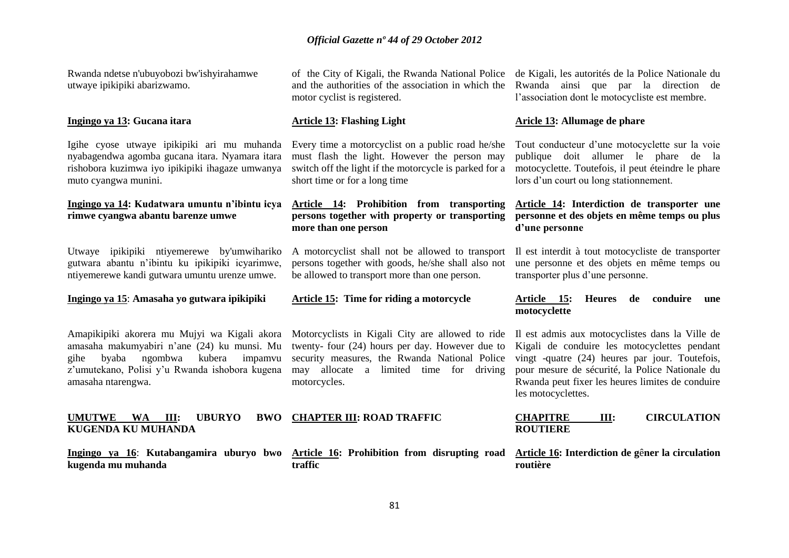Rwanda ndetse n'ubuyobozi bw'ishyirahamwe utwaye ipikipiki abarizwamo.

#### **Ingingo ya 13: Gucana itara**

Igihe cyose utwaye ipikipiki ari mu muhanda nyabagendwa agomba gucana itara. Nyamara itara rishobora kuzimwa iyo ipikipiki ihagaze umwanya muto cyangwa munini.

#### **Ingingo ya 14: Kudatwara umuntu n'ibintu icya rimwe cyangwa abantu barenze umwe**

Utwaye ipikipiki ntiyemerewe by'umwihariko gutwara abantu n"ibintu ku ipikipiki icyarimwe, ntiyemerewe kandi gutwara umuntu urenze umwe.

**Ingingo ya 15**: **Amasaha yo gutwara ipikipiki**

Amapikipiki akorera mu Mujyi wa Kigali akora amasaha makumyabiri n"ane (24) ku munsi. Mu gihe byaba ngombwa kubera impamvu z"umutekano, Polisi y"u Rwanda ishobora kugena amasaha ntarengwa.

#### UMUTWE WA III: UBURYO **KUGENDA KU MUHANDA CHAPTER III: ROAD TRAFFIC**

**kugenda mu muhanda**

and the authorities of the association in which the motor cyclist is registered.

#### **Article 13: Flashing Light**

Every time a motorcyclist on a public road he/she must flash the light. However the person may switch off the light if the motorcycle is parked for a short time or for a long time

### **Article 14: Prohibition from transporting persons together with property or transporting more than one person**

A motorcyclist shall not be allowed to transport persons together with goods, he/she shall also not be allowed to transport more than one person.

#### **Article 15: Time for riding a motorcycle**

Motorcyclists in Kigali City are allowed to ride twenty- four (24) hours per day. However due to security measures, the Rwanda National Police may allocate a limited time for driving motorcycles.

Ingingo ya 16: Kutabangamira uburyo bwo Article 16: Prohibition from disrupting road Article 16: Interdiction de gêner la circulation **traffic**

of the City of Kigali, the Rwanda National Police de Kigali, les autorités de la Police Nationale du Rwanda ainsi que par la direction de l"association dont le motocycliste est membre.

#### **Aricle 13: Allumage de phare**

Tout conducteur d"une motocyclette sur la voie publique doit allumer le phare de la motocyclette. Toutefois, il peut éteindre le phare lors d'un court ou long stationnement.

## **Article 14: Interdiction de transporter une personne et des objets en même temps ou plus d'une personne**

Il est interdit à tout motocycliste de transporter une personne et des objets en même temps ou transporter plus d"une personne.

#### **Article 15: Heures de conduire une motocyclette**

Il est admis aux motocyclistes dans la Ville de Kigali de conduire les motocyclettes pendant vingt -quatre (24) heures par jour. Toutefois, pour mesure de sécurité, la Police Nationale du Rwanda peut fixer les heures limites de conduire les motocyclettes.

| <b>CHAPITRE</b> | Ш: | <b>CIRCULATION</b> |
|-----------------|----|--------------------|
| <b>ROUTIERE</b> |    |                    |

**routière**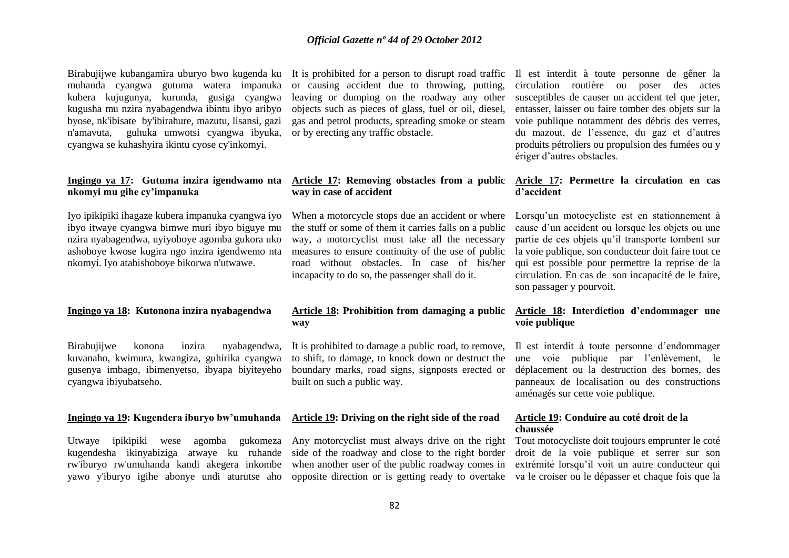Birabujijwe kubangamira uburyo bwo kugenda ku muhanda cyangwa gutuma watera impanuka kubera kujugunya, kurunda, gusiga cyangwa kugusha mu nzira nyabagendwa ibintu ibyo aribyo byose, nk'ibisate by'ibirahure, mazutu, lisansi, gazi n'amavuta, guhuka umwotsi cyangwa ibyuka, cyangwa se kuhashyira ikintu cyose cy'inkomyi.

#### **Ingingo ya 17: Gutuma inzira igendwamo nta nkomyi mu gihe cy'impanuka**

Iyo ipikipiki ihagaze kubera impanuka cyangwa iyo ibyo itwaye cyangwa bimwe muri ibyo biguye mu nzira nyabagendwa, uyiyoboye agomba gukora uko ashoboye kwose kugira ngo inzira igendwemo nta nkomyi. Iyo atabishoboye bikorwa n'utwawe.

#### **Ingingo ya 18: Kutonona inzira nyabagendwa**

Birabujijwe konona inzira nyabagendwa, kuvanaho, kwimura, kwangiza, guhirika cyangwa gusenya imbago, ibimenyetso, ibyapa biyiteyeho cyangwa ibiyubatseho.

#### **Ingingo ya 19: Kugendera iburyo bw'umuhanda**

Utwaye ipikipiki wese agomba gukomeza kugendesha ikinyabiziga atwaye ku ruhande rw'iburyo rw'umuhanda kandi akegera inkombe yawo y'iburyo igihe abonye undi aturutse aho

It is prohibited for a person to disrupt road traffic or causing accident due to throwing, putting, leaving or dumping on the roadway any other objects such as pieces of glass, fuel or oil, diesel, gas and petrol products, spreading smoke or steam or by erecting any traffic obstacle.

## **Article 17: Removing obstacles from a public way in case of accident**

When a motorcycle stops due an accident or where the stuff or some of them it carries falls on a public way, a motorcyclist must take all the necessary measures to ensure continuity of the use of public road without obstacles. In case of his/her incapacity to do so, the passenger shall do it.

#### **Article 18: Prohibition from damaging a public way**

It is prohibited to damage a public road, to remove, to shift, to damage, to knock down or destruct the boundary marks, road signs, signposts erected or built on such a public way.

#### **Article 19: Driving on the right side of the road**

Any motorcyclist must always drive on the right side of the roadway and close to the right border when another user of the public roadway comes in opposite direction or is getting ready to overtake

Il est interdit à toute personne de gêner la circulation routière ou poser des actes susceptibles de causer un accident tel que jeter, entasser, laisser ou faire tomber des objets sur la voie publique notamment des débris des verres, du mazout, de l"essence, du gaz et d"autres produits pétroliers ou propulsion des fumées ou y ériger d"autres obstacles.

#### **Aricle 17: Permettre la circulation en cas d'accident**

Lorsqu"un motocycliste est en stationnement à cause d"un accident ou lorsque les objets ou une partie de ces objets qu"il transporte tombent sur la voie publique, son conducteur doit faire tout ce qui est possible pour permettre la reprise de la circulation. En cas de son incapacité de le faire, son passager y pourvoit.

#### **Article 18: Interdiction d'endommager une voie publique**

Il est interdit à toute personne d"endommager une voie publique par l"enlèvement, le déplacement ou la destruction des bornes, des panneaux de localisation ou des constructions aménagés sur cette voie publique.

#### **Article 19: Conduire au coté droit de la chaussée**

Tout motocycliste doit toujours emprunter le coté droit de la voie publique et serrer sur son extrémité lorsqu"il voit un autre conducteur qui va le croiser ou le dépasser et chaque fois que la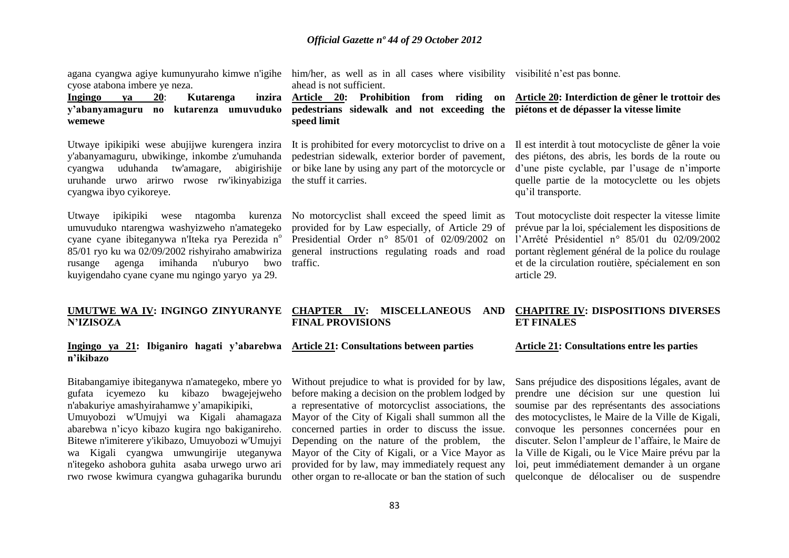cyose atabona imbere ye neza.

#### **Ingingo ya 20: Kutarenga y'abanyamaguru no kutarenza umuvuduko wemewe**

Utwaye ipikipiki wese abujijwe kurengera inzira y'abanyamaguru, ubwikinge, inkombe z'umuhanda cyangwa uduhanda tw'amagare, abigirishije uruhande urwo arirwo rwose rw'ikinyabiziga cyangwa ibyo cyikoreye.

Utwaye ipikipiki wese ntagomba kurenza No motorcyclist shall exceed the speed limit as umuvuduko ntarengwa washyizweho n'amategeko cyane cyane ibiteganywa n'Iteka rya Perezida n<sup>o</sup> 85/01 ryo ku wa 02/09/2002 rishyiraho amabwiriza rusange agenga imihanda n'uburyo bwo kuyigendaho cyane cyane mu ngingo yaryo ya 29.

agana cyangwa agiye kumunyuraho kimwe n'igihe him/her, as well as in all cases where visibility visibilité n'est pas bonne. ahead is not sufficient.

> **Article 20: Prohibition from riding on pedestrians sidewalk and not exceeding the piétons et de dépasser la vitesse limite speed limit**

It is prohibited for every motorcyclist to drive on a pedestrian sidewalk, exterior border of pavement, or bike lane by using any part of the motorcycle or the stuff it carries.

provided for by Law especially, of Article 29 of Presidential Order n*°* 85/01 of 02/09/2002 on general instructions regulating roads and road traffic.

# **Article 20: Interdiction de gêner le trottoir des**

Il est interdit à tout motocycliste de gêner la voie des piétons, des abris, les bords de la route ou d"une piste cyclable, par l"usage de n"importe quelle partie de la motocyclette ou les objets qu"il transporte.

Tout motocycliste doit respecter la vitesse limite prévue par la loi, spécialement les dispositions de l"Arrêté Présidentiel n*°* 85/01 du 02/09/2002 portant règlement général de la police du roulage et de la circulation routière, spécialement en son article 29.

#### **UMUTWE WA IV: INGINGO ZINYURANYE N'IZISOZA CHAPTER IV: MISCELLANEOUS AND FINAL PROVISIONS ET FINALES**

#### **Ingingo ya 21: Ibiganiro hagati y'abarebwa Article 21: Consultations between parties n'ikibazo**

Bitabangamiye ibiteganywa n'amategeko, mbere yo gufata icyemezo ku kibazo bwagejejweho n'abakuriye amashyirahamwe y"amapikipiki, Umuyobozi w'Umujyi wa Kigali ahamagaza abarebwa n"icyo kibazo kugira ngo bakiganireho. Bitewe n'imiterere y'ikibazo, Umuyobozi w'Umujyi wa Kigali cyangwa umwungirije uteganywa n'itegeko ashobora guhita asaba urwego urwo ari rwo rwose kwimura cyangwa guhagarika burundu other organ to re-allocate or ban the station of such

Without prejudice to what is provided for by law, before making a decision on the problem lodged by a representative of motorcyclist associations, the Mayor of the City of Kigali shall summon all the concerned parties in order to discuss the issue. Depending on the nature of the problem, the Mayor of the City of Kigali, or a Vice Mayor as provided for by law, may immediately request any

# **CHAPITRE IV: DISPOSITIONS DIVERSES**

#### **Article 21: Consultations entre les parties**

Sans préjudice des dispositions légales, avant de prendre une décision sur une question lui soumise par des représentants des associations des motocyclistes, le Maire de la Ville de Kigali, convoque les personnes concernées pour en discuter. Selon l"ampleur de l"affaire, le Maire de la Ville de Kigali, ou le Vice Maire prévu par la loi, peut immédiatement demander à un organe quelconque de délocaliser ou de suspendre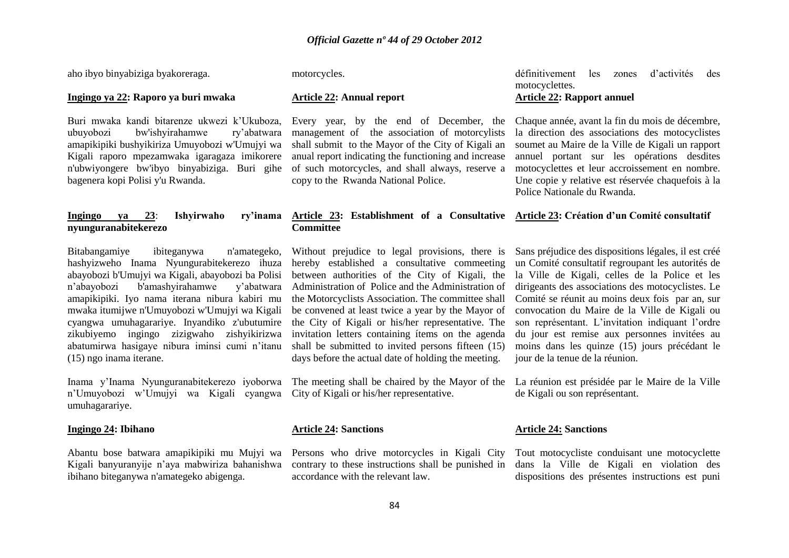aho ibyo binyabiziga byakoreraga.

#### **Ingingo ya 22: Raporo ya buri mwaka**

Buri mwaka kandi bitarenze ukwezi k"Ukuboza, ubuyobozi bw'ishyirahamwe ry"abatwara amapikipiki bushyikiriza Umuyobozi w'Umujyi wa Kigali raporo mpezamwaka igaragaza imikorere n'ubwiyongere bw'ibyo binyabiziga. Buri gihe bagenera kopi Polisi y'u Rwanda.

#### **Ingingo ya 23: Ishyirwaho nyunguranabitekerezo**

Bitabangamiye ibiteganywa n'amategeko, hashyizweho Inama Nyungurabitekerezo ihuza abayobozi b'Umujyi wa Kigali, abayobozi ba Polisi n"abayobozi b'amashyirahamwe y"abatwara amapikipiki. Iyo nama iterana nibura kabiri mu mwaka itumijwe n'Umuyobozi w'Umujyi wa Kigali cyangwa umuhagarariye. Inyandiko z'ubutumire zikubiyemo ingingo zizigwaho zishyikirizwa abatumirwa hasigaye nibura iminsi cumi n"itanu (15) ngo inama iterane.

Inama y"Inama Nyunguranabitekerezo iyoborwa The meeting shall be chaired by the Mayor of the La réunion est présidée par le Maire de la Ville n"Umuyobozi w"Umujyi wa Kigali cyangwa City of Kigali or his/her representative. umuhagarariye.

#### **Ingingo 24: Ibihano**

Abantu bose batwara amapikipiki mu Mujyi wa Kigali banyuranyije n"aya mabwiriza bahanishwa ibihano biteganywa n'amategeko abigenga.

motorcycles.

#### **Article 22: Annual report**

Every year, by the end of December, the management of the association of motorcylists shall submit to the Mayor of the City of Kigali an anual report indicating the functioning and increase of such motorcycles, and shall always, reserve a copy to the Rwanda National Police.

#### **Article 23: Establishment of a Consultative Article 23: Création d'un Comité consultatif Committee**

Without prejudice to legal provisions, there is hereby established a consultative commeeting between authorities of the City of Kigali, the Administration of Police and the Administration of the Motorcyclists Association. The committee shall be convened at least twice a year by the Mayor of the City of Kigali or his/her representative. The invitation letters containing ítems on the agenda shall be submitted to invited persons fifteen (15) days before the actual date of holding the meeting.

#### **Article 24: Sanctions**

Persons who drive motorcycles in Kigali City contrary to these instructions shall be punished in accordance with the relevant law.

définitivement les zones d"activités des motocyclettes. **Article 22: Rapport annuel**

Chaque année, avant la fin du mois de décembre, la direction des associations des motocyclistes soumet au Maire de la Ville de Kigali un rapport annuel portant sur les opérations desdites motocyclettes et leur accroissement en nombre. Une copie y relative est réservée chaquefois à la Police Nationale du Rwanda.

Sans préjudice des dispositions légales, il est créé un Comité consultatif regroupant les autorités de la Ville de Kigali, celles de la Police et les dirigeants des associations des motocyclistes. Le Comité se réunit au moins deux fois par an, sur convocation du Maire de la Ville de Kigali ou son représentant. L"invitation indiquant l"ordre du jour est remise aux personnes invitées au moins dans les quinze (15) jours précédant le jour de la tenue de la réunion.

de Kigali ou son représentant.

#### **Article 24: Sanctions**

Tout motocycliste conduisant une motocyclette dans la Ville de Kigali en violation des dispositions des présentes instructions est puni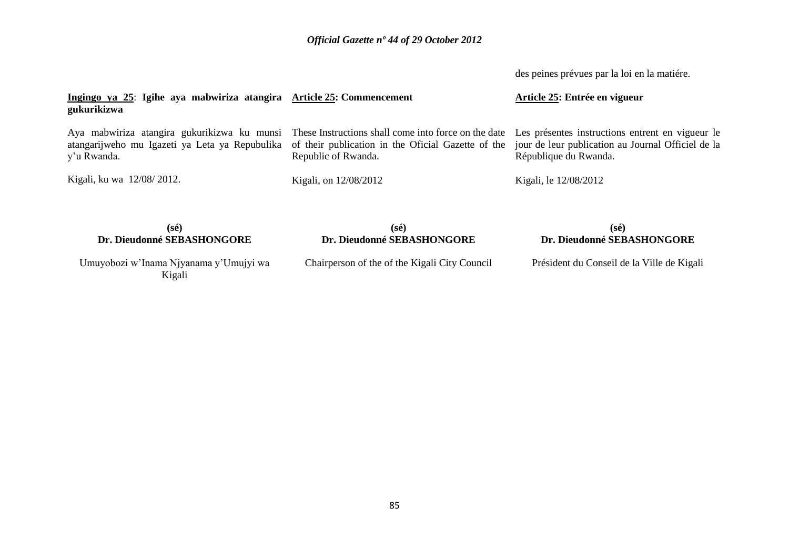des peines prévues par la loi en la matiére.

| Ingingo ya 25: Igihe aya mabwiriza atangira Article 25: Commencement<br>gukurikizwa |                                                                                                                                                                                                                                                                               | Article 25: Entrée en vigueur                                               |
|-------------------------------------------------------------------------------------|-------------------------------------------------------------------------------------------------------------------------------------------------------------------------------------------------------------------------------------------------------------------------------|-----------------------------------------------------------------------------|
| y'u Rwanda.                                                                         | Aya mabwiriza atangira gukurikizwa ku munsi These Instructions shall come into force on the date Les présentes instructions entrent en vigueur le<br>atangarijweho mu Igazeti ya Leta ya Repubulika of their publication in the Oficial Gazette of the<br>Republic of Rwanda. | jour de leur publication au Journal Officiel de la<br>République du Rwanda. |
| Kigali, ku wa 12/08/2012.                                                           | Kigali, on 12/08/2012                                                                                                                                                                                                                                                         | Kigali, le 12/08/2012                                                       |
| (25)                                                                                | (A <sub>2</sub> )                                                                                                                                                                                                                                                             | (a <sub>0</sub> )                                                           |

| Dr. Dieudonné SEBASHONGORE                    | t se<br>Dr. Dieudonné SEBASHONGORE         |  |
|-----------------------------------------------|--------------------------------------------|--|
| Chairperson of the of the Kigali City Council | Président du Conseil de la Ville de Kigali |  |
|                                               |                                            |  |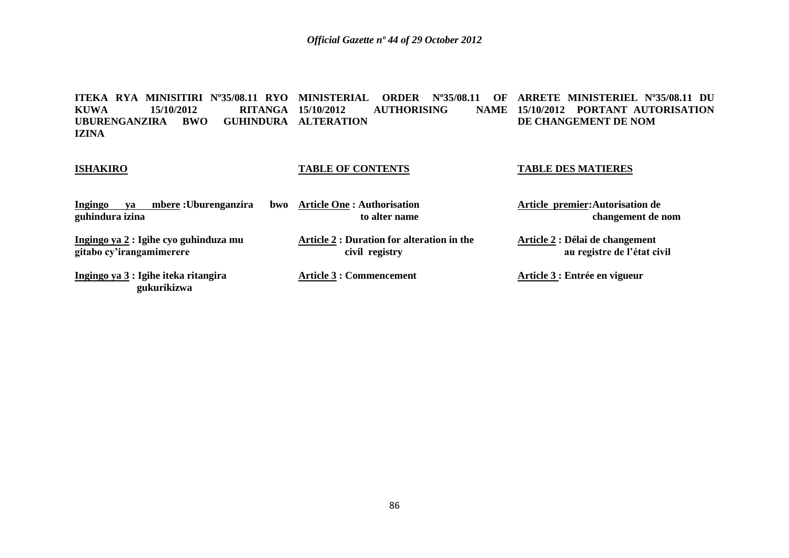**ITEKA RYA MINISITIRI Nº35/08.11 RYO MINISTERIAL ORDER Nº35/08.11 OF ARRETE MINISTERIEL Nº35/08.11 DU KUWA 15/10/2012 RITANGA UBURENGANZIRA BWO GUHINDURA ALTERATION IZINA AUTHORISING 15/10/2012 PORTANT AUTORISATION DE CHANGEMENT DE NOM**

#### **ISHAKIRO**

## **TABLE OF CONTENTS**

**TABLE DES MATIERES** 

| mbere : Uburenganzira<br>Ingingo<br>va<br>guhindura izina         | bwo Article One : Authorisation<br>to alter name                    | Article premier: Autorisation de<br>changement de nom          |
|-------------------------------------------------------------------|---------------------------------------------------------------------|----------------------------------------------------------------|
| Ingingo ya 2 : Igihe cyo guhinduza mu<br>gitabo cy'irangamimerere | <b>Article 2 : Duration for alteration in the</b><br>civil registry | Article 2 : Délai de changement<br>au registre de l'état civil |
| Ingingo ya 3 : Igihe iteka ritangira<br>gukurikizwa               | <b>Article 3 : Commencement</b>                                     | Article 3 : Entrée en vigueur                                  |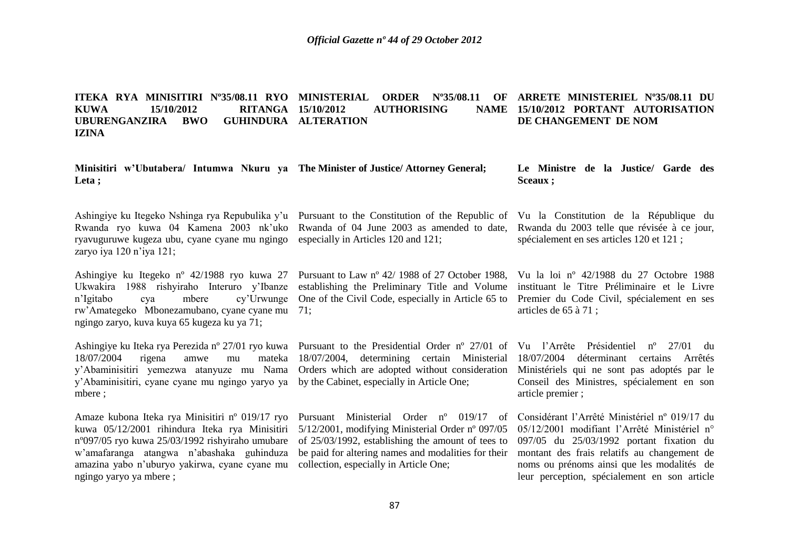#### **ITEKA RYA MINISITIRI Nº35/08.11 RYO MINISTERIAL ORDER Nº35/08.11 OF ARRETE MINISTERIEL Nº35/08.11 DU KUWA 15/10/2012 RITANGA**  UBURENGANZIRA BWO **IZINA AUTHORISING GUHINDURA ALTERATION 15/10/2012 PORTANT AUTORISATION DE CHANGEMENT DE NOM**

**Minisitiri w'Ubutabera/ Intumwa Nkuru ya The Minister of Justice/ Attorney General; Leta ;**

Ashingiye ku Itegeko Nshinga rya Repubulika y"u Pursuant to the Constitution of the Republic of Vu la Constitution de la République du ryavuguruwe kugeza ubu, cyane cyane mu ngingo especially in Articles 120 and 121; zaryo iya 120 n'iya 121;

rw"Amategeko Mbonezamubano, cyane cyane mu 71; ngingo zaryo, kuva kuya 65 kugeza ku ya 71;

Ashingiye ku Iteka rya Perezida nº 27/01 ryo kuwa Pursuant to the Presidential Order nº 27/01 of Vu l'Arrête Présidentiel nº 27/01 du  $18/07/2004$  rigena amwe mu y"Abaminisitiri yemezwa atanyuze mu Nama Orders which are adopted without consideration Ministériels qui ne sont pas adoptés par le y"Abaminisitiri, cyane cyane mu ngingo yaryo ya by the Cabinet, especially in Article One; mbere ;

kuwa 05/12/2001 rihindura Iteka rya Minisitiri 5/12/2001, modifying Ministerial Order nº 097/05 nº097/05 ryo kuwa 25/03/1992 rishyiraho umubare of 25/03/1992, establishing the amount of tees to w"amafaranga atangwa n"abashaka guhinduza be paid for altering names and modalities for their montant des frais relatifs au changement de amazina yabo n"uburyo yakirwa, cyane cyane mu collection, especially in Article One; ngingo yaryo ya mbere ;

Rwanda ryo kuwa 04 Kamena 2003 nk"uko Rwanda of 04 June 2003 as amended to date,

Ashingiye ku Itegeko nº 42/1988 ryo kuwa 27 Pursuant to Law nº 42/ 1988 of 27 October 1988, Ukwakira 1988 rishyiraho Interuro y"Ibanze establishing the Preliminary Title and Volume n"Igitabo cya mbere cy"Urwunge One of the Civil Code, especially in Article 65 to Premier du Code Civil, spécialement en ses

18/07/2004, determining certain Ministerial 18/07/2004 déterminant certains Arrêtés

Amaze kubona Iteka rya Minisitiri nº 019/17 ryo Pursuant Ministerial Order nº 019/17 of

**Le Ministre de la Justice/ Garde des Sceaux ;**

Rwanda du 2003 telle que révisée à ce jour, spécialement en ses articles 120 et 121 ;

Vu la loi nº 42/1988 du 27 Octobre 1988 instituant le Titre Préliminaire et le Livre articles de 65 à 71 ;

Conseil des Ministres, spécialement en son article premier ;

Considérant l"Arrêté Ministériel nº 019/17 du 05/12/2001 modifiant l"Arrêté Ministériel n° 097/05 du 25/03/1992 portant fixation du noms ou prénoms ainsi que les modalités de leur perception, spécialement en son article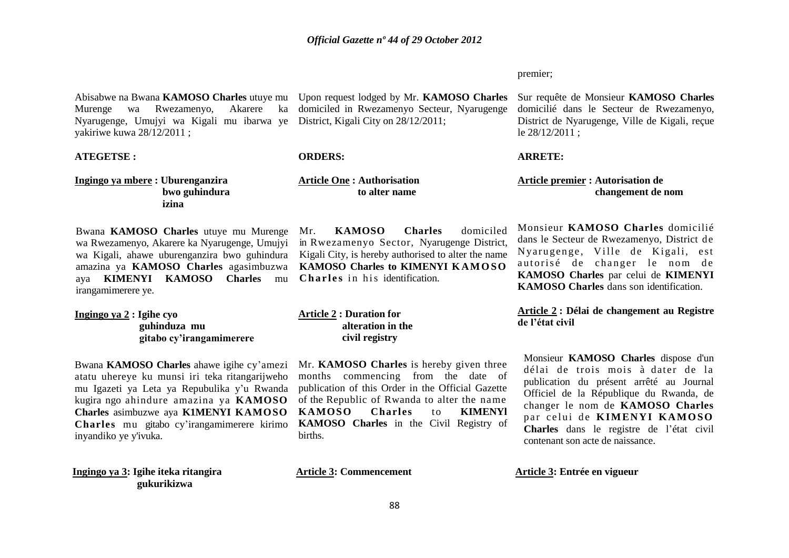Abisabwe na Bwana KAMOSO Charles utuye mu Upon request lodged by Mr. KAMOSO Charles Sur requête de Monsieur KAMOSO Charles Murenge wa Rwezamenyo, Nyarugenge, Umujyi wa Kigali mu ibarwa ye District, Kigali City on 28/12/2011; yakiriwe kuwa 28/12/2011 ;

#### **ATEGETSE :**

**Ingingo ya mbere : Uburenganzira bwo guhindura izina**

Bwana **KAMOSO Charles** utuye mu Murenge wa Rwezamenyo, Akarere ka Nyarugenge, Umujyi wa Kigali, ahawe uburenganzira bwo guhindura amazina ya KAMOSO Charles agasimbuzwa KAMOSO Charles to KIMENYI KAMOSO aya **KIMENYI KAMOSO Charles** mu irangamimerere ye.

**Ingingo ya 2 : Igihe cyo guhinduza mu gitabo cy'irangamimerere** 

Bwana **KAMOSO Charles** ahawe igihe cy"amezi atatu uhereye ku munsi iri teka ritangarijweho mu Igazeti ya Leta ya Repubulika y"u Rwanda kugira ngo ahindure amazina ya **KAMOSO Charles** asimbuzwe aya **K1MENYI KAMOSO Charles** mu gitabo cy"irangamimerere kirimo inyandiko ye y'ivuka.

**Ingingo ya 3: Igihe iteka ritangira gukurikizwa** 

Akarere ka domiciled in Rwezamenyo Secteur, Nyarugenge

#### **ORDERS:**

**Article One : Authorisation to alter name**

Mr. **KAMOSO Charles** domiciled in Rwezamenyo Sector, Nyarugenge District, Kigali City, is hereby authorised to alter the name **Charles** in his identification.

**Article 2 : Duration for alteration in the civil registry** 

Mr. **KAMOSO Charles** is hereby given three months commencing from the date of publication of this Order in the Official Gazette of the Republic of Rwanda to alter the name **KAMOSO Charles** to **KIMENYl KAMOSO Charles** in the Civil Registry of births.

premier;

domicilié dans le Secteur de Rwezamenyo, District de Nyarugenge, Ville de Kigali, reçue le 28/12/2011 ;

#### **ARRETE:**

**Article premier : Autorisation de changement de nom**

Monsieur **KAMOSO Charles** domicilié dans le Secteur de Rwezamenyo, District de Nvarugenge, Ville de Kigali, est autorisé de changer le nom de **KAMOSO Charles** par celui de **KIMENYI KAMOSO Charles** dans son identification.

**Article 2 : Délai de changement au Registre de l'état civil** 

Monsieur **KAMOSO Charles** dispose d'un délai de trois mois à dater de la publication du présent arrêté au Journal Officiel de la République du Rwanda, de changer le nom de **KAMOSO Charles**  par celui de **KIMENYI KAMOSO Charles** dans le registre de l"état civil contenant son acte de naissance.

Article 3: Commencement **Article 3: Entrée en vigueur**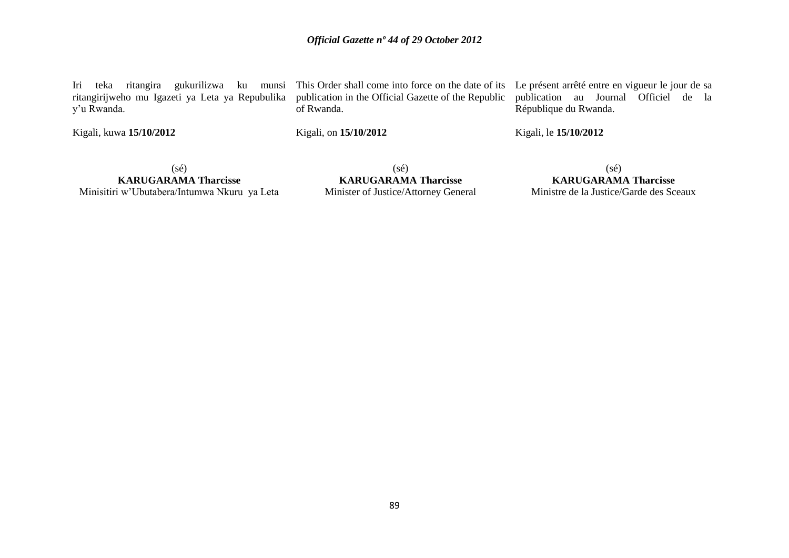ritangirijweho mu Igazeti ya Leta ya Repubulika publication in the Official Gazette of the Republic y"u Rwanda.

Kigali, kuwa **15/10/2012** 

of Rwanda.

Kigali, on **15/10/2012** 

Iri teka ritangira gukurilizwa ku munsi This Order shall come into force on the date of its Le présent arrêté entre en vigueur le jour de sa publication au Journal Officiel de la République du Rwanda.

Kigali, le **15/10/2012** 

 $(sé)$ 

**KARUGARAMA Tharcisse** Minisitiri w"Ubutabera/Intumwa Nkuru ya Leta

(sé) **KARUGARAMA Tharcisse** Minister of Justice/Attorney General

(sé) **KARUGARAMA Tharcisse** Ministre de la Justice/Garde des Sceaux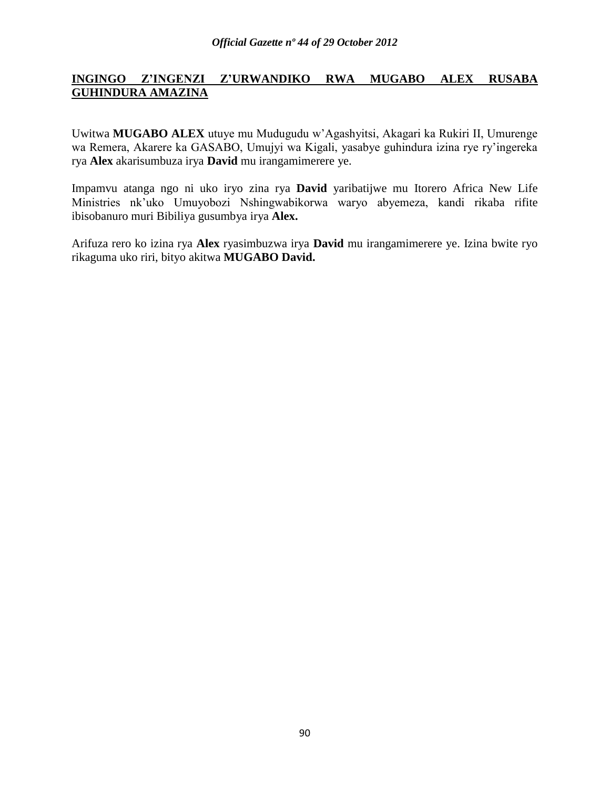# **INGINGO Z'INGENZI Z'URWANDIKO RWA MUGABO ALEX RUSABA GUHINDURA AMAZINA**

Uwitwa **MUGABO ALEX** utuye mu Mudugudu w"Agashyitsi, Akagari ka Rukiri II, Umurenge wa Remera, Akarere ka GASABO, Umujyi wa Kigali, yasabye guhindura izina rye ry"ingereka rya **Alex** akarisumbuza irya **David** mu irangamimerere ye.

Impamvu atanga ngo ni uko iryo zina rya **David** yaribatijwe mu Itorero Africa New Life Ministries nk"uko Umuyobozi Nshingwabikorwa waryo abyemeza, kandi rikaba rifite ibisobanuro muri Bibiliya gusumbya irya **Alex.**

Arifuza rero ko izina rya **Alex** ryasimbuzwa irya **David** mu irangamimerere ye. Izina bwite ryo rikaguma uko riri, bityo akitwa **MUGABO David.**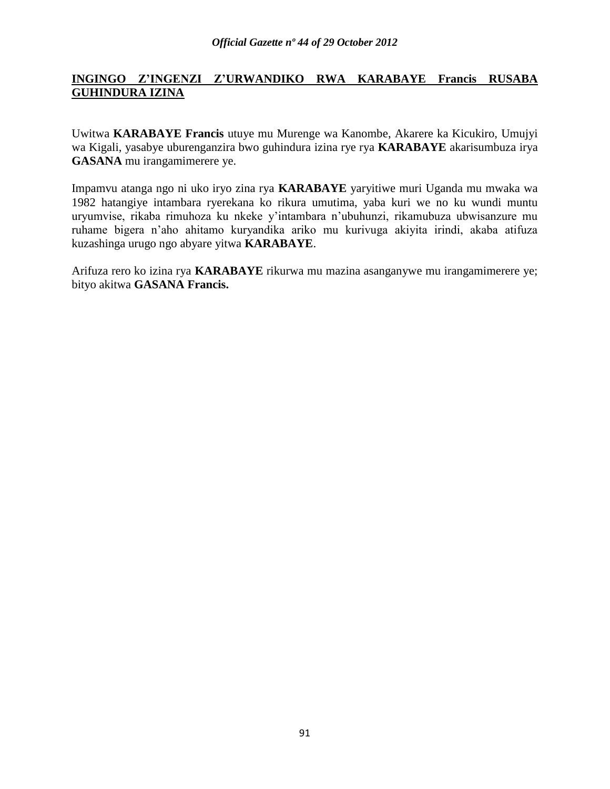# **INGINGO Z'INGENZI Z'URWANDIKO RWA KARABAYE Francis RUSABA GUHINDURA IZINA**

Uwitwa **KARABAYE Francis** utuye mu Murenge wa Kanombe, Akarere ka Kicukiro, Umujyi wa Kigali, yasabye uburenganzira bwo guhindura izina rye rya **KARABAYE** akarisumbuza irya **GASANA** mu irangamimerere ye.

Impamvu atanga ngo ni uko iryo zina rya **KARABAYE** yaryitiwe muri Uganda mu mwaka wa 1982 hatangiye intambara ryerekana ko rikura umutima, yaba kuri we no ku wundi muntu uryumvise, rikaba rimuhoza ku nkeke y"intambara n"ubuhunzi, rikamubuza ubwisanzure mu ruhame bigera n"aho ahitamo kuryandika ariko mu kurivuga akiyita irindi, akaba atifuza kuzashinga urugo ngo abyare yitwa **KARABAYE**.

Arifuza rero ko izina rya **KARABAYE** rikurwa mu mazina asanganywe mu irangamimerere ye; bityo akitwa **GASANA Francis.**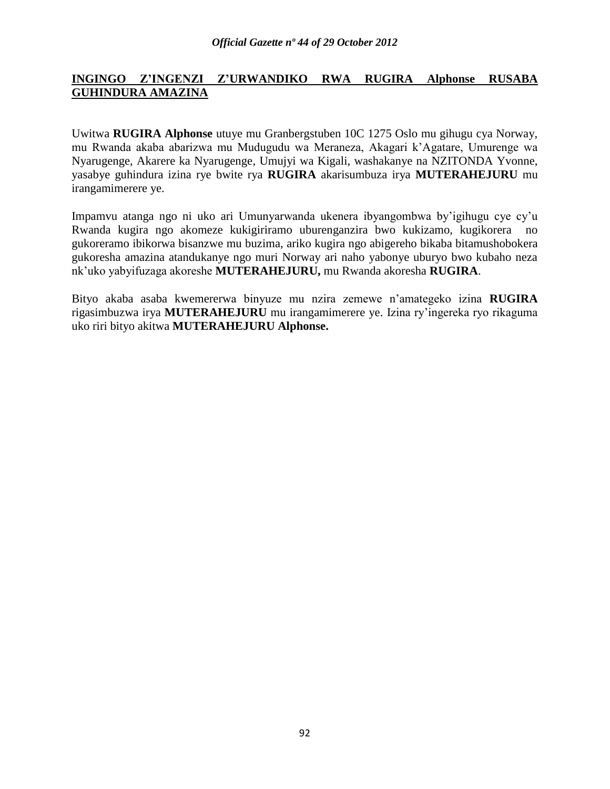# **INGINGO Z'INGENZI Z'URWANDIKO RWA RUGIRA Alphonse RUSABA GUHINDURA AMAZINA**

Uwitwa **RUGIRA Alphonse** utuye mu Granbergstuben 10C 1275 Oslo mu gihugu cya Norway, mu Rwanda akaba abarizwa mu Mudugudu wa Meraneza, Akagari k"Agatare, Umurenge wa Nyarugenge, Akarere ka Nyarugenge, Umujyi wa Kigali, washakanye na NZITONDA Yvonne, yasabye guhindura izina rye bwite rya **RUGIRA** akarisumbuza irya **MUTERAHEJURU** mu irangamimerere ye.

Impamvu atanga ngo ni uko ari Umunyarwanda ukenera ibyangombwa by"igihugu cye cy"u Rwanda kugira ngo akomeze kukigiriramo uburenganzira bwo kukizamo, kugikorera no gukoreramo ibikorwa bisanzwe mu buzima, ariko kugira ngo abigereho bikaba bitamushobokera gukoresha amazina atandukanye ngo muri Norway ari naho yabonye uburyo bwo kubaho neza nk"uko yabyifuzaga akoreshe **MUTERAHEJURU,** mu Rwanda akoresha **RUGIRA**.

Bityo akaba asaba kwemererwa binyuze mu nzira zemewe n"amategeko izina **RUGIRA** rigasimbuzwa irya **MUTERAHEJURU** mu irangamimerere ye. Izina ry"ingereka ryo rikaguma uko riri bityo akitwa **MUTERAHEJURU Alphonse.**